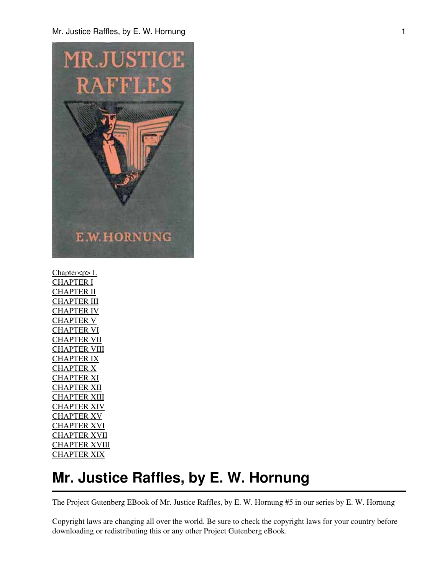Mr. Justice Raffles, by E. W. Hornung 1



[Chapter<p> I.](#page-2-0) [CHAPTER I](#page-3-0) [CHAPTER II](#page-8-0) **[CHAPTER III](#page-14-0)** [CHAPTER IV](#page-20-0) [CHAPTER V](#page-26-0) [CHAPTER VI](#page-33-0) [CHAPTER VII](#page-39-0) **[CHAPTER VIII](#page-45-0)** [CHAPTER IX](#page-49-0) [CHAPTER X](#page-59-0) [CHAPTER XI](#page-66-0) [CHAPTER XII](#page-70-0) **[CHAPTER XIII](#page-77-0)** [CHAPTER XIV](#page-82-0) [CHAPTER XV](#page-90-0) [CHAPTER XVI](#page-100-0) [CHAPTER XVII](#page-108-0) [CHAPTER XVIII](#page-114-0) [CHAPTER XIX](#page-123-0)

# **Mr. Justice Raffles, by E. W. Hornung**

The Project Gutenberg EBook of Mr. Justice Raffles, by E. W. Hornung #5 in our series by E. W. Hornung

Copyright laws are changing all over the world. Be sure to check the copyright laws for your country before downloading or redistributing this or any other Project Gutenberg eBook.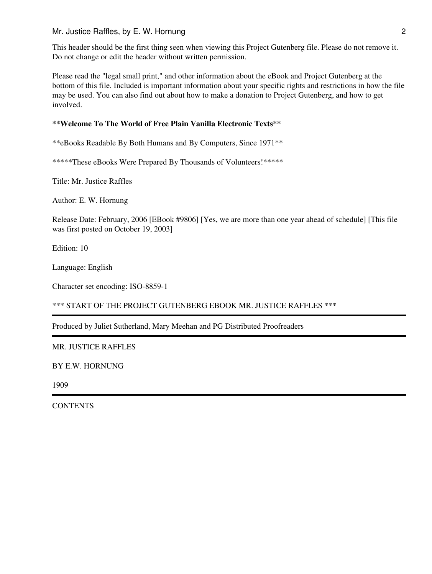#### Mr. Justice Raffles, by E. W. Hornung 2

This header should be the first thing seen when viewing this Project Gutenberg file. Please do not remove it. Do not change or edit the header without written permission.

Please read the "legal small print," and other information about the eBook and Project Gutenberg at the bottom of this file. Included is important information about your specific rights and restrictions in how the file may be used. You can also find out about how to make a donation to Project Gutenberg, and how to get involved.

### **\*\*Welcome To The World of Free Plain Vanilla Electronic Texts\*\***

\*\*eBooks Readable By Both Humans and By Computers, Since 1971\*\*

\*\*\*\*\*These eBooks Were Prepared By Thousands of Volunteers!\*\*\*\*\*

Title: Mr. Justice Raffles

Author: E. W. Hornung

Release Date: February, 2006 [EBook #9806] [Yes, we are more than one year ahead of schedule] [This file was first posted on October 19, 2003]

Edition: 10

Language: English

Character set encoding: ISO-8859-1

\*\*\* START OF THE PROJECT GUTENBERG EBOOK MR. JUSTICE RAFFLES \*\*\*

Produced by Juliet Sutherland, Mary Meehan and PG Distributed Proofreaders

#### MR. JUSTICE RAFFLES

BY E.W. HORNUNG

1909

**CONTENTS**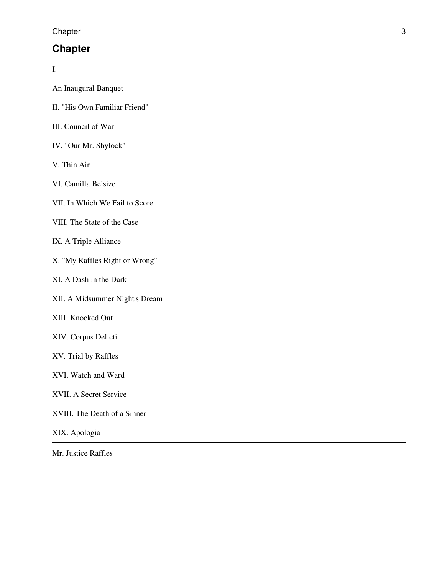**Chapter** 

### <span id="page-2-0"></span>**Chapter**

I.

| An Inaugural Banquet |  |
|----------------------|--|
|                      |  |

- II. "His Own Familiar Friend"
- III. Council of War
- IV. "Our Mr. Shylock"
- V. Thin Air
- VI. Camilla Belsize
- VII. In Which We Fail to Score
- VIII. The State of the Case
- IX. A Triple Alliance
- X. "My Raffles Right or Wrong"
- XI. A Dash in the Dark
- XII. A Midsummer Night's Dream
- XIII. Knocked Out
- XIV. Corpus Delicti
- XV. Trial by Raffles
- XVI. Watch and Ward
- XVII. A Secret Service
- XVIII. The Death of a Sinner
- XIX. Apologia

Mr. Justice Raffles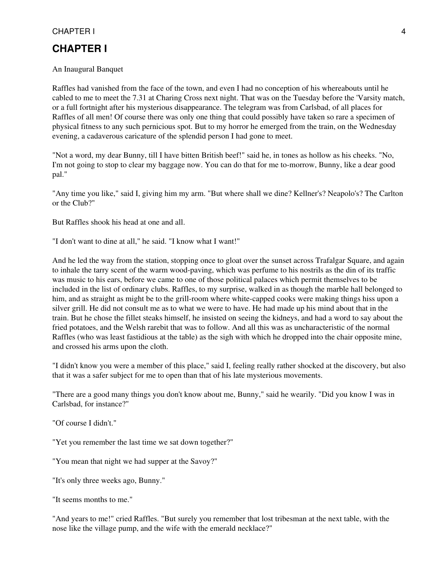<span id="page-3-0"></span>An Inaugural Banquet

Raffles had vanished from the face of the town, and even I had no conception of his whereabouts until he cabled to me to meet the 7.31 at Charing Cross next night. That was on the Tuesday before the 'Varsity match, or a full fortnight after his mysterious disappearance. The telegram was from Carlsbad, of all places for Raffles of all men! Of course there was only one thing that could possibly have taken so rare a specimen of physical fitness to any such pernicious spot. But to my horror he emerged from the train, on the Wednesday evening, a cadaverous caricature of the splendid person I had gone to meet.

"Not a word, my dear Bunny, till I have bitten British beef!" said he, in tones as hollow as his cheeks. "No, I'm not going to stop to clear my baggage now. You can do that for me to-morrow, Bunny, like a dear good pal."

"Any time you like," said I, giving him my arm. "But where shall we dine? Kellner's? Neapolo's? The Carlton or the Club?"

But Raffles shook his head at one and all.

"I don't want to dine at all," he said. "I know what I want!"

And he led the way from the station, stopping once to gloat over the sunset across Trafalgar Square, and again to inhale the tarry scent of the warm wood-paving, which was perfume to his nostrils as the din of its traffic was music to his ears, before we came to one of those political palaces which permit themselves to be included in the list of ordinary clubs. Raffles, to my surprise, walked in as though the marble hall belonged to him, and as straight as might be to the grill-room where white-capped cooks were making things hiss upon a silver grill. He did not consult me as to what we were to have. He had made up his mind about that in the train. But he chose the fillet steaks himself, he insisted on seeing the kidneys, and had a word to say about the fried potatoes, and the Welsh rarebit that was to follow. And all this was as uncharacteristic of the normal Raffles (who was least fastidious at the table) as the sigh with which he dropped into the chair opposite mine, and crossed his arms upon the cloth.

"I didn't know you were a member of this place," said I, feeling really rather shocked at the discovery, but also that it was a safer subject for me to open than that of his late mysterious movements.

"There are a good many things you don't know about me, Bunny," said he wearily. "Did you know I was in Carlsbad, for instance?"

"Of course I didn't."

"Yet you remember the last time we sat down together?"

"You mean that night we had supper at the Savoy?"

"It's only three weeks ago, Bunny."

"It seems months to me."

"And years to me!" cried Raffles. "But surely you remember that lost tribesman at the next table, with the nose like the village pump, and the wife with the emerald necklace?"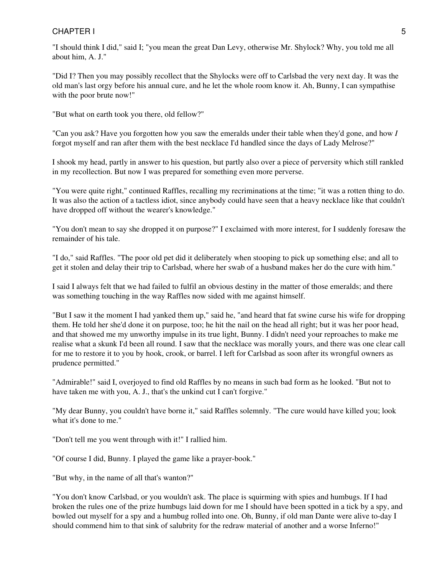### CHAPTER I STATISTICS AND THE SERVICE SERVICE STATISTICS OF STATISTICS AND THE STATISTICS OF STATISTICS OF STATISTICS OF STATISTICS OF STATISTICS OF STATISTICS OF STATISTICS OF STATISTICS OF STATISTICS OF STATISTICS OF STAT

"I should think I did," said I; "you mean the great Dan Levy, otherwise Mr. Shylock? Why, you told me all about him, A. J."

"Did I? Then you may possibly recollect that the Shylocks were off to Carlsbad the very next day. It was the old man's last orgy before his annual cure, and he let the whole room know it. Ah, Bunny, I can sympathise with the poor brute now!"

"But what on earth took you there, old fellow?"

"Can you ask? Have you forgotten how you saw the emeralds under their table when they'd gone, and how *I* forgot myself and ran after them with the best necklace I'd handled since the days of Lady Melrose?"

I shook my head, partly in answer to his question, but partly also over a piece of perversity which still rankled in my recollection. But now I was prepared for something even more perverse.

"You were quite right," continued Raffles, recalling my recriminations at the time; "it was a rotten thing to do. It was also the action of a tactless idiot, since anybody could have seen that a heavy necklace like that couldn't have dropped off without the wearer's knowledge."

"You don't mean to say she dropped it on purpose?" I exclaimed with more interest, for I suddenly foresaw the remainder of his tale.

"I do," said Raffles. "The poor old pet did it deliberately when stooping to pick up something else; and all to get it stolen and delay their trip to Carlsbad, where her swab of a husband makes her do the cure with him."

I said I always felt that we had failed to fulfil an obvious destiny in the matter of those emeralds; and there was something touching in the way Raffles now sided with me against himself.

"But I saw it the moment I had yanked them up," said he, "and heard that fat swine curse his wife for dropping them. He told her she'd done it on purpose, too; he hit the nail on the head all right; but it was her poor head, and that showed me my unworthy impulse in its true light, Bunny. I didn't need your reproaches to make me realise what a skunk I'd been all round. I saw that the necklace was morally yours, and there was one clear call for me to restore it to you by hook, crook, or barrel. I left for Carlsbad as soon after its wrongful owners as prudence permitted."

"Admirable!" said I, overjoyed to find old Raffles by no means in such bad form as he looked. "But not to have taken me with you, A. J., that's the unkind cut I can't forgive."

"My dear Bunny, you couldn't have borne it," said Raffles solemnly. "The cure would have killed you; look what it's done to me."

"Don't tell me you went through with it!" I rallied him.

"Of course I did, Bunny. I played the game like a prayer-book."

"But why, in the name of all that's wanton?"

"You don't know Carlsbad, or you wouldn't ask. The place is squirming with spies and humbugs. If I had broken the rules one of the prize humbugs laid down for me I should have been spotted in a tick by a spy, and bowled out myself for a spy and a humbug rolled into one. Oh, Bunny, if old man Dante were alive to-day I should commend him to that sink of salubrity for the redraw material of another and a worse Inferno!"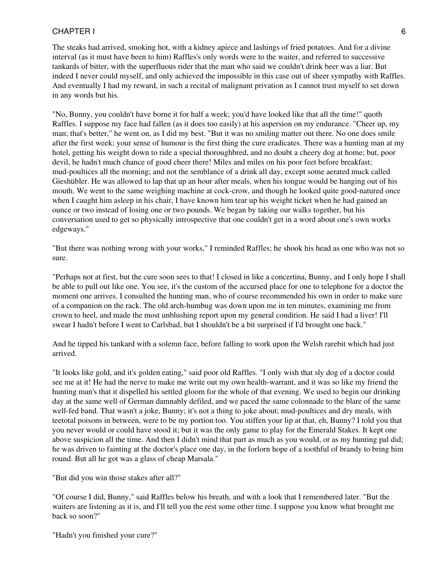The steaks had arrived, smoking hot, with a kidney apiece and lashings of fried potatoes. And for a divine interval (as it must have been to him) Raffles's only words were to the waiter, and referred to successive tankards of bitter, with the superfluous rider that the man who said we couldn't drink beer was a liar. But indeed I never could myself, and only achieved the impossible in this case out of sheer sympathy with Raffles. And eventually I had my reward, in such a recital of malignant privation as I cannot trust myself to set down in any words but his.

"No, Bunny, you couldn't have borne it for half a week; you'd have looked like that all the time!" quoth Raffles. I suppose my face had fallen (as it does too easily) at his aspersion on my endurance. "Cheer up, my man; that's better," he went on, as I did my best. "But it was no smiling matter out there. No one does smile after the first week; your sense of humour is the first thing the cure eradicates. There was a hunting man at my hotel, getting his weight down to ride a special thoroughbred, and no doubt a cheery dog at home; but, poor devil, he hadn't much chance of good cheer there! Miles and miles on his poor feet before breakfast; mud-poultices all the morning; and not the semblance of a drink all day, except some aerated muck called Gieshübler. He was allowed to lap that up an hour after meals, when his tongue would be hanging out of his mouth. We went to the same weighing machine at cock-crow, and though he looked quite good-natured once when I caught him asleep in his chair, I have known him tear up his weight ticket when he had gained an ounce or two instead of losing one or two pounds. We began by taking our walks together, but his conversation used to get so physically introspective that one couldn't get in a word about one's own works edgeways."

"But there was nothing wrong with your works," I reminded Raffles; he shook his head as one who was not so sure.

"Perhaps not at first, but the cure soon sees to that! I closed in like a concertina, Bunny, and I only hope I shall be able to pull out like one. You see, it's the custom of the accursed place for one to telephone for a doctor the moment one arrives. I consulted the hunting man, who of course recommended his own in order to make sure of a companion on the rack. The old arch-humbug was down upon me in ten minutes, examining me from crown to heel, and made the most unblushing report upon my general condition. He said I had a liver! I'll swear I hadn't before I went to Carlsbad, but I shouldn't be a bit surprised if I'd brought one back."

And he tipped his tankard with a solemn face, before falling to work upon the Welsh rarebit which had just arrived.

"It looks like gold, and it's golden eating," said poor old Raffles. "I only wish that sly dog of a doctor could see me at it! He had the nerve to make me write out my own health-warrant, and it was so like my friend the hunting man's that it dispelled his settled gloom for the whole of that evening. We used to begin our drinking day at the same well of German damnably defiled, and we paced the same colonnade to the blare of the same well-fed band. That wasn't a joke, Bunny; it's not a thing to joke about; mud-poultices and dry meals, with teetotal poisons in between, were to be my portion too. You stiffen your lip at that, eh, Bunny? I told you that you never would or could have stood it; but it was the only game to play for the Emerald Stakes. It kept one above suspicion all the time. And then I didn't mind that part as much as you would, or as my hunting pal did; he was driven to fainting at the doctor's place one day, in the forlorn hope of a toothful of brandy to bring him round. But all he got was a glass of cheap Marsala."

"But did you win those stakes after all?"

"Of course I did, Bunny," said Raffles below his breath, and with a look that I remembered later. "But the waiters are listening as it is, and I'll tell you the rest some other time. I suppose you know what brought me back so soon?"

"Hadn't you finished your cure?"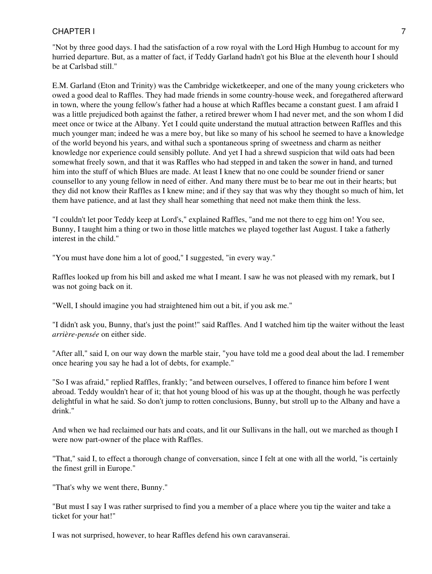"Not by three good days. I had the satisfaction of a row royal with the Lord High Humbug to account for my hurried departure. But, as a matter of fact, if Teddy Garland hadn't got his Blue at the eleventh hour I should be at Carlsbad still."

E.M. Garland (Eton and Trinity) was the Cambridge wicketkeeper, and one of the many young cricketers who owed a good deal to Raffles. They had made friends in some country-house week, and foregathered afterward in town, where the young fellow's father had a house at which Raffles became a constant guest. I am afraid I was a little prejudiced both against the father, a retired brewer whom I had never met, and the son whom I did meet once or twice at the Albany. Yet I could quite understand the mutual attraction between Raffles and this much younger man; indeed he was a mere boy, but like so many of his school he seemed to have a knowledge of the world beyond his years, and withal such a spontaneous spring of sweetness and charm as neither knowledge nor experience could sensibly pollute. And yet I had a shrewd suspicion that wild oats had been somewhat freely sown, and that it was Raffles who had stepped in and taken the sower in hand, and turned him into the stuff of which Blues are made. At least I knew that no one could be sounder friend or saner counsellor to any young fellow in need of either. And many there must be to bear me out in their hearts; but they did not know their Raffles as I knew mine; and if they say that was why they thought so much of him, let them have patience, and at last they shall hear something that need not make them think the less.

"I couldn't let poor Teddy keep at Lord's," explained Raffles, "and me not there to egg him on! You see, Bunny, I taught him a thing or two in those little matches we played together last August. I take a fatherly interest in the child."

"You must have done him a lot of good," I suggested, "in every way."

Raffles looked up from his bill and asked me what I meant. I saw he was not pleased with my remark, but I was not going back on it.

"Well, I should imagine you had straightened him out a bit, if you ask me."

"I didn't ask you, Bunny, that's just the point!" said Raffles. And I watched him tip the waiter without the least *arrière-pensée* on either side.

"After all," said I, on our way down the marble stair, "you have told me a good deal about the lad. I remember once hearing you say he had a lot of debts, for example."

"So I was afraid," replied Raffles, frankly; "and between ourselves, I offered to finance him before I went abroad. Teddy wouldn't hear of it; that hot young blood of his was up at the thought, though he was perfectly delightful in what he said. So don't jump to rotten conclusions, Bunny, but stroll up to the Albany and have a drink."

And when we had reclaimed our hats and coats, and lit our Sullivans in the hall, out we marched as though I were now part-owner of the place with Raffles.

"That," said I, to effect a thorough change of conversation, since I felt at one with all the world, "is certainly the finest grill in Europe."

"That's why we went there, Bunny."

"But must I say I was rather surprised to find you a member of a place where you tip the waiter and take a ticket for your hat!"

I was not surprised, however, to hear Raffles defend his own caravanserai.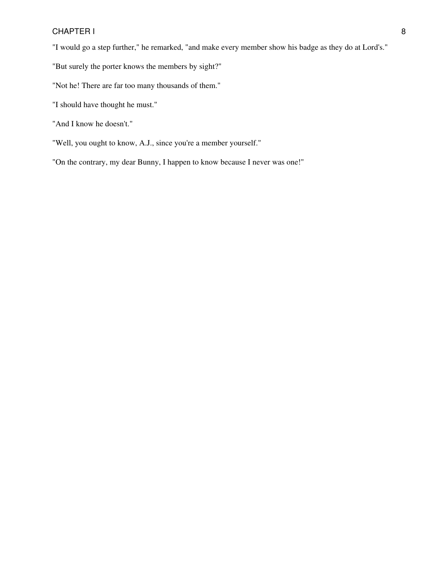"I would go a step further," he remarked, "and make every member show his badge as they do at Lord's."

- "But surely the porter knows the members by sight?"
- "Not he! There are far too many thousands of them."
- "I should have thought he must."
- "And I know he doesn't."
- "Well, you ought to know, A.J., since you're a member yourself."
- "On the contrary, my dear Bunny, I happen to know because I never was one!"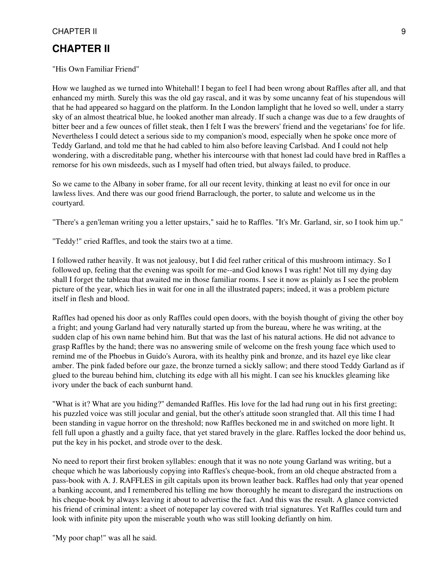<span id="page-8-0"></span>"His Own Familiar Friend"

How we laughed as we turned into Whitehall! I began to feel I had been wrong about Raffles after all, and that enhanced my mirth. Surely this was the old gay rascal, and it was by some uncanny feat of his stupendous will that he had appeared so haggard on the platform. In the London lamplight that he loved so well, under a starry sky of an almost theatrical blue, he looked another man already. If such a change was due to a few draughts of bitter beer and a few ounces of fillet steak, then I felt I was the brewers' friend and the vegetarians' foe for life. Nevertheless I could detect a serious side to my companion's mood, especially when he spoke once more of Teddy Garland, and told me that he had cabled to him also before leaving Carlsbad. And I could not help wondering, with a discreditable pang, whether his intercourse with that honest lad could have bred in Raffles a remorse for his own misdeeds, such as I myself had often tried, but always failed, to produce.

So we came to the Albany in sober frame, for all our recent levity, thinking at least no evil for once in our lawless lives. And there was our good friend Barraclough, the porter, to salute and welcome us in the courtyard.

"There's a gen'leman writing you a letter upstairs," said he to Raffles. "It's Mr. Garland, sir, so I took him up."

"Teddy!" cried Raffles, and took the stairs two at a time.

I followed rather heavily. It was not jealousy, but I did feel rather critical of this mushroom intimacy. So I followed up, feeling that the evening was spoilt for me--and God knows I was right! Not till my dying day shall I forget the tableau that awaited me in those familiar rooms. I see it now as plainly as I see the problem picture of the year, which lies in wait for one in all the illustrated papers; indeed, it was a problem picture itself in flesh and blood.

Raffles had opened his door as only Raffles could open doors, with the boyish thought of giving the other boy a fright; and young Garland had very naturally started up from the bureau, where he was writing, at the sudden clap of his own name behind him. But that was the last of his natural actions. He did not advance to grasp Raffles by the hand; there was no answering smile of welcome on the fresh young face which used to remind me of the Phoebus in Guido's Aurora, with its healthy pink and bronze, and its hazel eye like clear amber. The pink faded before our gaze, the bronze turned a sickly sallow; and there stood Teddy Garland as if glued to the bureau behind him, clutching its edge with all his might. I can see his knuckles gleaming like ivory under the back of each sunburnt hand.

"What is it? What are you hiding?" demanded Raffles. His love for the lad had rung out in his first greeting; his puzzled voice was still jocular and genial, but the other's attitude soon strangled that. All this time I had been standing in vague horror on the threshold; now Raffles beckoned me in and switched on more light. It fell full upon a ghastly and a guilty face, that yet stared bravely in the glare. Raffles locked the door behind us, put the key in his pocket, and strode over to the desk.

No need to report their first broken syllables: enough that it was no note young Garland was writing, but a cheque which he was laboriously copying into Raffles's cheque-book, from an old cheque abstracted from a pass-book with A. J. RAFFLES in gilt capitals upon its brown leather back. Raffles had only that year opened a banking account, and I remembered his telling me how thoroughly he meant to disregard the instructions on his cheque-book by always leaving it about to advertise the fact. And this was the result. A glance convicted his friend of criminal intent: a sheet of notepaper lay covered with trial signatures. Yet Raffles could turn and look with infinite pity upon the miserable youth who was still looking defiantly on him.

"My poor chap!" was all he said.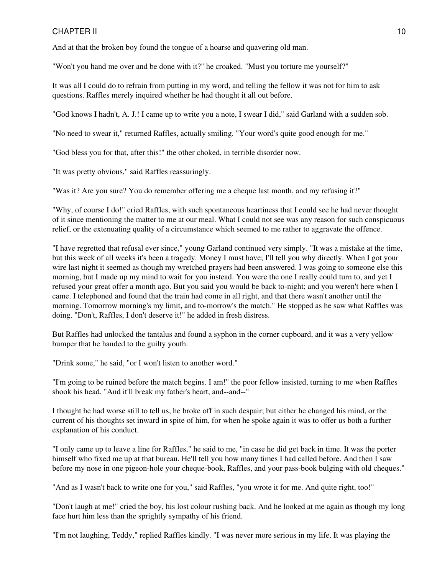And at that the broken boy found the tongue of a hoarse and quavering old man.

"Won't you hand me over and be done with it?" he croaked. "Must you torture me yourself?"

It was all I could do to refrain from putting in my word, and telling the fellow it was not for him to ask questions. Raffles merely inquired whether he had thought it all out before.

"God knows I hadn't, A. J.! I came up to write you a note, I swear I did," said Garland with a sudden sob.

"No need to swear it," returned Raffles, actually smiling. "Your word's quite good enough for me."

"God bless you for that, after this!" the other choked, in terrible disorder now.

"It was pretty obvious," said Raffles reassuringly.

"Was it? Are you sure? You do remember offering me a cheque last month, and my refusing it?"

"Why, of course I do!" cried Raffles, with such spontaneous heartiness that I could see he had never thought of it since mentioning the matter to me at our meal. What I could not see was any reason for such conspicuous relief, or the extenuating quality of a circumstance which seemed to me rather to aggravate the offence.

"I have regretted that refusal ever since," young Garland continued very simply. "It was a mistake at the time, but this week of all weeks it's been a tragedy. Money I must have; I'll tell you why directly. When I got your wire last night it seemed as though my wretched prayers had been answered. I was going to someone else this morning, but I made up my mind to wait for you instead. You were the one I really could turn to, and yet I refused your great offer a month ago. But you said you would be back to-night; and you weren't here when I came. I telephoned and found that the train had come in all right, and that there wasn't another until the morning. Tomorrow morning's my limit, and to-morrow's the match." He stopped as he saw what Raffles was doing. "Don't, Raffles, I don't deserve it!" he added in fresh distress.

But Raffles had unlocked the tantalus and found a syphon in the corner cupboard, and it was a very yellow bumper that he handed to the guilty youth.

"Drink some," he said, "or I won't listen to another word."

"I'm going to be ruined before the match begins. I am!" the poor fellow insisted, turning to me when Raffles shook his head. "And it'll break my father's heart, and--and--"

I thought he had worse still to tell us, he broke off in such despair; but either he changed his mind, or the current of his thoughts set inward in spite of him, for when he spoke again it was to offer us both a further explanation of his conduct.

"I only came up to leave a line for Raffles," he said to me, "in case he did get back in time. It was the porter himself who fixed me up at that bureau. He'll tell you how many times I had called before. And then I saw before my nose in one pigeon-hole your cheque-book, Raffles, and your pass-book bulging with old cheques."

"And as I wasn't back to write one for you," said Raffles, "you wrote it for me. And quite right, too!"

"Don't laugh at me!" cried the boy, his lost colour rushing back. And he looked at me again as though my long face hurt him less than the sprightly sympathy of his friend.

"I'm not laughing, Teddy," replied Raffles kindly. "I was never more serious in my life. It was playing the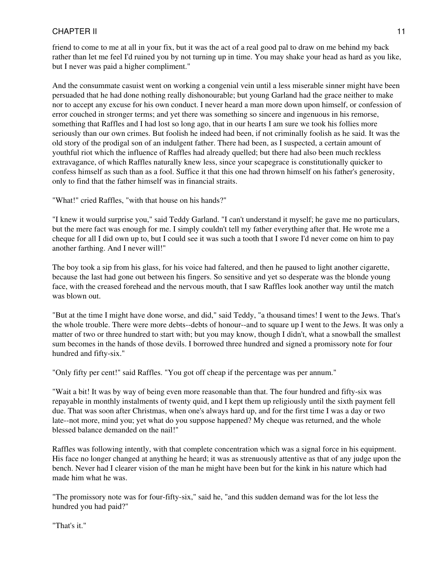friend to come to me at all in your fix, but it was the act of a real good pal to draw on me behind my back rather than let me feel I'd ruined you by not turning up in time. You may shake your head as hard as you like, but I never was paid a higher compliment."

And the consummate casuist went on working a congenial vein until a less miserable sinner might have been persuaded that he had done nothing really dishonourable; but young Garland had the grace neither to make nor to accept any excuse for his own conduct. I never heard a man more down upon himself, or confession of error couched in stronger terms; and yet there was something so sincere and ingenuous in his remorse, something that Raffles and I had lost so long ago, that in our hearts I am sure we took his follies more seriously than our own crimes. But foolish he indeed had been, if not criminally foolish as he said. It was the old story of the prodigal son of an indulgent father. There had been, as I suspected, a certain amount of youthful riot which the influence of Raffles had already quelled; but there had also been much reckless extravagance, of which Raffles naturally knew less, since your scapegrace is constitutionally quicker to confess himself as such than as a fool. Suffice it that this one had thrown himself on his father's generosity, only to find that the father himself was in financial straits.

"What!" cried Raffles, "with that house on his hands?"

"I knew it would surprise you," said Teddy Garland. "I can't understand it myself; he gave me no particulars, but the mere fact was enough for me. I simply couldn't tell my father everything after that. He wrote me a cheque for all I did own up to, but I could see it was such a tooth that I swore I'd never come on him to pay another farthing. And I never will!"

The boy took a sip from his glass, for his voice had faltered, and then he paused to light another cigarette, because the last had gone out between his fingers. So sensitive and yet so desperate was the blonde young face, with the creased forehead and the nervous mouth, that I saw Raffles look another way until the match was blown out.

"But at the time I might have done worse, and did," said Teddy, "a thousand times! I went to the Jews. That's the whole trouble. There were more debts--debts of honour--and to square up I went to the Jews. It was only a matter of two or three hundred to start with; but you may know, though I didn't, what a snowball the smallest sum becomes in the hands of those devils. I borrowed three hundred and signed a promissory note for four hundred and fifty-six."

"Only fifty per cent!" said Raffles. "You got off cheap if the percentage was per annum."

"Wait a bit! It was by way of being even more reasonable than that. The four hundred and fifty-six was repayable in monthly instalments of twenty quid, and I kept them up religiously until the sixth payment fell due. That was soon after Christmas, when one's always hard up, and for the first time I was a day or two late--not more, mind you; yet what do you suppose happened? My cheque was returned, and the whole blessed balance demanded on the nail!"

Raffles was following intently, with that complete concentration which was a signal force in his equipment. His face no longer changed at anything he heard; it was as strenuously attentive as that of any judge upon the bench. Never had I clearer vision of the man he might have been but for the kink in his nature which had made him what he was.

"The promissory note was for four-fifty-six," said he, "and this sudden demand was for the lot less the hundred you had paid?"

"That's it."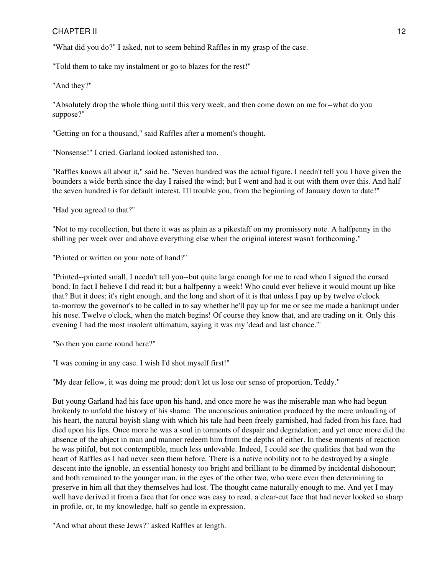"What did you do?" I asked, not to seem behind Raffles in my grasp of the case.

"Told them to take my instalment or go to blazes for the rest!"

"And they?"

"Absolutely drop the whole thing until this very week, and then come down on me for--what do you suppose?"

"Getting on for a thousand," said Raffles after a moment's thought.

"Nonsense!" I cried. Garland looked astonished too.

"Raffles knows all about it," said he. "Seven hundred was the actual figure. I needn't tell you I have given the bounders a wide berth since the day I raised the wind; but I went and had it out with them over this. And half the seven hundred is for default interest, I'll trouble you, from the beginning of January down to date!"

"Had you agreed to that?"

"Not to my recollection, but there it was as plain as a pikestaff on my promissory note. A halfpenny in the shilling per week over and above everything else when the original interest wasn't forthcoming."

"Printed or written on your note of hand?"

"Printed--printed small, I needn't tell you--but quite large enough for me to read when I signed the cursed bond. In fact I believe I did read it; but a halfpenny a week! Who could ever believe it would mount up like that? But it does; it's right enough, and the long and short of it is that unless I pay up by twelve o'clock to-morrow the governor's to be called in to say whether he'll pay up for me or see me made a bankrupt under his nose. Twelve o'clock, when the match begins! Of course they know that, and are trading on it. Only this evening I had the most insolent ultimatum, saying it was my 'dead and last chance.'"

"So then you came round here?"

"I was coming in any case. I wish I'd shot myself first!"

"My dear fellow, it was doing me proud; don't let us lose our sense of proportion, Teddy."

But young Garland had his face upon his hand, and once more he was the miserable man who had begun brokenly to unfold the history of his shame. The unconscious animation produced by the mere unloading of his heart, the natural boyish slang with which his tale had been freely garnished, had faded from his face, had died upon his lips. Once more he was a soul in torments of despair and degradation; and yet once more did the absence of the abject in man and manner redeem him from the depths of either. In these moments of reaction he was pitiful, but not contemptible, much less unlovable. Indeed, I could see the qualities that had won the heart of Raffles as I had never seen them before. There is a native nobility not to be destroyed by a single descent into the ignoble, an essential honesty too bright and brilliant to be dimmed by incidental dishonour; and both remained to the younger man, in the eyes of the other two, who were even then determining to preserve in him all that they themselves had lost. The thought came naturally enough to me. And yet I may well have derived it from a face that for once was easy to read, a clear-cut face that had never looked so sharp in profile, or, to my knowledge, half so gentle in expression.

"And what about these Jews?" asked Raffles at length.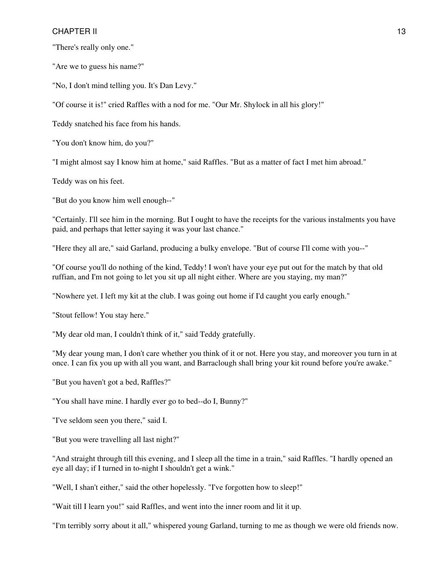"There's really only one."

"Are we to guess his name?"

"No, I don't mind telling you. It's Dan Levy."

"Of course it is!" cried Raffles with a nod for me. "Our Mr. Shylock in all his glory!"

Teddy snatched his face from his hands.

"You don't know him, do you?"

"I might almost say I know him at home," said Raffles. "But as a matter of fact I met him abroad."

Teddy was on his feet.

"But do you know him well enough--"

"Certainly. I'll see him in the morning. But I ought to have the receipts for the various instalments you have paid, and perhaps that letter saying it was your last chance."

"Here they all are," said Garland, producing a bulky envelope. "But of course I'll come with you--"

"Of course you'll do nothing of the kind, Teddy! I won't have your eye put out for the match by that old ruffian, and I'm not going to let you sit up all night either. Where are you staying, my man?"

"Nowhere yet. I left my kit at the club. I was going out home if I'd caught you early enough."

"Stout fellow! You stay here."

"My dear old man, I couldn't think of it," said Teddy gratefully.

"My dear young man, I don't care whether you think of it or not. Here you stay, and moreover you turn in at once. I can fix you up with all you want, and Barraclough shall bring your kit round before you're awake."

"But you haven't got a bed, Raffles?"

"You shall have mine. I hardly ever go to bed--do I, Bunny?"

"I've seldom seen you there," said I.

"But you were travelling all last night?"

"And straight through till this evening, and I sleep all the time in a train," said Raffles. "I hardly opened an eye all day; if I turned in to-night I shouldn't get a wink."

"Well, I shan't either," said the other hopelessly. "I've forgotten how to sleep!"

"Wait till I learn you!" said Raffles, and went into the inner room and lit it up.

"I'm terribly sorry about it all," whispered young Garland, turning to me as though we were old friends now.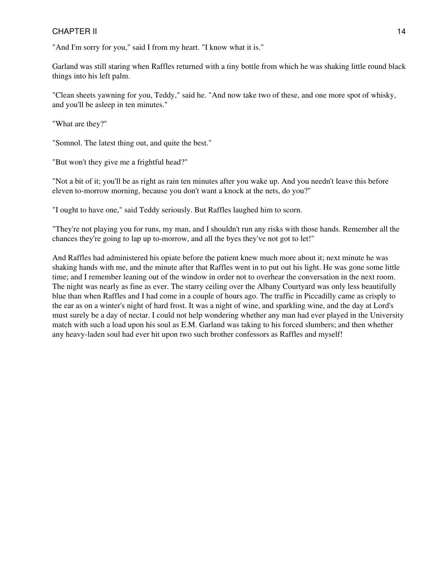"And I'm sorry for you," said I from my heart. "I know what it is."

Garland was still staring when Raffles returned with a tiny bottle from which he was shaking little round black things into his left palm.

"Clean sheets yawning for you, Teddy," said he. "And now take two of these, and one more spot of whisky, and you'll be asleep in ten minutes."

"What are they?"

"Somnol. The latest thing out, and quite the best."

"But won't they give me a frightful head?"

"Not a bit of it; you'll be as right as rain ten minutes after you wake up. And you needn't leave this before eleven to-morrow morning, because you don't want a knock at the nets, do you?"

"I ought to have one," said Teddy seriously. But Raffles laughed him to scorn.

"They're not playing you for runs, my man, and I shouldn't run any risks with those hands. Remember all the chances they're going to lap up to-morrow, and all the byes they've not got to let!"

And Raffles had administered his opiate before the patient knew much more about it; next minute he was shaking hands with me, and the minute after that Raffles went in to put out his light. He was gone some little time; and I remember leaning out of the window in order not to overhear the conversation in the next room. The night was nearly as fine as ever. The starry ceiling over the Albany Courtyard was only less beautifully blue than when Raffles and I had come in a couple of hours ago. The traffic in Piccadilly came as crisply to the ear as on a winter's night of hard frost. It was a night of wine, and sparkling wine, and the day at Lord's must surely be a day of nectar. I could not help wondering whether any man had ever played in the University match with such a load upon his soul as E.M. Garland was taking to his forced slumbers; and then whether any heavy-laden soul had ever hit upon two such brother confessors as Raffles and myself!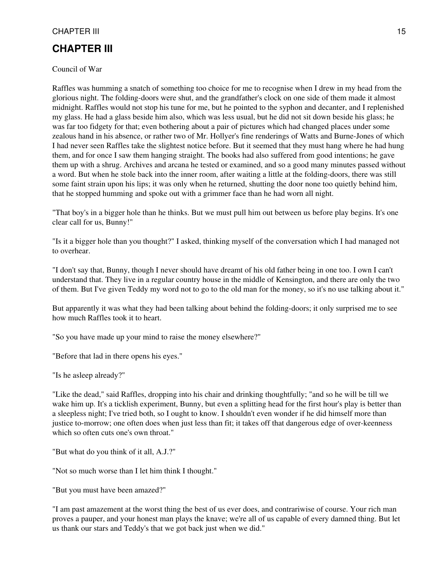### <span id="page-14-0"></span>**CHAPTER III**

#### Council of War

Raffles was humming a snatch of something too choice for me to recognise when I drew in my head from the glorious night. The folding-doors were shut, and the grandfather's clock on one side of them made it almost midnight. Raffles would not stop his tune for me, but he pointed to the syphon and decanter, and I replenished my glass. He had a glass beside him also, which was less usual, but he did not sit down beside his glass; he was far too fidgety for that; even bothering about a pair of pictures which had changed places under some zealous hand in his absence, or rather two of Mr. Hollyer's fine renderings of Watts and Burne-Jones of which I had never seen Raffles take the slightest notice before. But it seemed that they must hang where he had hung them, and for once I saw them hanging straight. The books had also suffered from good intentions; he gave them up with a shrug. Archives and arcana he tested or examined, and so a good many minutes passed without a word. But when he stole back into the inner room, after waiting a little at the folding-doors, there was still some faint strain upon his lips; it was only when he returned, shutting the door none too quietly behind him, that he stopped humming and spoke out with a grimmer face than he had worn all night.

"That boy's in a bigger hole than he thinks. But we must pull him out between us before play begins. It's one clear call for us, Bunny!"

"Is it a bigger hole than you thought?" I asked, thinking myself of the conversation which I had managed not to overhear.

"I don't say that, Bunny, though I never should have dreamt of his old father being in one too. I own I can't understand that. They live in a regular country house in the middle of Kensington, and there are only the two of them. But I've given Teddy my word not to go to the old man for the money, so it's no use talking about it."

But apparently it was what they had been talking about behind the folding-doors; it only surprised me to see how much Raffles took it to heart.

"So you have made up your mind to raise the money elsewhere?"

"Before that lad in there opens his eyes."

"Is he asleep already?"

"Like the dead," said Raffles, dropping into his chair and drinking thoughtfully; "and so he will be till we wake him up. It's a ticklish experiment, Bunny, but even a splitting head for the first hour's play is better than a sleepless night; I've tried both, so I ought to know. I shouldn't even wonder if he did himself more than justice to-morrow; one often does when just less than fit; it takes off that dangerous edge of over-keenness which so often cuts one's own throat."

"But what do you think of it all, A.J.?"

"Not so much worse than I let him think I thought."

"But you must have been amazed?"

"I am past amazement at the worst thing the best of us ever does, and contrariwise of course. Your rich man proves a pauper, and your honest man plays the knave; we're all of us capable of every damned thing. But let us thank our stars and Teddy's that we got back just when we did."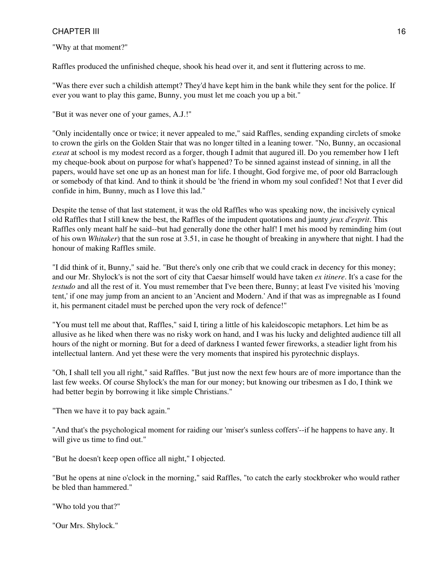"Why at that moment?"

Raffles produced the unfinished cheque, shook his head over it, and sent it fluttering across to me.

"Was there ever such a childish attempt? They'd have kept him in the bank while they sent for the police. If ever you want to play this game, Bunny, you must let me coach you up a bit."

"But it was never one of your games, A.J.!"

"Only incidentally once or twice; it never appealed to me," said Raffles, sending expanding circlets of smoke to crown the girls on the Golden Stair that was no longer tilted in a leaning tower. "No, Bunny, an occasional *exeat* at school is my modest record as a forger, though I admit that augured ill. Do you remember how I left my cheque-book about on purpose for what's happened? To be sinned against instead of sinning, in all the papers, would have set one up as an honest man for life. I thought, God forgive me, of poor old Barraclough or somebody of that kind. And to think it should be 'the friend in whom my soul confided'! Not that I ever did confide in him, Bunny, much as I love this lad."

Despite the tense of that last statement, it was the old Raffles who was speaking now, the incisively cynical old Raffles that I still knew the best, the Raffles of the impudent quotations and jaunty *jeux d'esprit*. This Raffles only meant half he said--but had generally done the other half! I met his mood by reminding him (out of his own *Whitaker*) that the sun rose at 3.51, in case he thought of breaking in anywhere that night. I had the honour of making Raffles smile.

"I did think of it, Bunny," said he. "But there's only one crib that we could crack in decency for this money; and our Mr. Shylock's is not the sort of city that Caesar himself would have taken *ex itinere*. It's a case for the *testudo* and all the rest of it. You must remember that I've been there, Bunny; at least I've visited his 'moving tent,' if one may jump from an ancient to an 'Ancient and Modern.' And if that was as impregnable as I found it, his permanent citadel must be perched upon the very rock of defence!"

"You must tell me about that, Raffles," said I, tiring a little of his kaleidoscopic metaphors. Let him be as allusive as he liked when there was no risky work on hand, and I was his lucky and delighted audience till all hours of the night or morning. But for a deed of darkness I wanted fewer fireworks, a steadier light from his intellectual lantern. And yet these were the very moments that inspired his pyrotechnic displays.

"Oh, I shall tell you all right," said Raffles. "But just now the next few hours are of more importance than the last few weeks. Of course Shylock's the man for our money; but knowing our tribesmen as I do, I think we had better begin by borrowing it like simple Christians."

"Then we have it to pay back again."

"And that's the psychological moment for raiding our 'miser's sunless coffers'--if he happens to have any. It will give us time to find out."

"But he doesn't keep open office all night," I objected.

"But he opens at nine o'clock in the morning," said Raffles, "to catch the early stockbroker who would rather be bled than hammered."

"Who told you that?"

"Our Mrs. Shylock."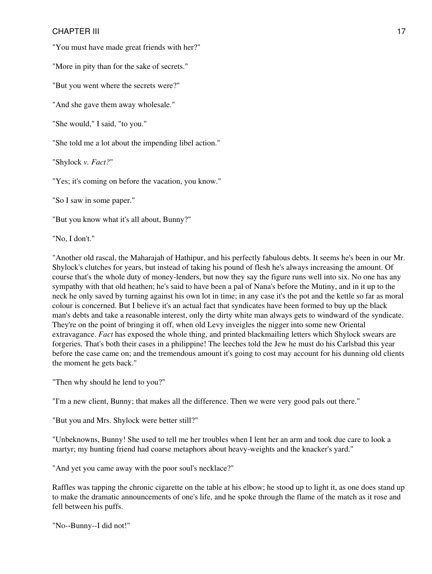"You must have made great friends with her?"

"More in pity than for the sake of secrets."

"But you went where the secrets were?"

"And she gave them away wholesale."

"She would," I said, "to you."

"She told me a lot about the impending libel action."

"Shylock *v. Fact?*"

"Yes; it's coming on before the vacation, you know."

"So I saw in some paper."

"But you know what it's all about, Bunny?"

"No, I don't."

"Another old rascal, the Maharajah of Hathipur, and his perfectly fabulous debts. It seems he's been in our Mr. Shylock's clutches for years, but instead of taking his pound of flesh he's always increasing the amount. Of course that's the whole duty of money-lenders, but now they say the figure runs well into six. No one has any sympathy with that old heathen; he's said to have been a pal of Nana's before the Mutiny, and in it up to the neck he only saved by turning against his own lot in time; in any case it's the pot and the kettle so far as moral colour is concerned. But I believe it's an actual fact that syndicates have been formed to buy up the black man's debts and take a reasonable interest, only the dirty white man always gets to windward of the syndicate. They're on the point of bringing it off, when old Levy inveigles the nigger into some new Oriental extravagance. *Fact* has exposed the whole thing, and printed blackmailing letters which Shylock swears are forgeries. That's both their cases in a philippine! The leeches told the Jew he must do his Carlsbad this year before the case came on; and the tremendous amount it's going to cost may account for his dunning old clients the moment he gets back."

"Then why should he lend to you?"

"I'm a new client, Bunny; that makes all the difference. Then we were very good pals out there."

"But you and Mrs. Shylock were better still?"

"Unbeknowns, Bunny! She used to tell me her troubles when I lent her an arm and took due care to look a martyr; my hunting friend had coarse metaphors about heavy-weights and the knacker's yard."

"And yet you came away with the poor soul's necklace?"

Raffles was tapping the chronic cigarette on the table at his elbow; he stood up to light it, as one does stand up to make the dramatic announcements of one's life, and he spoke through the flame of the match as it rose and fell between his puffs.

"No--Bunny--I did not!"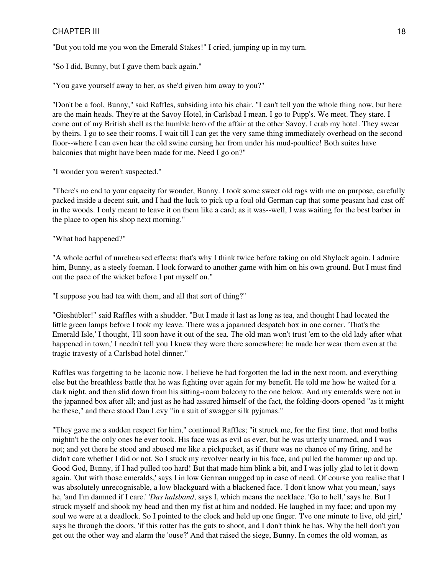"But you told me you won the Emerald Stakes!" I cried, jumping up in my turn.

"So I did, Bunny, but I gave them back again."

"You gave yourself away to her, as she'd given him away to you?"

"Don't be a fool, Bunny," said Raffles, subsiding into his chair. "I can't tell you the whole thing now, but here are the main heads. They're at the Savoy Hotel, in Carlsbad I mean. I go to Pupp's. We meet. They stare. I come out of my British shell as the humble hero of the affair at the other Savoy. I crab my hotel. They swear by theirs. I go to see their rooms. I wait till I can get the very same thing immediately overhead on the second floor--where I can even hear the old swine cursing her from under his mud-poultice! Both suites have balconies that might have been made for me. Need I go on?"

"I wonder you weren't suspected."

"There's no end to your capacity for wonder, Bunny. I took some sweet old rags with me on purpose, carefully packed inside a decent suit, and I had the luck to pick up a foul old German cap that some peasant had cast off in the woods. I only meant to leave it on them like a card; as it was--well, I was waiting for the best barber in the place to open his shop next morning."

"What had happened?"

"A whole actful of unrehearsed effects; that's why I think twice before taking on old Shylock again. I admire him, Bunny, as a steely foeman. I look forward to another game with him on his own ground. But I must find out the pace of the wicket before I put myself on."

"I suppose you had tea with them, and all that sort of thing?"

"Gieshübler!" said Raffles with a shudder. "But I made it last as long as tea, and thought I had located the little green lamps before I took my leave. There was a japanned despatch box in one corner. 'That's the Emerald Isle,' I thought, 'I'll soon have it out of the sea. The old man won't trust 'em to the old lady after what happened in town,' I needn't tell you I knew they were there somewhere; he made her wear them even at the tragic travesty of a Carlsbad hotel dinner."

Raffles was forgetting to be laconic now. I believe he had forgotten the lad in the next room, and everything else but the breathless battle that he was fighting over again for my benefit. He told me how he waited for a dark night, and then slid down from his sitting-room balcony to the one below. And my emeralds were not in the japanned box after all; and just as he had assured himself of the fact, the folding-doors opened "as it might be these," and there stood Dan Levy "in a suit of swagger silk pyjamas."

"They gave me a sudden respect for him," continued Raffles; "it struck me, for the first time, that mud baths mightn't be the only ones he ever took. His face was as evil as ever, but he was utterly unarmed, and I was not; and yet there he stood and abused me like a pickpocket, as if there was no chance of my firing, and he didn't care whether I did or not. So I stuck my revolver nearly in his face, and pulled the hammer up and up. Good God, Bunny, if I had pulled too hard! But that made him blink a bit, and I was jolly glad to let it down again. 'Out with those emeralds,' says I in low German mugged up in case of need. Of course you realise that I was absolutely unrecognisable, a low blackguard with a blackened face. 'I don't know what you mean,' says he, 'and I'm damned if I care.' '*Das halsband*, says I, which means the necklace. 'Go to hell,' says he. But I struck myself and shook my head and then my fist at him and nodded. He laughed in my face; and upon my soul we were at a deadlock. So I pointed to the clock and held up one finger. 'I've one minute to live, old girl,' says he through the doors, 'if this rotter has the guts to shoot, and I don't think he has. Why the hell don't you get out the other way and alarm the 'ouse?' And that raised the siege, Bunny. In comes the old woman, as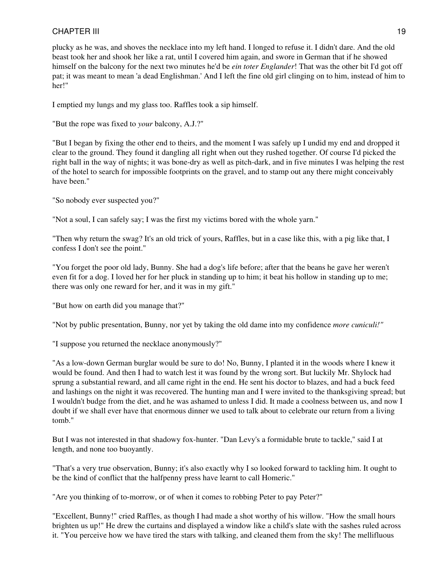plucky as he was, and shoves the necklace into my left hand. I longed to refuse it. I didn't dare. And the old beast took her and shook her like a rat, until I covered him again, and swore in German that if he showed himself on the balcony for the next two minutes he'd be *ein toter Englander*! That was the other bit I'd got off pat; it was meant to mean 'a dead Englishman.' And I left the fine old girl clinging on to him, instead of him to her!"

I emptied my lungs and my glass too. Raffles took a sip himself.

"But the rope was fixed to *your* balcony, A.J.?"

"But I began by fixing the other end to theirs, and the moment I was safely up I undid my end and dropped it clear to the ground. They found it dangling all right when out they rushed together. Of course I'd picked the right ball in the way of nights; it was bone-dry as well as pitch-dark, and in five minutes I was helping the rest of the hotel to search for impossible footprints on the gravel, and to stamp out any there might conceivably have been."

"So nobody ever suspected you?"

"Not a soul, I can safely say; I was the first my victims bored with the whole yarn."

"Then why return the swag? It's an old trick of yours, Raffles, but in a case like this, with a pig like that, I confess I don't see the point."

"You forget the poor old lady, Bunny. She had a dog's life before; after that the beans he gave her weren't even fit for a dog. I loved her for her pluck in standing up to him; it beat his hollow in standing up to me; there was only one reward for her, and it was in my gift."

"But how on earth did you manage that?"

"Not by public presentation, Bunny, nor yet by taking the old dame into my confidence *more cuniculi!"*

"I suppose you returned the necklace anonymously?"

"As a low-down German burglar would be sure to do! No, Bunny, I planted it in the woods where I knew it would be found. And then I had to watch lest it was found by the wrong sort. But luckily Mr. Shylock had sprung a substantial reward, and all came right in the end. He sent his doctor to blazes, and had a buck feed and lashings on the night it was recovered. The hunting man and I were invited to the thanksgiving spread; but I wouldn't budge from the diet, and he was ashamed to unless I did. It made a coolness between us, and now I doubt if we shall ever have that enormous dinner we used to talk about to celebrate our return from a living tomb."

But I was not interested in that shadowy fox-hunter. "Dan Levy's a formidable brute to tackle," said I at length, and none too buoyantly.

"That's a very true observation, Bunny; it's also exactly why I so looked forward to tackling him. It ought to be the kind of conflict that the halfpenny press have learnt to call Homeric."

"Are you thinking of to-morrow, or of when it comes to robbing Peter to pay Peter?"

"Excellent, Bunny!" cried Raffles, as though I had made a shot worthy of his willow. "How the small hours brighten us up!" He drew the curtains and displayed a window like a child's slate with the sashes ruled across it. "You perceive how we have tired the stars with talking, and cleaned them from the sky! The mellifluous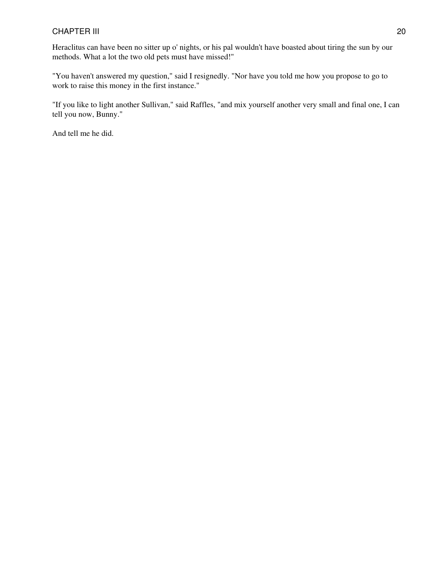Heraclitus can have been no sitter up o' nights, or his pal wouldn't have boasted about tiring the sun by our methods. What a lot the two old pets must have missed!"

"You haven't answered my question," said I resignedly. "Nor have you told me how you propose to go to work to raise this money in the first instance."

"If you like to light another Sullivan," said Raffles, "and mix yourself another very small and final one, I can tell you now, Bunny."

And tell me he did.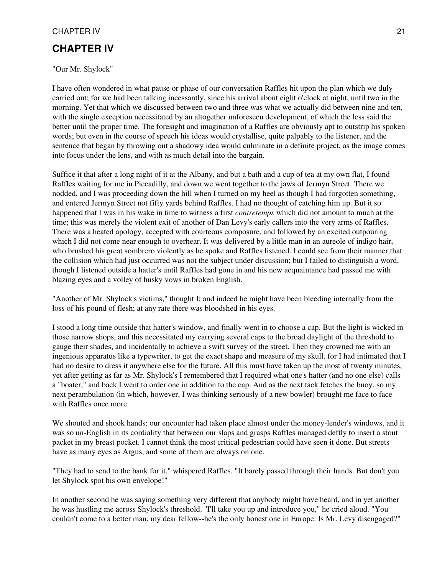### <span id="page-20-0"></span>**CHAPTER IV**

"Our Mr. Shylock"

I have often wondered in what pause or phase of our conversation Raffles hit upon the plan which we duly carried out; for we had been talking incessantly, since his arrival about eight o'clock at night, until two in the morning. Yet that which we discussed between two and three was what we actually did between nine and ten, with the single exception necessitated by an altogether unforeseen development, of which the less said the better until the proper time. The foresight and imagination of a Raffles are obviously apt to outstrip his spoken words; but even in the course of speech his ideas would crystallise, quite palpably to the listener, and the sentence that began by throwing out a shadowy idea would culminate in a definite project, as the image comes into focus under the lens, and with as much detail into the bargain.

Suffice it that after a long night of it at the Albany, and but a bath and a cup of tea at my own flat, I found Raffles waiting for me in Piccadilly, and down we went together to the jaws of Jermyn Street. There we nodded, and I was proceeding down the hill when I turned on my heel as though I had forgotten something, and entered Jermyn Street not fifty yards behind Raffles. I had no thought of catching him up. But it so happened that I was in his wake in time to witness a first *contretemps* which did not amount to much at the time; this was merely the violent exit of another of Dan Levy's early callers into the very arms of Raffles. There was a heated apology, accepted with courteous composure, and followed by an excited outpouring which I did not come near enough to overhear. It was delivered by a little man in an aureole of indigo hair, who brushed his great sombrero violently as he spoke and Raffles listened. I could see from their manner that the collision which had just occurred was not the subject under discussion; but I failed to distinguish a word, though I listened outside a hatter's until Raffles had gone in and his new acquaintance had passed me with blazing eyes and a volley of husky vows in broken English.

"Another of Mr. Shylock's victims," thought I; and indeed he might have been bleeding internally from the loss of his pound of flesh; at any rate there was bloodshed in his eyes.

I stood a long time outside that hatter's window, and finally went in to choose a cap. But the light is wicked in those narrow shops, and this necessitated my carrying several caps to the broad daylight of the threshold to gauge their shades, and incidentally to achieve a swift survey of the street. Then they crowned me with an ingenious apparatus like a typewriter, to get the exact shape and measure of my skull, for I had intimated that I had no desire to dress it anywhere else for the future. All this must have taken up the most of twenty minutes, yet after getting as far as Mr. Shylock's I remembered that I required what one's hatter (and no one else) calls a "boater," and back I went to order one in addition to the cap. And as the next tack fetches the buoy, so my next perambulation (in which, however, I was thinking seriously of a new bowler) brought me face to face with Raffles once more.

We shouted and shook hands; our encounter had taken place almost under the money-lender's windows, and it was so un-English in its cordiality that between our slaps and grasps Raffles managed deftly to insert a stout packet in my breast pocket. I cannot think the most critical pedestrian could have seen it done. But streets have as many eyes as Argus, and some of them are always on one.

"They had to send to the bank for it," whispered Raffles. "It barely passed through their hands. But don't you let Shylock spot his own envelope!"

In another second he was saying something very different that anybody might have heard, and in yet another he was hustling me across Shylock's threshold. "I'll take you up and introduce you," he cried aloud. "You couldn't come to a better man, my dear fellow--he's the only honest one in Europe. Is Mr. Levy disengaged?"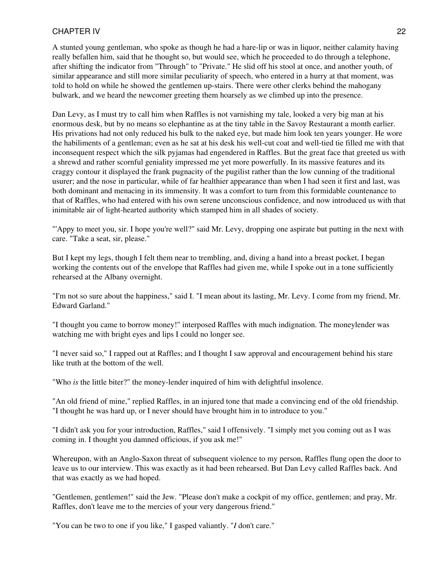A stunted young gentleman, who spoke as though he had a hare-lip or was in liquor, neither calamity having really befallen him, said that he thought so, but would see, which he proceeded to do through a telephone, after shifting the indicator from "Through" to "Private." He slid off his stool at once, and another youth, of similar appearance and still more similar peculiarity of speech, who entered in a hurry at that moment, was told to hold on while he showed the gentlemen up-stairs. There were other clerks behind the mahogany bulwark, and we heard the newcomer greeting them hoarsely as we climbed up into the presence.

Dan Levy, as I must try to call him when Raffles is not varnishing my tale, looked a very big man at his enormous desk, but by no means so elephantine as at the tiny table in the Savoy Restaurant a month earlier. His privations had not only reduced his bulk to the naked eye, but made him look ten years younger. He wore the habiliments of a gentleman; even as he sat at his desk his well-cut coat and well-tied tie filled me with that inconsequent respect which the silk pyjamas had engendered in Raffles. But the great face that greeted us with a shrewd and rather scornful geniality impressed me yet more powerfully. In its massive features and its craggy contour it displayed the frank pugnacity of the pugilist rather than the low cunning of the traditional usurer; and the nose in particular, while of far healthier appearance than when I had seen it first and last, was both dominant and menacing in its immensity. It was a comfort to turn from this formidable countenance to that of Raffles, who had entered with his own serene unconscious confidence, and now introduced us with that inimitable air of light-hearted authority which stamped him in all shades of society.

"'Appy to meet you, sir. I hope you're well?" said Mr. Levy, dropping one aspirate but putting in the next with care. "Take a seat, sir, please."

But I kept my legs, though I felt them near to trembling, and, diving a hand into a breast pocket, I began working the contents out of the envelope that Raffles had given me, while I spoke out in a tone sufficiently rehearsed at the Albany overnight.

"I'm not so sure about the happiness," said I. "I mean about its lasting, Mr. Levy. I come from my friend, Mr. Edward Garland."

"I thought you came to borrow money!" interposed Raffles with much indignation. The moneylender was watching me with bright eyes and lips I could no longer see.

"I never said so," I rapped out at Raffles; and I thought I saw approval and encouragement behind his stare like truth at the bottom of the well.

"Who *is* the little biter?" the money-lender inquired of him with delightful insolence.

"An old friend of mine," replied Raffles, in an injured tone that made a convincing end of the old friendship. "I thought he was hard up, or I never should have brought him in to introduce to you."

"I didn't ask you for your introduction, Raffles," said I offensively. "I simply met you coming out as I was coming in. I thought you damned officious, if you ask me!"

Whereupon, with an Anglo-Saxon threat of subsequent violence to my person, Raffles flung open the door to leave us to our interview. This was exactly as it had been rehearsed. But Dan Levy called Raffles back. And that was exactly as we had hoped.

"Gentlemen, gentlemen!" said the Jew. "Please don't make a cockpit of my office, gentlemen; and pray, Mr. Raffles, don't leave me to the mercies of your very dangerous friend."

"You can be two to one if you like," I gasped valiantly. "*I* don't care."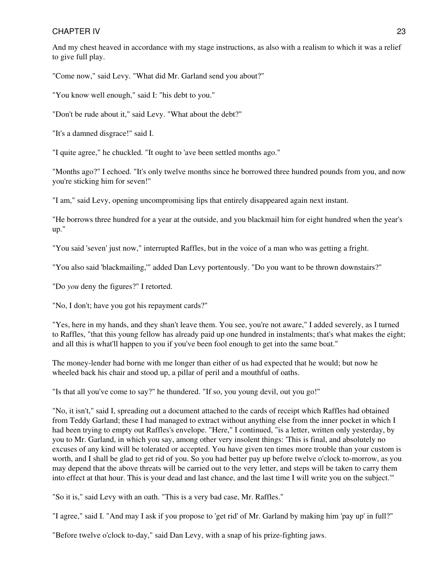And my chest heaved in accordance with my stage instructions, as also with a realism to which it was a relief to give full play.

"Come now," said Levy. "What did Mr. Garland send you about?"

"You know well enough," said I: "his debt to you."

"Don't be rude about it," said Levy. "What about the debt?"

"It's a damned disgrace!" said I.

"I quite agree," he chuckled. "It ought to 'ave been settled months ago."

"Months ago?" I echoed. "It's only twelve months since he borrowed three hundred pounds from you, and now you're sticking him for seven!"

"I am," said Levy, opening uncompromising lips that entirely disappeared again next instant.

"He borrows three hundred for a year at the outside, and you blackmail him for eight hundred when the year's up."

"You said 'seven' just now," interrupted Raffles, but in the voice of a man who was getting a fright.

"You also said 'blackmailing,'" added Dan Levy portentously. "Do you want to be thrown downstairs?"

"Do *you* deny the figures?" I retorted.

"No, I don't; have you got his repayment cards?"

"Yes, here in my hands, and they shan't leave them. You see, you're not aware," I added severely, as I turned to Raffles, "that this young fellow has already paid up one hundred in instalments; that's what makes the eight; and all this is what'll happen to you if you've been fool enough to get into the same boat."

The money-lender had borne with me longer than either of us had expected that he would; but now he wheeled back his chair and stood up, a pillar of peril and a mouthful of oaths.

"Is that all you've come to say?" he thundered. "If so, you young devil, out you go!"

"No, it isn't," said I, spreading out a document attached to the cards of receipt which Raffles had obtained from Teddy Garland; these I had managed to extract without anything else from the inner pocket in which I had been trying to empty out Raffles's envelope. "Here," I continued, "is a letter, written only yesterday, by you to Mr. Garland, in which you say, among other very insolent things: 'This is final, and absolutely no excuses of any kind will be tolerated or accepted. You have given ten times more trouble than your custom is worth, and I shall be glad to get rid of you. So you had better pay up before twelve o'clock to-morrow, as you may depend that the above threats will be carried out to the very letter, and steps will be taken to carry them into effect at that hour. This is your dead and last chance, and the last time I will write you on the subject.'"

"So it is," said Levy with an oath. "This is a very bad case, Mr. Raffles."

"I agree," said I. "And may I ask if you propose to 'get rid' of Mr. Garland by making him 'pay up' in full?"

"Before twelve o'clock to-day," said Dan Levy, with a snap of his prize-fighting jaws.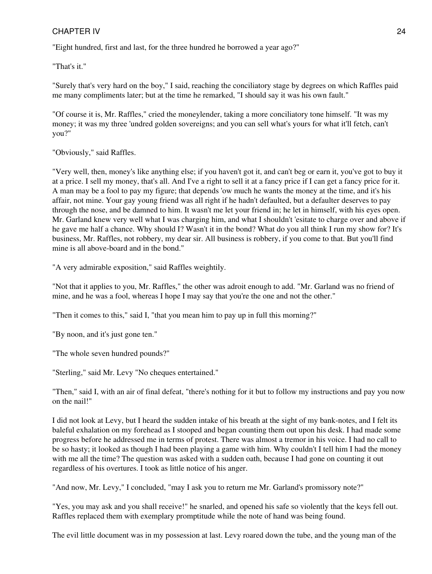"Eight hundred, first and last, for the three hundred he borrowed a year ago?"

"That's it."

"Surely that's very hard on the boy," I said, reaching the conciliatory stage by degrees on which Raffles paid me many compliments later; but at the time he remarked, "I should say it was his own fault."

"Of course it is, Mr. Raffles," cried the moneylender, taking a more conciliatory tone himself. "It was my money; it was my three 'undred golden sovereigns; and you can sell what's yours for what it'll fetch, can't you?"

"Obviously," said Raffles.

"Very well, then, money's like anything else; if you haven't got it, and can't beg or earn it, you've got to buy it at a price. I sell my money, that's all. And I've a right to sell it at a fancy price if I can get a fancy price for it. A man may be a fool to pay my figure; that depends 'ow much he wants the money at the time, and it's his affair, not mine. Your gay young friend was all right if he hadn't defaulted, but a defaulter deserves to pay through the nose, and be damned to him. It wasn't me let your friend in; he let in himself, with his eyes open. Mr. Garland knew very well what I was charging him, and what I shouldn't 'esitate to charge over and above if he gave me half a chance. Why should I? Wasn't it in the bond? What do you all think I run my show for? It's business, Mr. Raffles, not robbery, my dear sir. All business is robbery, if you come to that. But you'll find mine is all above-board and in the bond."

"A very admirable exposition," said Raffles weightily.

"Not that it applies to you, Mr. Raffles," the other was adroit enough to add. "Mr. Garland was no friend of mine, and he was a fool, whereas I hope I may say that you're the one and not the other."

"Then it comes to this," said I, "that you mean him to pay up in full this morning?"

"By noon, and it's just gone ten."

"The whole seven hundred pounds?"

"Sterling," said Mr. Levy "No cheques entertained."

"Then," said I, with an air of final defeat, "there's nothing for it but to follow my instructions and pay you now on the nail!"

I did not look at Levy, but I heard the sudden intake of his breath at the sight of my bank-notes, and I felt its baleful exhalation on my forehead as I stooped and began counting them out upon his desk. I had made some progress before he addressed me in terms of protest. There was almost a tremor in his voice. I had no call to be so hasty; it looked as though I had been playing a game with him. Why couldn't I tell him I had the money with me all the time? The question was asked with a sudden oath, because I had gone on counting it out regardless of his overtures. I took as little notice of his anger.

"And now, Mr. Levy," I concluded, "may I ask you to return me Mr. Garland's promissory note?"

"Yes, you may ask and you shall receive!" he snarled, and opened his safe so violently that the keys fell out. Raffles replaced them with exemplary promptitude while the note of hand was being found.

The evil little document was in my possession at last. Levy roared down the tube, and the young man of the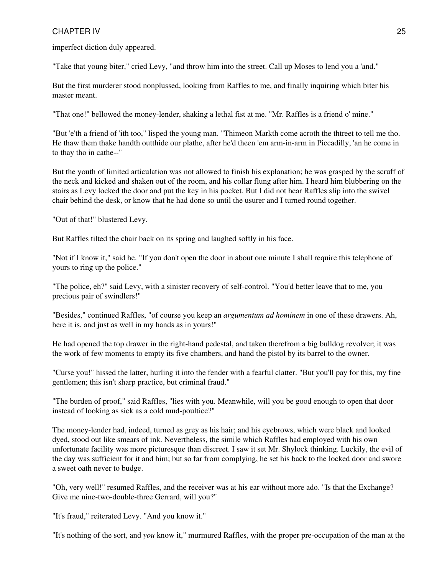imperfect diction duly appeared.

"Take that young biter," cried Levy, "and throw him into the street. Call up Moses to lend you a 'and."

But the first murderer stood nonplussed, looking from Raffles to me, and finally inquiring which biter his master meant.

"That one!" bellowed the money-lender, shaking a lethal fist at me. "Mr. Raffles is a friend o' mine."

"But 'e'th a friend of 'ith too," lisped the young man. "Thimeon Markth come acroth the thtreet to tell me tho. He thaw them thake handth outthide our plathe, after he'd theen 'em arm-in-arm in Piccadilly, 'an he come in to thay tho in cathe--"

But the youth of limited articulation was not allowed to finish his explanation; he was grasped by the scruff of the neck and kicked and shaken out of the room, and his collar flung after him. I heard him blubbering on the stairs as Levy locked the door and put the key in his pocket. But I did not hear Raffles slip into the swivel chair behind the desk, or know that he had done so until the usurer and I turned round together.

"Out of that!" blustered Levy.

But Raffles tilted the chair back on its spring and laughed softly in his face.

"Not if I know it," said he. "If you don't open the door in about one minute I shall require this telephone of yours to ring up the police."

"The police, eh?" said Levy, with a sinister recovery of self-control. "You'd better leave that to me, you precious pair of swindlers!"

"Besides," continued Raffles, "of course you keep an *argumentum ad hominem* in one of these drawers. Ah, here it is, and just as well in my hands as in yours!"

He had opened the top drawer in the right-hand pedestal, and taken therefrom a big bulldog revolver; it was the work of few moments to empty its five chambers, and hand the pistol by its barrel to the owner.

"Curse you!" hissed the latter, hurling it into the fender with a fearful clatter. "But you'll pay for this, my fine gentlemen; this isn't sharp practice, but criminal fraud."

"The burden of proof," said Raffles, "lies with you. Meanwhile, will you be good enough to open that door instead of looking as sick as a cold mud-poultice?"

The money-lender had, indeed, turned as grey as his hair; and his eyebrows, which were black and looked dyed, stood out like smears of ink. Nevertheless, the simile which Raffles had employed with his own unfortunate facility was more picturesque than discreet. I saw it set Mr. Shylock thinking. Luckily, the evil of the day was sufficient for it and him; but so far from complying, he set his back to the locked door and swore a sweet oath never to budge.

"Oh, very well!" resumed Raffles, and the receiver was at his ear without more ado. "Is that the Exchange? Give me nine-two-double-three Gerrard, will you?"

"It's fraud," reiterated Levy. "And you know it."

"It's nothing of the sort, and *you* know it," murmured Raffles, with the proper pre-occupation of the man at the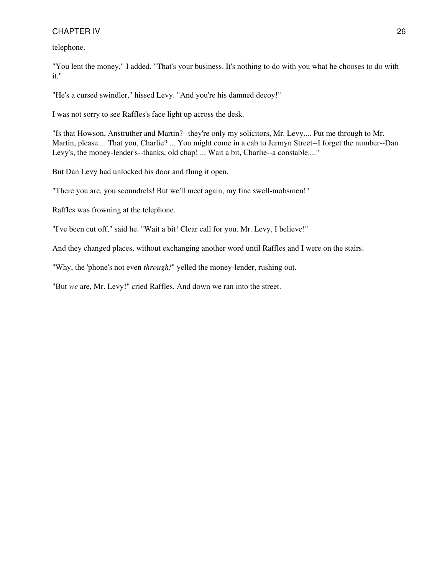telephone.

"You lent the money," I added. "That's your business. It's nothing to do with you what he chooses to do with it."

"He's a cursed swindler," hissed Levy. "And you're his damned decoy!"

I was not sorry to see Raffles's face light up across the desk.

"Is that Howson, Anstruther and Martin?--they're only my solicitors, Mr. Levy.... Put me through to Mr. Martin, please.... That you, Charlie? ... You might come in a cab to Jermyn Street--I forget the number--Dan Levy's, the money-lender's--thanks, old chap! ... Wait a bit, Charlie--a constable...."

But Dan Levy had unlocked his door and flung it open.

"There you are, you scoundrels! But we'll meet again, my fine swell-mobsmen!"

Raffles was frowning at the telephone.

"I've been cut off," said he. "Wait a bit! Clear call for you, Mr. Levy, I believe!"

And they changed places, without exchanging another word until Raffles and I were on the stairs.

"Why, the 'phone's not even *through!*" yelled the money-lender, rushing out.

"But *we* are, Mr. Levy!" cried Raffles. And down we ran into the street.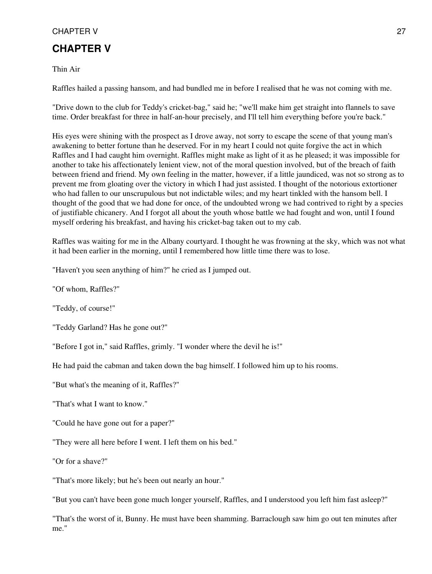### <span id="page-26-0"></span>**CHAPTER V**

Thin Air

Raffles hailed a passing hansom, and had bundled me in before I realised that he was not coming with me.

"Drive down to the club for Teddy's cricket-bag," said he; "we'll make him get straight into flannels to save time. Order breakfast for three in half-an-hour precisely, and I'll tell him everything before you're back."

His eyes were shining with the prospect as I drove away, not sorry to escape the scene of that young man's awakening to better fortune than he deserved. For in my heart I could not quite forgive the act in which Raffles and I had caught him overnight. Raffles might make as light of it as he pleased; it was impossible for another to take his affectionately lenient view, not of the moral question involved, but of the breach of faith between friend and friend. My own feeling in the matter, however, if a little jaundiced, was not so strong as to prevent me from gloating over the victory in which I had just assisted. I thought of the notorious extortioner who had fallen to our unscrupulous but not indictable wiles; and my heart tinkled with the hansom bell. I thought of the good that we had done for once, of the undoubted wrong we had contrived to right by a species of justifiable chicanery. And I forgot all about the youth whose battle we had fought and won, until I found myself ordering his breakfast, and having his cricket-bag taken out to my cab.

Raffles was waiting for me in the Albany courtyard. I thought he was frowning at the sky, which was not what it had been earlier in the morning, until I remembered how little time there was to lose.

"Haven't you seen anything of him?" he cried as I jumped out.

"Of whom, Raffles?"

"Teddy, of course!"

"Teddy Garland? Has he gone out?"

"Before I got in," said Raffles, grimly. "I wonder where the devil he is!"

He had paid the cabman and taken down the bag himself. I followed him up to his rooms.

"But what's the meaning of it, Raffles?"

"That's what I want to know."

"Could he have gone out for a paper?"

"They were all here before I went. I left them on his bed."

"Or for a shave?"

"That's more likely; but he's been out nearly an hour."

"But you can't have been gone much longer yourself, Raffles, and I understood you left him fast asleep?"

"That's the worst of it, Bunny. He must have been shamming. Barraclough saw him go out ten minutes after me."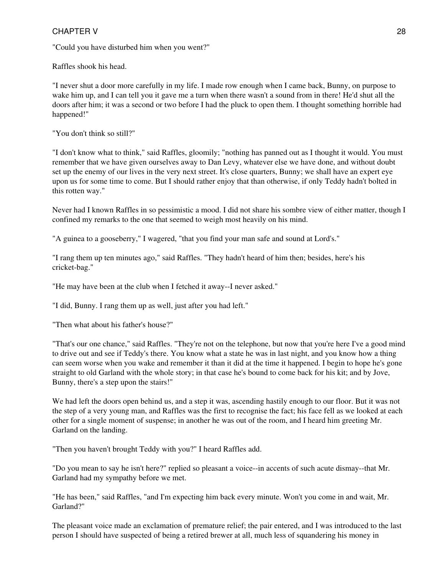"Could you have disturbed him when you went?"

Raffles shook his head.

"I never shut a door more carefully in my life. I made row enough when I came back, Bunny, on purpose to wake him up, and I can tell you it gave me a turn when there wasn't a sound from in there! He'd shut all the doors after him; it was a second or two before I had the pluck to open them. I thought something horrible had happened!"

"You don't think so still?"

"I don't know what to think," said Raffles, gloomily; "nothing has panned out as I thought it would. You must remember that we have given ourselves away to Dan Levy, whatever else we have done, and without doubt set up the enemy of our lives in the very next street. It's close quarters, Bunny; we shall have an expert eye upon us for some time to come. But I should rather enjoy that than otherwise, if only Teddy hadn't bolted in this rotten way."

Never had I known Raffles in so pessimistic a mood. I did not share his sombre view of either matter, though I confined my remarks to the one that seemed to weigh most heavily on his mind.

"A guinea to a gooseberry," I wagered, "that you find your man safe and sound at Lord's."

"I rang them up ten minutes ago," said Raffles. "They hadn't heard of him then; besides, here's his cricket-bag."

"He may have been at the club when I fetched it away--I never asked."

"I did, Bunny. I rang them up as well, just after you had left."

"Then what about his father's house?"

"That's our one chance," said Raffles. "They're not on the telephone, but now that you're here I've a good mind to drive out and see if Teddy's there. You know what a state he was in last night, and you know how a thing can seem worse when you wake and remember it than it did at the time it happened. I begin to hope he's gone straight to old Garland with the whole story; in that case he's bound to come back for his kit; and by Jove, Bunny, there's a step upon the stairs!"

We had left the doors open behind us, and a step it was, ascending hastily enough to our floor. But it was not the step of a very young man, and Raffles was the first to recognise the fact; his face fell as we looked at each other for a single moment of suspense; in another he was out of the room, and I heard him greeting Mr. Garland on the landing.

"Then you haven't brought Teddy with you?" I heard Raffles add.

"Do you mean to say he isn't here?" replied so pleasant a voice--in accents of such acute dismay--that Mr. Garland had my sympathy before we met.

"He has been," said Raffles, "and I'm expecting him back every minute. Won't you come in and wait, Mr. Garland?"

The pleasant voice made an exclamation of premature relief; the pair entered, and I was introduced to the last person I should have suspected of being a retired brewer at all, much less of squandering his money in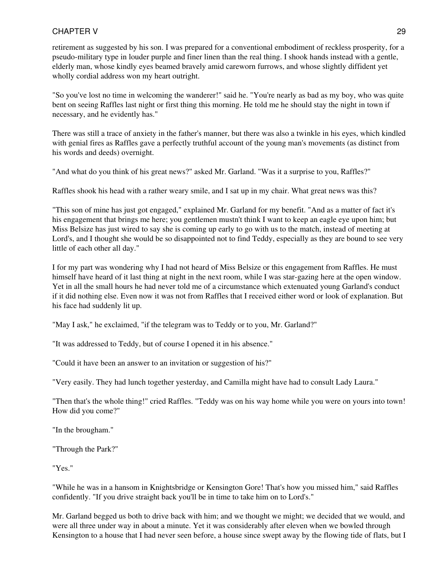retirement as suggested by his son. I was prepared for a conventional embodiment of reckless prosperity, for a pseudo-military type in louder purple and finer linen than the real thing. I shook hands instead with a gentle, elderly man, whose kindly eyes beamed bravely amid careworn furrows, and whose slightly diffident yet wholly cordial address won my heart outright.

"So you've lost no time in welcoming the wanderer!" said he. "You're nearly as bad as my boy, who was quite bent on seeing Raffles last night or first thing this morning. He told me he should stay the night in town if necessary, and he evidently has."

There was still a trace of anxiety in the father's manner, but there was also a twinkle in his eyes, which kindled with genial fires as Raffles gave a perfectly truthful account of the young man's movements (as distinct from his words and deeds) overnight.

"And what do you think of his great news?" asked Mr. Garland. "Was it a surprise to you, Raffles?"

Raffles shook his head with a rather weary smile, and I sat up in my chair. What great news was this?

"This son of mine has just got engaged," explained Mr. Garland for my benefit. "And as a matter of fact it's his engagement that brings me here; you gentlemen mustn't think I want to keep an eagle eye upon him; but Miss Belsize has just wired to say she is coming up early to go with us to the match, instead of meeting at Lord's, and I thought she would be so disappointed not to find Teddy, especially as they are bound to see very little of each other all day."

I for my part was wondering why I had not heard of Miss Belsize or this engagement from Raffles. He must himself have heard of it last thing at night in the next room, while I was star-gazing here at the open window. Yet in all the small hours he had never told me of a circumstance which extenuated young Garland's conduct if it did nothing else. Even now it was not from Raffles that I received either word or look of explanation. But his face had suddenly lit up.

"May I ask," he exclaimed, "if the telegram was to Teddy or to you, Mr. Garland?"

"It was addressed to Teddy, but of course I opened it in his absence."

"Could it have been an answer to an invitation or suggestion of his?"

"Very easily. They had lunch together yesterday, and Camilla might have had to consult Lady Laura."

"Then that's the whole thing!" cried Raffles. "Teddy was on his way home while you were on yours into town! How did you come?"

"In the brougham."

"Through the Park?"

"Yes."

"While he was in a hansom in Knightsbridge or Kensington Gore! That's how you missed him," said Raffles confidently. "If you drive straight back you'll be in time to take him on to Lord's."

Mr. Garland begged us both to drive back with him; and we thought we might; we decided that we would, and were all three under way in about a minute. Yet it was considerably after eleven when we bowled through Kensington to a house that I had never seen before, a house since swept away by the flowing tide of flats, but I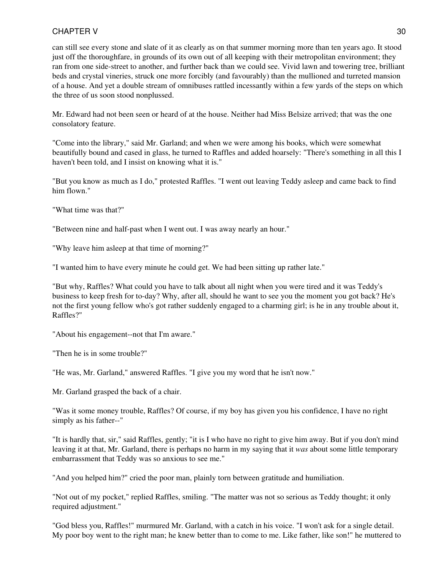can still see every stone and slate of it as clearly as on that summer morning more than ten years ago. It stood just off the thoroughfare, in grounds of its own out of all keeping with their metropolitan environment; they ran from one side-street to another, and further back than we could see. Vivid lawn and towering tree, brilliant beds and crystal vineries, struck one more forcibly (and favourably) than the mullioned and turreted mansion of a house. And yet a double stream of omnibuses rattled incessantly within a few yards of the steps on which the three of us soon stood nonplussed.

Mr. Edward had not been seen or heard of at the house. Neither had Miss Belsize arrived; that was the one consolatory feature.

"Come into the library," said Mr. Garland; and when we were among his books, which were somewhat beautifully bound and cased in glass, he turned to Raffles and added hoarsely: "There's something in all this I haven't been told, and I insist on knowing what it is."

"But you know as much as I do," protested Raffles. "I went out leaving Teddy asleep and came back to find him flown."

"What time was that?"

"Between nine and half-past when I went out. I was away nearly an hour."

"Why leave him asleep at that time of morning?"

"I wanted him to have every minute he could get. We had been sitting up rather late."

"But why, Raffles? What could you have to talk about all night when you were tired and it was Teddy's business to keep fresh for to-day? Why, after all, should he want to see you the moment you got back? He's not the first young fellow who's got rather suddenly engaged to a charming girl; is he in any trouble about it, Raffles?"

"About his engagement--not that I'm aware."

"Then he is in some trouble?"

"He was, Mr. Garland," answered Raffles. "I give you my word that he isn't now."

Mr. Garland grasped the back of a chair.

"Was it some money trouble, Raffles? Of course, if my boy has given you his confidence, I have no right simply as his father--"

"It is hardly that, sir," said Raffles, gently; "it is I who have no right to give him away. But if you don't mind leaving it at that, Mr. Garland, there is perhaps no harm in my saying that it *was* about some little temporary embarrassment that Teddy was so anxious to see me."

"And you helped him?" cried the poor man, plainly torn between gratitude and humiliation.

"Not out of my pocket," replied Raffles, smiling. "The matter was not so serious as Teddy thought; it only required adjustment."

"God bless you, Raffles!" murmured Mr. Garland, with a catch in his voice. "I won't ask for a single detail. My poor boy went to the right man; he knew better than to come to me. Like father, like son!" he muttered to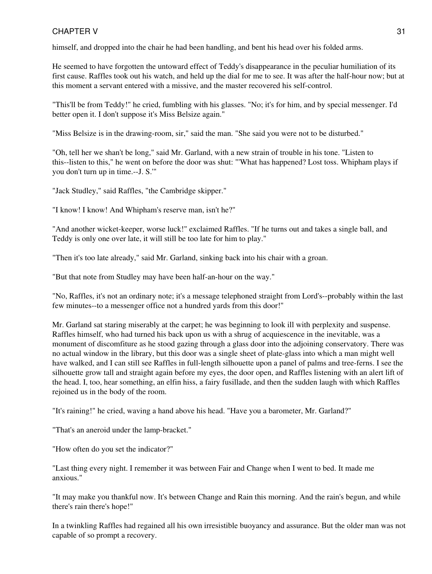himself, and dropped into the chair he had been handling, and bent his head over his folded arms.

He seemed to have forgotten the untoward effect of Teddy's disappearance in the peculiar humiliation of its first cause. Raffles took out his watch, and held up the dial for me to see. It was after the half-hour now; but at this moment a servant entered with a missive, and the master recovered his self-control.

"This'll be from Teddy!" he cried, fumbling with his glasses. "No; it's for him, and by special messenger. I'd better open it. I don't suppose it's Miss Belsize again."

"Miss Belsize is in the drawing-room, sir," said the man. "She said you were not to be disturbed."

"Oh, tell her we shan't be long," said Mr. Garland, with a new strain of trouble in his tone. "Listen to this--listen to this," he went on before the door was shut: "'What has happened? Lost toss. Whipham plays if you don't turn up in time.--J. S.'"

"Jack Studley," said Raffles, "the Cambridge skipper."

"I know! I know! And Whipham's reserve man, isn't he?"

"And another wicket-keeper, worse luck!" exclaimed Raffles. "If he turns out and takes a single ball, and Teddy is only one over late, it will still be too late for him to play."

"Then it's too late already," said Mr. Garland, sinking back into his chair with a groan.

"But that note from Studley may have been half-an-hour on the way."

"No, Raffles, it's not an ordinary note; it's a message telephoned straight from Lord's--probably within the last few minutes--to a messenger office not a hundred yards from this door!"

Mr. Garland sat staring miserably at the carpet; he was beginning to look ill with perplexity and suspense. Raffles himself, who had turned his back upon us with a shrug of acquiescence in the inevitable, was a monument of discomfiture as he stood gazing through a glass door into the adjoining conservatory. There was no actual window in the library, but this door was a single sheet of plate-glass into which a man might well have walked, and I can still see Raffles in full-length silhouette upon a panel of palms and tree-ferns. I see the silhouette grow tall and straight again before my eyes, the door open, and Raffles listening with an alert lift of the head. I, too, hear something, an elfin hiss, a fairy fusillade, and then the sudden laugh with which Raffles rejoined us in the body of the room.

"It's raining!" he cried, waving a hand above his head. "Have you a barometer, Mr. Garland?"

"That's an aneroid under the lamp-bracket."

"How often do you set the indicator?"

"Last thing every night. I remember it was between Fair and Change when I went to bed. It made me anxious."

"It may make you thankful now. It's between Change and Rain this morning. And the rain's begun, and while there's rain there's hope!"

In a twinkling Raffles had regained all his own irresistible buoyancy and assurance. But the older man was not capable of so prompt a recovery.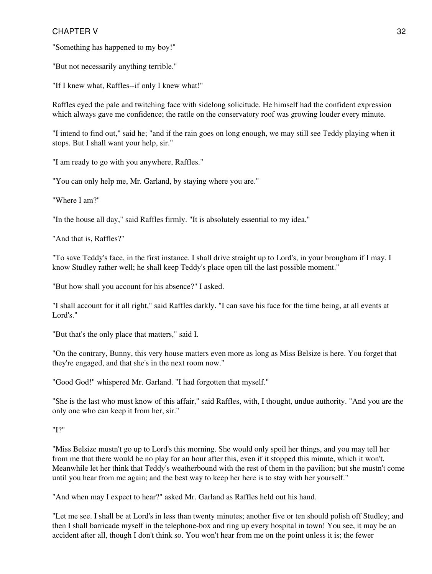"Something has happened to my boy!"

"But not necessarily anything terrible."

"If I knew what, Raffles--if only I knew what!"

Raffles eyed the pale and twitching face with sidelong solicitude. He himself had the confident expression which always gave me confidence; the rattle on the conservatory roof was growing louder every minute.

"I intend to find out," said he; "and if the rain goes on long enough, we may still see Teddy playing when it stops. But I shall want your help, sir."

"I am ready to go with you anywhere, Raffles."

"You can only help me, Mr. Garland, by staying where you are."

"Where I am?"

"In the house all day," said Raffles firmly. "It is absolutely essential to my idea."

"And that is, Raffles?"

"To save Teddy's face, in the first instance. I shall drive straight up to Lord's, in your brougham if I may. I know Studley rather well; he shall keep Teddy's place open till the last possible moment."

"But how shall you account for his absence?" I asked.

"I shall account for it all right," said Raffles darkly. "I can save his face for the time being, at all events at Lord's."

"But that's the only place that matters," said I.

"On the contrary, Bunny, this very house matters even more as long as Miss Belsize is here. You forget that they're engaged, and that she's in the next room now."

"Good God!" whispered Mr. Garland. "I had forgotten that myself."

"She is the last who must know of this affair," said Raffles, with, I thought, undue authority. "And you are the only one who can keep it from her, sir."

"I?"

"Miss Belsize mustn't go up to Lord's this morning. She would only spoil her things, and you may tell her from me that there would be no play for an hour after this, even if it stopped this minute, which it won't. Meanwhile let her think that Teddy's weatherbound with the rest of them in the pavilion; but she mustn't come until you hear from me again; and the best way to keep her here is to stay with her yourself."

"And when may I expect to hear?" asked Mr. Garland as Raffles held out his hand.

"Let me see. I shall be at Lord's in less than twenty minutes; another five or ten should polish off Studley; and then I shall barricade myself in the telephone-box and ring up every hospital in town! You see, it may be an accident after all, though I don't think so. You won't hear from me on the point unless it is; the fewer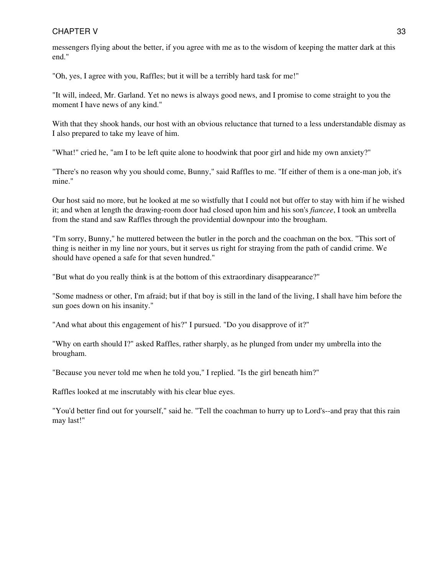messengers flying about the better, if you agree with me as to the wisdom of keeping the matter dark at this end."

"Oh, yes, I agree with you, Raffles; but it will be a terribly hard task for me!"

"It will, indeed, Mr. Garland. Yet no news is always good news, and I promise to come straight to you the moment I have news of any kind."

With that they shook hands, our host with an obvious reluctance that turned to a less understandable dismay as I also prepared to take my leave of him.

"What!" cried he, "am I to be left quite alone to hoodwink that poor girl and hide my own anxiety?"

"There's no reason why you should come, Bunny," said Raffles to me. "If either of them is a one-man job, it's mine."

Our host said no more, but he looked at me so wistfully that I could not but offer to stay with him if he wished it; and when at length the drawing-room door had closed upon him and his son's *fiancee*, I took an umbrella from the stand and saw Raffles through the providential downpour into the brougham.

"I'm sorry, Bunny," he muttered between the butler in the porch and the coachman on the box. "This sort of thing is neither in my line nor yours, but it serves us right for straying from the path of candid crime. We should have opened a safe for that seven hundred."

"But what do you really think is at the bottom of this extraordinary disappearance?"

"Some madness or other, I'm afraid; but if that boy is still in the land of the living, I shall have him before the sun goes down on his insanity."

"And what about this engagement of his?" I pursued. "Do you disapprove of it?"

"Why on earth should I?" asked Raffles, rather sharply, as he plunged from under my umbrella into the brougham.

"Because you never told me when he told you," I replied. "Is the girl beneath him?"

Raffles looked at me inscrutably with his clear blue eyes.

"You'd better find out for yourself," said he. "Tell the coachman to hurry up to Lord's--and pray that this rain may last!"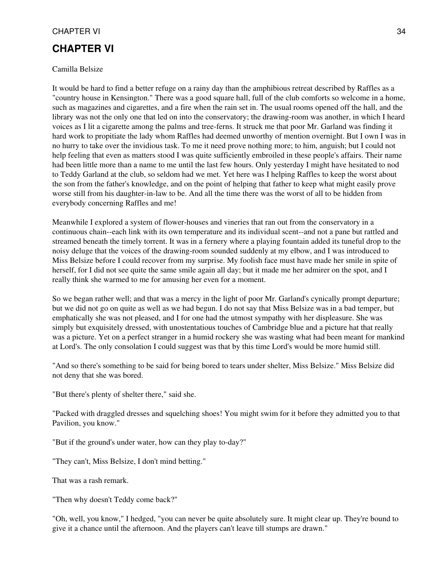### <span id="page-33-0"></span>**CHAPTER VI**

#### Camilla Belsize

It would be hard to find a better refuge on a rainy day than the amphibious retreat described by Raffles as a "country house in Kensington." There was a good square hall, full of the club comforts so welcome in a home, such as magazines and cigarettes, and a fire when the rain set in. The usual rooms opened off the hall, and the library was not the only one that led on into the conservatory; the drawing-room was another, in which I heard voices as I lit a cigarette among the palms and tree-ferns. It struck me that poor Mr. Garland was finding it hard work to propitiate the lady whom Raffles had deemed unworthy of mention overnight. But I own I was in no hurry to take over the invidious task. To me it need prove nothing more; to him, anguish; but I could not help feeling that even as matters stood I was quite sufficiently embroiled in these people's affairs. Their name had been little more than a name to me until the last few hours. Only yesterday I might have hesitated to nod to Teddy Garland at the club, so seldom had we met. Yet here was I helping Raffles to keep the worst about the son from the father's knowledge, and on the point of helping that father to keep what might easily prove worse still from his daughter-in-law to be. And all the time there was the worst of all to be hidden from everybody concerning Raffles and me!

Meanwhile I explored a system of flower-houses and vineries that ran out from the conservatory in a continuous chain--each link with its own temperature and its individual scent--and not a pane but rattled and streamed beneath the timely torrent. It was in a fernery where a playing fountain added its tuneful drop to the noisy deluge that the voices of the drawing-room sounded suddenly at my elbow, and I was introduced to Miss Belsize before I could recover from my surprise. My foolish face must have made her smile in spite of herself, for I did not see quite the same smile again all day; but it made me her admirer on the spot, and I really think she warmed to me for amusing her even for a moment.

So we began rather well; and that was a mercy in the light of poor Mr. Garland's cynically prompt departure; but we did not go on quite as well as we had begun. I do not say that Miss Belsize was in a bad temper, but emphatically she was not pleased, and I for one had the utmost sympathy with her displeasure. She was simply but exquisitely dressed, with unostentatious touches of Cambridge blue and a picture hat that really was a picture. Yet on a perfect stranger in a humid rockery she was wasting what had been meant for mankind at Lord's. The only consolation I could suggest was that by this time Lord's would be more humid still.

"And so there's something to be said for being bored to tears under shelter, Miss Belsize." Miss Belsize did not deny that she was bored.

"But there's plenty of shelter there," said she.

"Packed with draggled dresses and squelching shoes! You might swim for it before they admitted you to that Pavilion, you know."

"But if the ground's under water, how can they play to-day?"

"They can't, Miss Belsize, I don't mind betting."

That was a rash remark.

"Then why doesn't Teddy come back?"

"Oh, well, you know," I hedged, "you can never be quite absolutely sure. It might clear up. They're bound to give it a chance until the afternoon. And the players can't leave till stumps are drawn."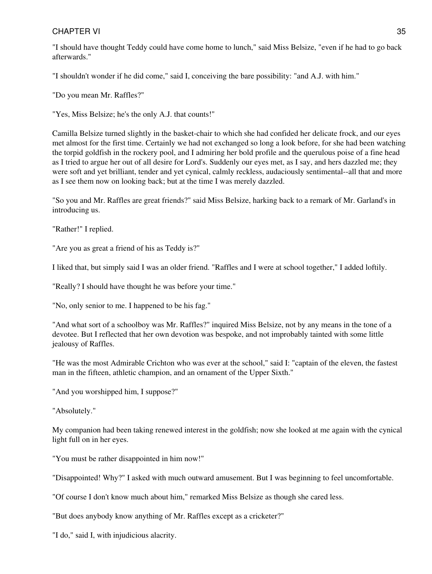"I should have thought Teddy could have come home to lunch," said Miss Belsize, "even if he had to go back afterwards."

"I shouldn't wonder if he did come," said I, conceiving the bare possibility: "and A.J. with him."

"Do you mean Mr. Raffles?"

"Yes, Miss Belsize; he's the only A.J. that counts!"

Camilla Belsize turned slightly in the basket-chair to which she had confided her delicate frock, and our eyes met almost for the first time. Certainly we had not exchanged so long a look before, for she had been watching the torpid goldfish in the rockery pool, and I admiring her bold profile and the querulous poise of a fine head as I tried to argue her out of all desire for Lord's. Suddenly our eyes met, as I say, and hers dazzled me; they were soft and yet brilliant, tender and yet cynical, calmly reckless, audaciously sentimental--all that and more as I see them now on looking back; but at the time I was merely dazzled.

"So you and Mr. Raffles are great friends?" said Miss Belsize, harking back to a remark of Mr. Garland's in introducing us.

"Rather!" I replied.

"Are you as great a friend of his as Teddy is?"

I liked that, but simply said I was an older friend. "Raffles and I were at school together," I added loftily.

"Really? I should have thought he was before your time."

"No, only senior to me. I happened to be his fag."

"And what sort of a schoolboy was Mr. Raffles?" inquired Miss Belsize, not by any means in the tone of a devotee. But I reflected that her own devotion was bespoke, and not improbably tainted with some little jealousy of Raffles.

"He was the most Admirable Crichton who was ever at the school," said I: "captain of the eleven, the fastest man in the fifteen, athletic champion, and an ornament of the Upper Sixth."

"And you worshipped him, I suppose?"

"Absolutely."

My companion had been taking renewed interest in the goldfish; now she looked at me again with the cynical light full on in her eyes.

"You must be rather disappointed in him now!"

"Disappointed! Why?" I asked with much outward amusement. But I was beginning to feel uncomfortable.

"Of course I don't know much about him," remarked Miss Belsize as though she cared less.

"But does anybody know anything of Mr. Raffles except as a cricketer?"

"I do," said I, with injudicious alacrity.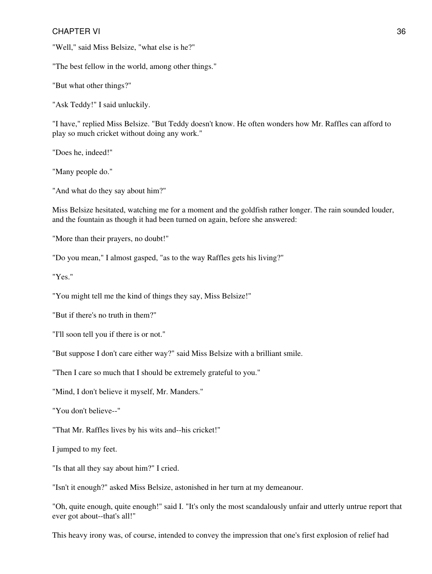"Well," said Miss Belsize, "what else is he?"

"The best fellow in the world, among other things."

"But what other things?"

"Ask Teddy!" I said unluckily.

"I have," replied Miss Belsize. "But Teddy doesn't know. He often wonders how Mr. Raffles can afford to play so much cricket without doing any work."

"Does he, indeed!"

"Many people do."

"And what do they say about him?"

Miss Belsize hesitated, watching me for a moment and the goldfish rather longer. The rain sounded louder, and the fountain as though it had been turned on again, before she answered:

"More than their prayers, no doubt!"

"Do you mean," I almost gasped, "as to the way Raffles gets his living?"

"Yes."

"You might tell me the kind of things they say, Miss Belsize!"

"But if there's no truth in them?"

"I'll soon tell you if there is or not."

"But suppose I don't care either way?" said Miss Belsize with a brilliant smile.

"Then I care so much that I should be extremely grateful to you."

"Mind, I don't believe it myself, Mr. Manders."

"You don't believe--"

"That Mr. Raffles lives by his wits and--his cricket!"

I jumped to my feet.

"Is that all they say about him?" I cried.

"Isn't it enough?" asked Miss Belsize, astonished in her turn at my demeanour.

"Oh, quite enough, quite enough!" said I. "It's only the most scandalously unfair and utterly untrue report that ever got about--that's all!"

This heavy irony was, of course, intended to convey the impression that one's first explosion of relief had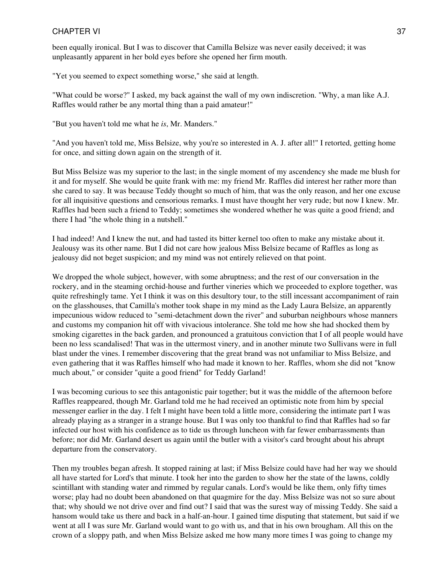been equally ironical. But I was to discover that Camilla Belsize was never easily deceived; it was unpleasantly apparent in her bold eyes before she opened her firm mouth.

"Yet you seemed to expect something worse," she said at length.

"What could be worse?" I asked, my back against the wall of my own indiscretion. "Why, a man like A.J. Raffles would rather be any mortal thing than a paid amateur!"

"But you haven't told me what he *is*, Mr. Manders."

"And you haven't told me, Miss Belsize, why you're so interested in A. J. after all!" I retorted, getting home for once, and sitting down again on the strength of it.

But Miss Belsize was my superior to the last; in the single moment of my ascendency she made me blush for it and for myself. She would be quite frank with me: my friend Mr. Raffles did interest her rather more than she cared to say. It was because Teddy thought so much of him, that was the only reason, and her one excuse for all inquisitive questions and censorious remarks. I must have thought her very rude; but now I knew. Mr. Raffles had been such a friend to Teddy; sometimes she wondered whether he was quite a good friend; and there I had "the whole thing in a nutshell."

I had indeed! And I knew the nut, and had tasted its bitter kernel too often to make any mistake about it. Jealousy was its other name. But I did not care how jealous Miss Belsize became of Raffles as long as jealousy did not beget suspicion; and my mind was not entirely relieved on that point.

We dropped the whole subject, however, with some abruptness; and the rest of our conversation in the rockery, and in the steaming orchid-house and further vineries which we proceeded to explore together, was quite refreshingly tame. Yet I think it was on this desultory tour, to the still incessant accompaniment of rain on the glasshouses, that Camilla's mother took shape in my mind as the Lady Laura Belsize, an apparently impecunious widow reduced to "semi-detachment down the river" and suburban neighbours whose manners and customs my companion hit off with vivacious intolerance. She told me how she had shocked them by smoking cigarettes in the back garden, and pronounced a gratuitous conviction that I of all people would have been no less scandalised! That was in the uttermost vinery, and in another minute two Sullivans were in full blast under the vines. I remember discovering that the great brand was not unfamiliar to Miss Belsize, and even gathering that it was Raffles himself who had made it known to her. Raffles, whom she did not "know much about," or consider "quite a good friend" for Teddy Garland!

I was becoming curious to see this antagonistic pair together; but it was the middle of the afternoon before Raffles reappeared, though Mr. Garland told me he had received an optimistic note from him by special messenger earlier in the day. I felt I might have been told a little more, considering the intimate part I was already playing as a stranger in a strange house. But I was only too thankful to find that Raffles had so far infected our host with his confidence as to tide us through luncheon with far fewer embarrassments than before; nor did Mr. Garland desert us again until the butler with a visitor's card brought about his abrupt departure from the conservatory.

Then my troubles began afresh. It stopped raining at last; if Miss Belsize could have had her way we should all have started for Lord's that minute. I took her into the garden to show her the state of the lawns, coldly scintillant with standing water and rimmed by regular canals. Lord's would be like them, only fifty times worse; play had no doubt been abandoned on that quagmire for the day. Miss Belsize was not so sure about that; why should we not drive over and find out? I said that was the surest way of missing Teddy. She said a hansom would take us there and back in a half-an-hour. I gained time disputing that statement, but said if we went at all I was sure Mr. Garland would want to go with us, and that in his own brougham. All this on the crown of a sloppy path, and when Miss Belsize asked me how many more times I was going to change my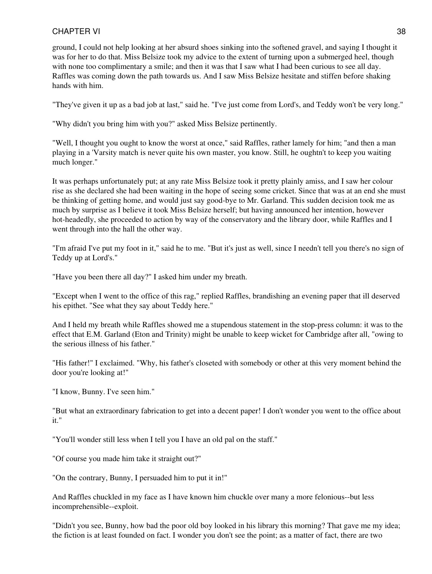ground, I could not help looking at her absurd shoes sinking into the softened gravel, and saying I thought it was for her to do that. Miss Belsize took my advice to the extent of turning upon a submerged heel, though with none too complimentary a smile; and then it was that I saw what I had been curious to see all day. Raffles was coming down the path towards us. And I saw Miss Belsize hesitate and stiffen before shaking hands with him.

"They've given it up as a bad job at last," said he. "I've just come from Lord's, and Teddy won't be very long."

"Why didn't you bring him with you?" asked Miss Belsize pertinently.

"Well, I thought you ought to know the worst at once," said Raffles, rather lamely for him; "and then a man playing in a 'Varsity match is never quite his own master, you know. Still, he oughtn't to keep you waiting much longer."

It was perhaps unfortunately put; at any rate Miss Belsize took it pretty plainly amiss, and I saw her colour rise as she declared she had been waiting in the hope of seeing some cricket. Since that was at an end she must be thinking of getting home, and would just say good-bye to Mr. Garland. This sudden decision took me as much by surprise as I believe it took Miss Belsize herself; but having announced her intention, however hot-headedly, she proceeded to action by way of the conservatory and the library door, while Raffles and I went through into the hall the other way.

"I'm afraid I've put my foot in it," said he to me. "But it's just as well, since I needn't tell you there's no sign of Teddy up at Lord's."

"Have you been there all day?" I asked him under my breath.

"Except when I went to the office of this rag," replied Raffles, brandishing an evening paper that ill deserved his epithet. "See what they say about Teddy here."

And I held my breath while Raffles showed me a stupendous statement in the stop-press column: it was to the effect that E.M. Garland (Eton and Trinity) might be unable to keep wicket for Cambridge after all, "owing to the serious illness of his father."

"His father!" I exclaimed. "Why, his father's closeted with somebody or other at this very moment behind the door you're looking at!"

"I know, Bunny. I've seen him."

"But what an extraordinary fabrication to get into a decent paper! I don't wonder you went to the office about it."

"You'll wonder still less when I tell you I have an old pal on the staff."

"Of course you made him take it straight out?"

"On the contrary, Bunny, I persuaded him to put it in!"

And Raffles chuckled in my face as I have known him chuckle over many a more felonious--but less incomprehensible--exploit.

"Didn't you see, Bunny, how bad the poor old boy looked in his library this morning? That gave me my idea; the fiction is at least founded on fact. I wonder you don't see the point; as a matter of fact, there are two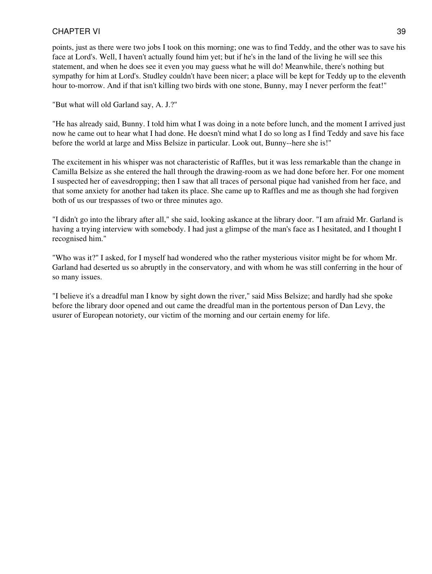points, just as there were two jobs I took on this morning; one was to find Teddy, and the other was to save his face at Lord's. Well, I haven't actually found him yet; but if he's in the land of the living he will see this statement, and when he does see it even you may guess what he will do! Meanwhile, there's nothing but sympathy for him at Lord's. Studley couldn't have been nicer; a place will be kept for Teddy up to the eleventh hour to-morrow. And if that isn't killing two birds with one stone, Bunny, may I never perform the feat!"

"But what will old Garland say, A. J.?"

"He has already said, Bunny. I told him what I was doing in a note before lunch, and the moment I arrived just now he came out to hear what I had done. He doesn't mind what I do so long as I find Teddy and save his face before the world at large and Miss Belsize in particular. Look out, Bunny--here she is!"

The excitement in his whisper was not characteristic of Raffles, but it was less remarkable than the change in Camilla Belsize as she entered the hall through the drawing-room as we had done before her. For one moment I suspected her of eavesdropping; then I saw that all traces of personal pique had vanished from her face, and that some anxiety for another had taken its place. She came up to Raffles and me as though she had forgiven both of us our trespasses of two or three minutes ago.

"I didn't go into the library after all," she said, looking askance at the library door. "I am afraid Mr. Garland is having a trying interview with somebody. I had just a glimpse of the man's face as I hesitated, and I thought I recognised him."

"Who was it?" I asked, for I myself had wondered who the rather mysterious visitor might be for whom Mr. Garland had deserted us so abruptly in the conservatory, and with whom he was still conferring in the hour of so many issues.

"I believe it's a dreadful man I know by sight down the river," said Miss Belsize; and hardly had she spoke before the library door opened and out came the dreadful man in the portentous person of Dan Levy, the usurer of European notoriety, our victim of the morning and our certain enemy for life.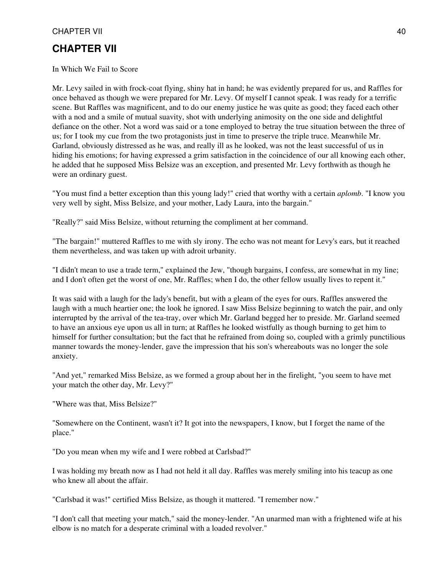## **CHAPTER VII**

In Which We Fail to Score

Mr. Levy sailed in with frock-coat flying, shiny hat in hand; he was evidently prepared for us, and Raffles for once behaved as though we were prepared for Mr. Levy. Of myself I cannot speak. I was ready for a terrific scene. But Raffles was magnificent, and to do our enemy justice he was quite as good; they faced each other with a nod and a smile of mutual suavity, shot with underlying animosity on the one side and delightful defiance on the other. Not a word was said or a tone employed to betray the true situation between the three of us; for I took my cue from the two protagonists just in time to preserve the triple truce. Meanwhile Mr. Garland, obviously distressed as he was, and really ill as he looked, was not the least successful of us in hiding his emotions; for having expressed a grim satisfaction in the coincidence of our all knowing each other, he added that he supposed Miss Belsize was an exception, and presented Mr. Levy forthwith as though he were an ordinary guest.

"You must find a better exception than this young lady!" cried that worthy with a certain *aplomb*. "I know you very well by sight, Miss Belsize, and your mother, Lady Laura, into the bargain."

"Really?" said Miss Belsize, without returning the compliment at her command.

"The bargain!" muttered Raffles to me with sly irony. The echo was not meant for Levy's ears, but it reached them nevertheless, and was taken up with adroit urbanity.

"I didn't mean to use a trade term," explained the Jew, "though bargains, I confess, are somewhat in my line; and I don't often get the worst of one, Mr. Raffles; when I do, the other fellow usually lives to repent it."

It was said with a laugh for the lady's benefit, but with a gleam of the eyes for ours. Raffles answered the laugh with a much heartier one; the look he ignored. I saw Miss Belsize beginning to watch the pair, and only interrupted by the arrival of the tea-tray, over which Mr. Garland begged her to preside. Mr. Garland seemed to have an anxious eye upon us all in turn; at Raffles he looked wistfully as though burning to get him to himself for further consultation; but the fact that he refrained from doing so, coupled with a grimly punctilious manner towards the money-lender, gave the impression that his son's whereabouts was no longer the sole anxiety.

"And yet," remarked Miss Belsize, as we formed a group about her in the firelight, "you seem to have met your match the other day, Mr. Levy?"

"Where was that, Miss Belsize?"

"Somewhere on the Continent, wasn't it? It got into the newspapers, I know, but I forget the name of the place."

"Do you mean when my wife and I were robbed at Carlsbad?"

I was holding my breath now as I had not held it all day. Raffles was merely smiling into his teacup as one who knew all about the affair.

"Carlsbad it was!" certified Miss Belsize, as though it mattered. "I remember now."

"I don't call that meeting your match," said the money-lender. "An unarmed man with a frightened wife at his elbow is no match for a desperate criminal with a loaded revolver."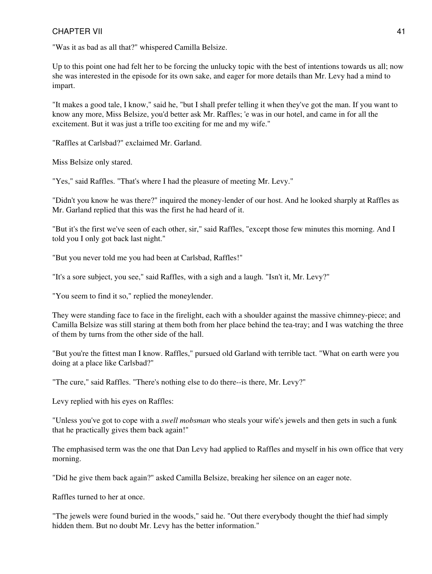"Was it as bad as all that?" whispered Camilla Belsize.

Up to this point one had felt her to be forcing the unlucky topic with the best of intentions towards us all; now she was interested in the episode for its own sake, and eager for more details than Mr. Levy had a mind to impart.

"It makes a good tale, I know," said he, "but I shall prefer telling it when they've got the man. If you want to know any more, Miss Belsize, you'd better ask Mr. Raffles; 'e was in our hotel, and came in for all the excitement. But it was just a trifle too exciting for me and my wife."

"Raffles at Carlsbad?" exclaimed Mr. Garland.

Miss Belsize only stared.

"Yes," said Raffles. "That's where I had the pleasure of meeting Mr. Levy."

"Didn't you know he was there?" inquired the money-lender of our host. And he looked sharply at Raffles as Mr. Garland replied that this was the first he had heard of it.

"But it's the first we've seen of each other, sir," said Raffles, "except those few minutes this morning. And I told you I only got back last night."

"But you never told me you had been at Carlsbad, Raffles!"

"It's a sore subject, you see," said Raffles, with a sigh and a laugh. "Isn't it, Mr. Levy?"

"You seem to find it so," replied the moneylender.

They were standing face to face in the firelight, each with a shoulder against the massive chimney-piece; and Camilla Belsize was still staring at them both from her place behind the tea-tray; and I was watching the three of them by turns from the other side of the hall.

"But you're the fittest man I know. Raffles," pursued old Garland with terrible tact. "What on earth were you doing at a place like Carlsbad?"

"The cure," said Raffles. "There's nothing else to do there--is there, Mr. Levy?"

Levy replied with his eyes on Raffles:

"Unless you've got to cope with a *swell mobsman* who steals your wife's jewels and then gets in such a funk that he practically gives them back again!"

The emphasised term was the one that Dan Levy had applied to Raffles and myself in his own office that very morning.

"Did he give them back again?" asked Camilla Belsize, breaking her silence on an eager note.

Raffles turned to her at once.

"The jewels were found buried in the woods," said he. "Out there everybody thought the thief had simply hidden them. But no doubt Mr. Levy has the better information."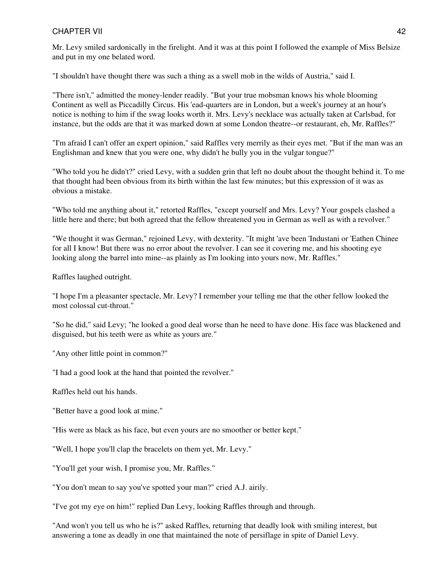Mr. Levy smiled sardonically in the firelight. And it was at this point I followed the example of Miss Belsize and put in my one belated word.

"I shouldn't have thought there was such a thing as a swell mob in the wilds of Austria," said I.

"There isn't," admitted the money-lender readily. "But your true mobsman knows his whole blooming Continent as well as Piccadilly Circus. His 'ead-quarters are in London, but a week's journey at an hour's notice is nothing to him if the swag looks worth it. Mrs. Levy's necklace was actually taken at Carlsbad, for instance, but the odds are that it was marked down at some London theatre--or restaurant, eh, Mr. Raffles?"

"I'm afraid I can't offer an expert opinion," said Raffles very merrily as their eyes met. "But if the man was an Englishman and knew that you were one, why didn't he bully you in the vulgar tongue?"

"Who told you he didn't?" cried Levy, with a sudden grin that left no doubt about the thought behind it. To me that thought had been obvious from its birth within the last few minutes; but this expression of it was as obvious a mistake.

"Who told me anything about it," retorted Raffles, "except yourself and Mrs. Levy? Your gospels clashed a little here and there; but both agreed that the fellow threatened you in German as well as with a revolver."

"We thought it was German," rejoined Levy, with dexterity. "It might 'ave been 'Industani or 'Eathen Chinee for all I know! But there was no error about the revolver. I can see it covering me, and his shooting eye looking along the barrel into mine--as plainly as I'm looking into yours now, Mr. Raffles."

Raffles laughed outright.

"I hope I'm a pleasanter spectacle, Mr. Levy? I remember your telling me that the other fellow looked the most colossal cut-throat."

"So he did," said Levy; "he looked a good deal worse than he need to have done. His face was blackened and disguised, but his teeth were as white as yours are."

"Any other little point in common?"

"I had a good look at the hand that pointed the revolver."

Raffles held out his hands.

"Better have a good look at mine."

"His were as black as his face, but even yours are no smoother or better kept."

"Well, I hope you'll clap the bracelets on them yet, Mr. Levy."

"You'll get your wish, I promise you, Mr. Raffles."

"You don't mean to say you've spotted your man?" cried A.J. airily.

"I've got my eye on him!" replied Dan Levy, looking Raffles through and through.

"And won't you tell us who he is?" asked Raffles, returning that deadly look with smiling interest, but answering a tone as deadly in one that maintained the note of persiflage in spite of Daniel Levy.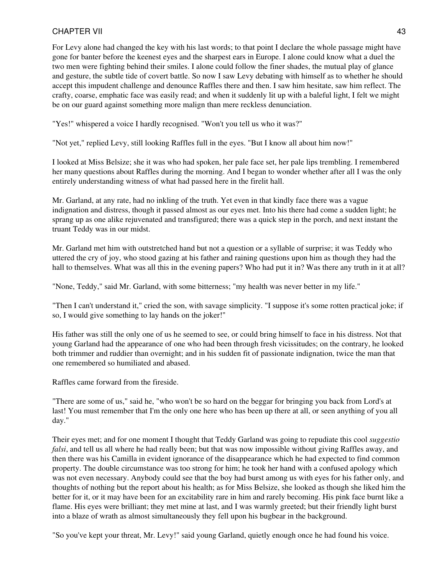For Levy alone had changed the key with his last words; to that point I declare the whole passage might have gone for banter before the keenest eyes and the sharpest ears in Europe. I alone could know what a duel the two men were fighting behind their smiles. I alone could follow the finer shades, the mutual play of glance and gesture, the subtle tide of covert battle. So now I saw Levy debating with himself as to whether he should accept this impudent challenge and denounce Raffles there and then. I saw him hesitate, saw him reflect. The crafty, coarse, emphatic face was easily read; and when it suddenly lit up with a baleful light, I felt we might be on our guard against something more malign than mere reckless denunciation.

"Yes!" whispered a voice I hardly recognised. "Won't you tell us who it was?"

"Not yet," replied Levy, still looking Raffles full in the eyes. "But I know all about him now!"

I looked at Miss Belsize; she it was who had spoken, her pale face set, her pale lips trembling. I remembered her many questions about Raffles during the morning. And I began to wonder whether after all I was the only entirely understanding witness of what had passed here in the firelit hall.

Mr. Garland, at any rate, had no inkling of the truth. Yet even in that kindly face there was a vague indignation and distress, though it passed almost as our eyes met. Into his there had come a sudden light; he sprang up as one alike rejuvenated and transfigured; there was a quick step in the porch, and next instant the truant Teddy was in our midst.

Mr. Garland met him with outstretched hand but not a question or a syllable of surprise; it was Teddy who uttered the cry of joy, who stood gazing at his father and raining questions upon him as though they had the hall to themselves. What was all this in the evening papers? Who had put it in? Was there any truth in it at all?

"None, Teddy," said Mr. Garland, with some bitterness; "my health was never better in my life."

"Then I can't understand it," cried the son, with savage simplicity. "I suppose it's some rotten practical joke; if so, I would give something to lay hands on the joker!"

His father was still the only one of us he seemed to see, or could bring himself to face in his distress. Not that young Garland had the appearance of one who had been through fresh vicissitudes; on the contrary, he looked both trimmer and ruddier than overnight; and in his sudden fit of passionate indignation, twice the man that one remembered so humiliated and abased.

Raffles came forward from the fireside.

"There are some of us," said he, "who won't be so hard on the beggar for bringing you back from Lord's at last! You must remember that I'm the only one here who has been up there at all, or seen anything of you all day."

Their eyes met; and for one moment I thought that Teddy Garland was going to repudiate this cool *suggestio falsi*, and tell us all where he had really been; but that was now impossible without giving Raffles away, and then there was his Camilla in evident ignorance of the disappearance which he had expected to find common property. The double circumstance was too strong for him; he took her hand with a confused apology which was not even necessary. Anybody could see that the boy had burst among us with eyes for his father only, and thoughts of nothing but the report about his health; as for Miss Belsize, she looked as though she liked him the better for it, or it may have been for an excitability rare in him and rarely becoming. His pink face burnt like a flame. His eyes were brilliant; they met mine at last, and I was warmly greeted; but their friendly light burst into a blaze of wrath as almost simultaneously they fell upon his bugbear in the background.

"So you've kept your threat, Mr. Levy!" said young Garland, quietly enough once he had found his voice.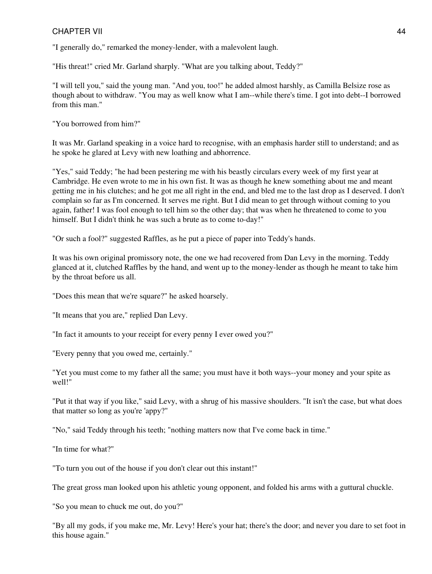"I generally do," remarked the money-lender, with a malevolent laugh.

"His threat!" cried Mr. Garland sharply. "What are you talking about, Teddy?"

"I will tell you," said the young man. "And you, too!" he added almost harshly, as Camilla Belsize rose as though about to withdraw. "You may as well know what I am--while there's time. I got into debt--I borrowed from this man."

"You borrowed from him?"

It was Mr. Garland speaking in a voice hard to recognise, with an emphasis harder still to understand; and as he spoke he glared at Levy with new loathing and abhorrence.

"Yes," said Teddy; "he had been pestering me with his beastly circulars every week of my first year at Cambridge. He even wrote to me in his own fist. It was as though he knew something about me and meant getting me in his clutches; and he got me all right in the end, and bled me to the last drop as I deserved. I don't complain so far as I'm concerned. It serves me right. But I did mean to get through without coming to you again, father! I was fool enough to tell him so the other day; that was when he threatened to come to you himself. But I didn't think he was such a brute as to come to-day!"

"Or such a fool?" suggested Raffles, as he put a piece of paper into Teddy's hands.

It was his own original promissory note, the one we had recovered from Dan Levy in the morning. Teddy glanced at it, clutched Raffles by the hand, and went up to the money-lender as though he meant to take him by the throat before us all.

"Does this mean that we're square?" he asked hoarsely.

"It means that you are," replied Dan Levy.

"In fact it amounts to your receipt for every penny I ever owed you?"

"Every penny that you owed me, certainly."

"Yet you must come to my father all the same; you must have it both ways--your money and your spite as well!"

"Put it that way if you like," said Levy, with a shrug of his massive shoulders. "It isn't the case, but what does that matter so long as you're 'appy?"

"No," said Teddy through his teeth; "nothing matters now that I've come back in time."

"In time for what?"

"To turn you out of the house if you don't clear out this instant!"

The great gross man looked upon his athletic young opponent, and folded his arms with a guttural chuckle.

"So you mean to chuck me out, do you?"

"By all my gods, if you make me, Mr. Levy! Here's your hat; there's the door; and never you dare to set foot in this house again."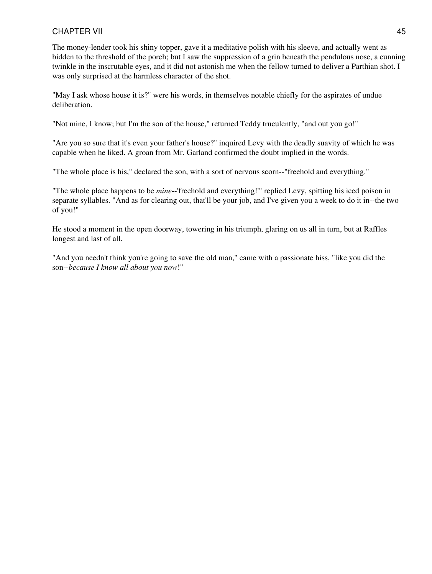The money-lender took his shiny topper, gave it a meditative polish with his sleeve, and actually went as bidden to the threshold of the porch; but I saw the suppression of a grin beneath the pendulous nose, a cunning twinkle in the inscrutable eyes, and it did not astonish me when the fellow turned to deliver a Parthian shot. I was only surprised at the harmless character of the shot.

"May I ask whose house it is?" were his words, in themselves notable chiefly for the aspirates of undue deliberation.

"Not mine, I know; but I'm the son of the house," returned Teddy truculently, "and out you go!"

"Are you so sure that it's even your father's house?" inquired Levy with the deadly suavity of which he was capable when he liked. A groan from Mr. Garland confirmed the doubt implied in the words.

"The whole place is his," declared the son, with a sort of nervous scorn--"freehold and everything."

"The whole place happens to be *mine*--'freehold and everything!'" replied Levy, spitting his iced poison in separate syllables. "And as for clearing out, that'll be your job, and I've given you a week to do it in--the two of you!"

He stood a moment in the open doorway, towering in his triumph, glaring on us all in turn, but at Raffles longest and last of all.

"And you needn't think you're going to save the old man," came with a passionate hiss, "like you did the son--*because I know all about you now*!"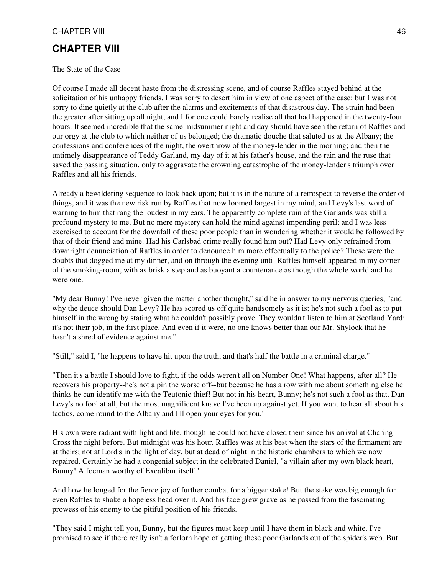## **CHAPTER VIII**

The State of the Case

Of course I made all decent haste from the distressing scene, and of course Raffles stayed behind at the solicitation of his unhappy friends. I was sorry to desert him in view of one aspect of the case; but I was not sorry to dine quietly at the club after the alarms and excitements of that disastrous day. The strain had been the greater after sitting up all night, and I for one could barely realise all that had happened in the twenty-four hours. It seemed incredible that the same midsummer night and day should have seen the return of Raffles and our orgy at the club to which neither of us belonged; the dramatic douche that saluted us at the Albany; the confessions and conferences of the night, the overthrow of the money-lender in the morning; and then the untimely disappearance of Teddy Garland, my day of it at his father's house, and the rain and the ruse that saved the passing situation, only to aggravate the crowning catastrophe of the money-lender's triumph over Raffles and all his friends.

Already a bewildering sequence to look back upon; but it is in the nature of a retrospect to reverse the order of things, and it was the new risk run by Raffles that now loomed largest in my mind, and Levy's last word of warning to him that rang the loudest in my ears. The apparently complete ruin of the Garlands was still a profound mystery to me. But no mere mystery can hold the mind against impending peril; and I was less exercised to account for the downfall of these poor people than in wondering whether it would be followed by that of their friend and mine. Had his Carlsbad crime really found him out? Had Levy only refrained from downright denunciation of Raffles in order to denounce him more effectually to the police? These were the doubts that dogged me at my dinner, and on through the evening until Raffles himself appeared in my corner of the smoking-room, with as brisk a step and as buoyant a countenance as though the whole world and he were one.

"My dear Bunny! I've never given the matter another thought," said he in answer to my nervous queries, "and why the deuce should Dan Levy? He has scored us off quite handsomely as it is; he's not such a fool as to put himself in the wrong by stating what he couldn't possibly prove. They wouldn't listen to him at Scotland Yard; it's not their job, in the first place. And even if it were, no one knows better than our Mr. Shylock that he hasn't a shred of evidence against me."

"Still," said I, "he happens to have hit upon the truth, and that's half the battle in a criminal charge."

"Then it's a battle I should love to fight, if the odds weren't all on Number One! What happens, after all? He recovers his property--he's not a pin the worse off--but because he has a row with me about something else he thinks he can identify me with the Teutonic thief! But not in his heart, Bunny; he's not such a fool as that. Dan Levy's no fool at all, but the most magnificent knave I've been up against yet. If you want to hear all about his tactics, come round to the Albany and I'll open your eyes for you."

His own were radiant with light and life, though he could not have closed them since his arrival at Charing Cross the night before. But midnight was his hour. Raffles was at his best when the stars of the firmament are at theirs; not at Lord's in the light of day, but at dead of night in the historic chambers to which we now repaired. Certainly he had a congenial subject in the celebrated Daniel, "a villain after my own black heart, Bunny! A foeman worthy of Excalibur itself."

And how he longed for the fierce joy of further combat for a bigger stake! But the stake was big enough for even Raffles to shake a hopeless head over it. And his face grew grave as he passed from the fascinating prowess of his enemy to the pitiful position of his friends.

"They said I might tell you, Bunny, but the figures must keep until I have them in black and white. I've promised to see if there really isn't a forlorn hope of getting these poor Garlands out of the spider's web. But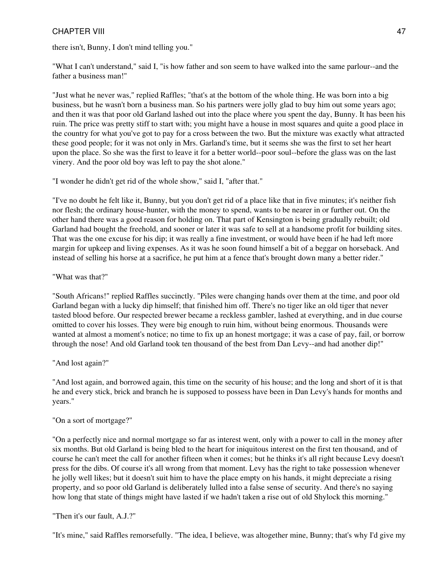there isn't, Bunny, I don't mind telling you."

"What I can't understand," said I, "is how father and son seem to have walked into the same parlour--and the father a business man!"

"Just what he never was," replied Raffles; "that's at the bottom of the whole thing. He was born into a big business, but he wasn't born a business man. So his partners were jolly glad to buy him out some years ago; and then it was that poor old Garland lashed out into the place where you spent the day, Bunny. It has been his ruin. The price was pretty stiff to start with; you might have a house in most squares and quite a good place in the country for what you've got to pay for a cross between the two. But the mixture was exactly what attracted these good people; for it was not only in Mrs. Garland's time, but it seems she was the first to set her heart upon the place. So she was the first to leave it for a better world--poor soul--before the glass was on the last vinery. And the poor old boy was left to pay the shot alone."

"I wonder he didn't get rid of the whole show," said I, "after that."

"I've no doubt he felt like it, Bunny, but you don't get rid of a place like that in five minutes; it's neither fish nor flesh; the ordinary house-hunter, with the money to spend, wants to be nearer in or further out. On the other hand there was a good reason for holding on. That part of Kensington is being gradually rebuilt; old Garland had bought the freehold, and sooner or later it was safe to sell at a handsome profit for building sites. That was the one excuse for his dip; it was really a fine investment, or would have been if he had left more margin for upkeep and living expenses. As it was he soon found himself a bit of a beggar on horseback. And instead of selling his horse at a sacrifice, he put him at a fence that's brought down many a better rider."

"What was that?"

"South Africans!" replied Raffles succinctly. "Piles were changing hands over them at the time, and poor old Garland began with a lucky dip himself; that finished him off. There's no tiger like an old tiger that never tasted blood before. Our respected brewer became a reckless gambler, lashed at everything, and in due course omitted to cover his losses. They were big enough to ruin him, without being enormous. Thousands were wanted at almost a moment's notice; no time to fix up an honest mortgage; it was a case of pay, fail, or borrow through the nose! And old Garland took ten thousand of the best from Dan Levy--and had another dip!"

"And lost again?"

"And lost again, and borrowed again, this time on the security of his house; and the long and short of it is that he and every stick, brick and branch he is supposed to possess have been in Dan Levy's hands for months and years."

"On a sort of mortgage?"

"On a perfectly nice and normal mortgage so far as interest went, only with a power to call in the money after six months. But old Garland is being bled to the heart for iniquitous interest on the first ten thousand, and of course he can't meet the call for another fifteen when it comes; but he thinks it's all right because Levy doesn't press for the dibs. Of course it's all wrong from that moment. Levy has the right to take possession whenever he jolly well likes; but it doesn't suit him to have the place empty on his hands, it might depreciate a rising property, and so poor old Garland is deliberately lulled into a false sense of security. And there's no saying how long that state of things might have lasted if we hadn't taken a rise out of old Shylock this morning."

"Then it's our fault, A.J.?"

"It's mine," said Raffles remorsefully. "The idea, I believe, was altogether mine, Bunny; that's why I'd give my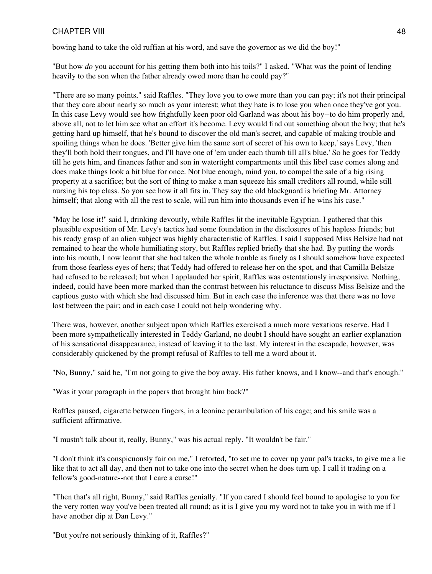bowing hand to take the old ruffian at his word, and save the governor as we did the boy!"

"But how *do* you account for his getting them both into his toils?" I asked. "What was the point of lending heavily to the son when the father already owed more than he could pay?"

"There are so many points," said Raffles. "They love you to owe more than you can pay; it's not their principal that they care about nearly so much as your interest; what they hate is to lose you when once they've got you. In this case Levy would see how frightfully keen poor old Garland was about his boy--to do him properly and, above all, not to let him see what an effort it's become. Levy would find out something about the boy; that he's getting hard up himself, that he's bound to discover the old man's secret, and capable of making trouble and spoiling things when he does. 'Better give him the same sort of secret of his own to keep,' says Levy, 'then they'll both hold their tongues, and I'll have one of 'em under each thumb till all's blue.' So he goes for Teddy till he gets him, and finances father and son in watertight compartments until this libel case comes along and does make things look a bit blue for once. Not blue enough, mind you, to compel the sale of a big rising property at a sacrifice; but the sort of thing to make a man squeeze his small creditors all round, while still nursing his top class. So you see how it all fits in. They say the old blackguard is briefing Mr. Attorney himself; that along with all the rest to scale, will run him into thousands even if he wins his case."

"May he lose it!" said I, drinking devoutly, while Raffles lit the inevitable Egyptian. I gathered that this plausible exposition of Mr. Levy's tactics had some foundation in the disclosures of his hapless friends; but his ready grasp of an alien subject was highly characteristic of Raffles. I said I supposed Miss Belsize had not remained to hear the whole humiliating story, but Raffles replied briefly that she had. By putting the words into his mouth, I now learnt that she had taken the whole trouble as finely as I should somehow have expected from those fearless eyes of hers; that Teddy had offered to release her on the spot, and that Camilla Belsize had refused to be released; but when I applauded her spirit, Raffles was ostentatiously irresponsive. Nothing, indeed, could have been more marked than the contrast between his reluctance to discuss Miss Belsize and the captious gusto with which she had discussed him. But in each case the inference was that there was no love lost between the pair; and in each case I could not help wondering why.

There was, however, another subject upon which Raffles exercised a much more vexatious reserve. Had I been more sympathetically interested in Teddy Garland, no doubt I should have sought an earlier explanation of his sensational disappearance, instead of leaving it to the last. My interest in the escapade, however, was considerably quickened by the prompt refusal of Raffles to tell me a word about it.

"No, Bunny," said he, "I'm not going to give the boy away. His father knows, and I know--and that's enough."

"Was it your paragraph in the papers that brought him back?"

Raffles paused, cigarette between fingers, in a leonine perambulation of his cage; and his smile was a sufficient affirmative.

"I mustn't talk about it, really, Bunny," was his actual reply. "It wouldn't be fair."

"I don't think it's conspicuously fair on me," I retorted, "to set me to cover up your pal's tracks, to give me a lie like that to act all day, and then not to take one into the secret when he does turn up. I call it trading on a fellow's good-nature--not that I care a curse!"

"Then that's all right, Bunny," said Raffles genially. "If you cared I should feel bound to apologise to you for the very rotten way you've been treated all round; as it is I give you my word not to take you in with me if I have another dip at Dan Levy."

"But you're not seriously thinking of it, Raffles?"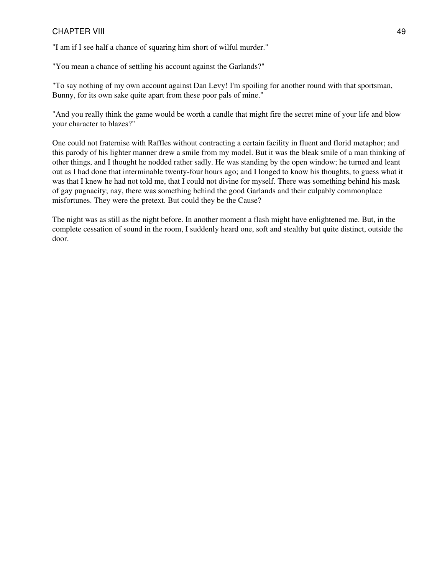"I am if I see half a chance of squaring him short of wilful murder."

"You mean a chance of settling his account against the Garlands?"

"To say nothing of my own account against Dan Levy! I'm spoiling for another round with that sportsman, Bunny, for its own sake quite apart from these poor pals of mine."

"And you really think the game would be worth a candle that might fire the secret mine of your life and blow your character to blazes?"

One could not fraternise with Raffles without contracting a certain facility in fluent and florid metaphor; and this parody of his lighter manner drew a smile from my model. But it was the bleak smile of a man thinking of other things, and I thought he nodded rather sadly. He was standing by the open window; he turned and leant out as I had done that interminable twenty-four hours ago; and I longed to know his thoughts, to guess what it was that I knew he had not told me, that I could not divine for myself. There was something behind his mask of gay pugnacity; nay, there was something behind the good Garlands and their culpably commonplace misfortunes. They were the pretext. But could they be the Cause?

The night was as still as the night before. In another moment a flash might have enlightened me. But, in the complete cessation of sound in the room, I suddenly heard one, soft and stealthy but quite distinct, outside the door.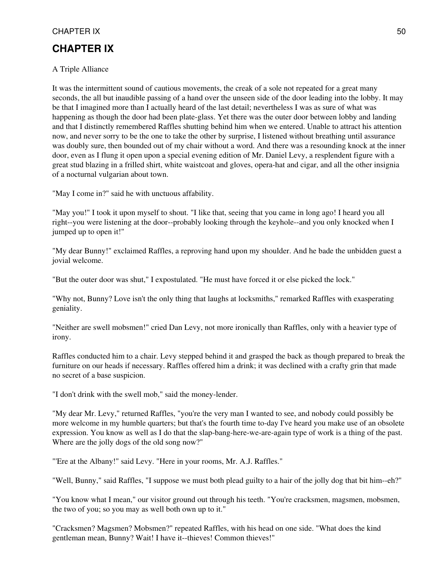# **CHAPTER IX**

#### A Triple Alliance

It was the intermittent sound of cautious movements, the creak of a sole not repeated for a great many seconds, the all but inaudible passing of a hand over the unseen side of the door leading into the lobby. It may be that I imagined more than I actually heard of the last detail; nevertheless I was as sure of what was happening as though the door had been plate-glass. Yet there was the outer door between lobby and landing and that I distinctly remembered Raffles shutting behind him when we entered. Unable to attract his attention now, and never sorry to be the one to take the other by surprise, I listened without breathing until assurance was doubly sure, then bounded out of my chair without a word. And there was a resounding knock at the inner door, even as I flung it open upon a special evening edition of Mr. Daniel Levy, a resplendent figure with a great stud blazing in a frilled shirt, white waistcoat and gloves, opera-hat and cigar, and all the other insignia of a nocturnal vulgarian about town.

"May I come in?" said he with unctuous affability.

"May you!" I took it upon myself to shout. "I like that, seeing that you came in long ago! I heard you all right--you were listening at the door--probably looking through the keyhole--and you only knocked when I jumped up to open it!"

"My dear Bunny!" exclaimed Raffles, a reproving hand upon my shoulder. And he bade the unbidden guest a jovial welcome.

"But the outer door was shut," I expostulated. "He must have forced it or else picked the lock."

"Why not, Bunny? Love isn't the only thing that laughs at locksmiths," remarked Raffles with exasperating geniality.

"Neither are swell mobsmen!" cried Dan Levy, not more ironically than Raffles, only with a heavier type of irony.

Raffles conducted him to a chair. Levy stepped behind it and grasped the back as though prepared to break the furniture on our heads if necessary. Raffles offered him a drink; it was declined with a crafty grin that made no secret of a base suspicion.

"I don't drink with the swell mob," said the money-lender.

"My dear Mr. Levy," returned Raffles, "you're the very man I wanted to see, and nobody could possibly be more welcome in my humble quarters; but that's the fourth time to-day I've heard you make use of an obsolete expression. You know as well as I do that the slap-bang-here-we-are-again type of work is a thing of the past. Where are the jolly dogs of the old song now?"

"'Ere at the Albany!" said Levy. "Here in your rooms, Mr. A.J. Raffles."

"Well, Bunny," said Raffles, "I suppose we must both plead guilty to a hair of the jolly dog that bit him--eh?"

"You know what I mean," our visitor ground out through his teeth. "You're cracksmen, magsmen, mobsmen, the two of you; so you may as well both own up to it."

"Cracksmen? Magsmen? Mobsmen?" repeated Raffles, with his head on one side. "What does the kind gentleman mean, Bunny? Wait! I have it--thieves! Common thieves!"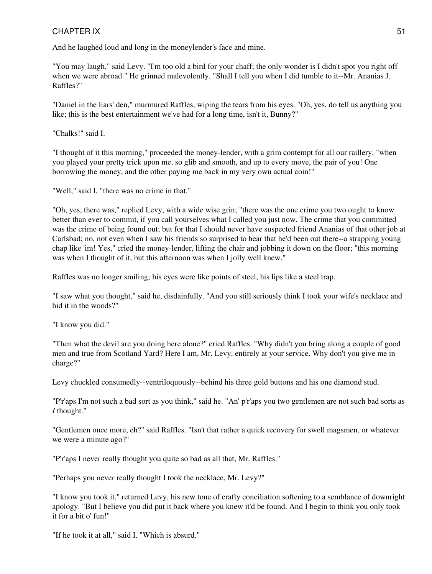And he laughed loud and long in the moneylender's face and mine.

"You may laugh," said Levy. "I'm too old a bird for your chaff; the only wonder is I didn't spot you right off when we were abroad." He grinned malevolently. "Shall I tell you when I did tumble to it--Mr. Ananias J. Raffles?"

"Daniel in the liars' den," murmured Raffles, wiping the tears from his eyes. "Oh, yes, do tell us anything you like; this is the best entertainment we've had for a long time, isn't it, Bunny?"

"Chalks!" said I.

"I thought of it this morning," proceeded the money-lender, with a grim contempt for all our raillery, "when you played your pretty trick upon me, so glib and smooth, and up to every move, the pair of you! One borrowing the money, and the other paying me back in my very own actual coin!"

"Well," said I, "there was no crime in that."

"Oh, yes, there was," replied Levy, with a wide wise grin; "there was the one crime you two ought to know better than ever to commit, if you call yourselves what I called you just now. The crime that you committed was the crime of being found out; but for that I should never have suspected friend Ananias of that other job at Carlsbad; no, not even when I saw his friends so surprised to hear that he'd been out there--a strapping young chap like 'im! Yes," cried the money-lender, lifting the chair and jobbing it down on the floor; "this morning was when I thought of it, but this afternoon was when I jolly well knew."

Raffles was no longer smiling; his eyes were like points of steel, his lips like a steel trap.

"I saw what you thought," said he, disdainfully. "And you still seriously think I took your wife's necklace and hid it in the woods?"

"I know you did."

"Then what the devil are you doing here alone?" cried Raffles. "Why didn't you bring along a couple of good men and true from Scotland Yard? Here I am, Mr. Levy, entirely at your service. Why don't you give me in charge?"

Levy chuckled consumedly--ventriloquously--behind his three gold buttons and his one diamond stud.

"P'r'aps I'm not such a bad sort as you think," said he. "An' p'r'aps you two gentlemen are not such bad sorts as *I* thought."

"Gentlemen once more, eh?" said Raffles. "Isn't that rather a quick recovery for swell magsmen, or whatever we were a minute ago?"

"P'r'aps I never really thought you quite so bad as all that, Mr. Raffles."

"Perhaps you never really thought I took the necklace, Mr. Levy?"

"I know you took it," returned Levy, his new tone of crafty conciliation softening to a semblance of downright apology. "But I believe you did put it back where you knew it'd be found. And I begin to think you only took it for a bit o' fun!"

"If he took it at all," said I. "Which is absurd."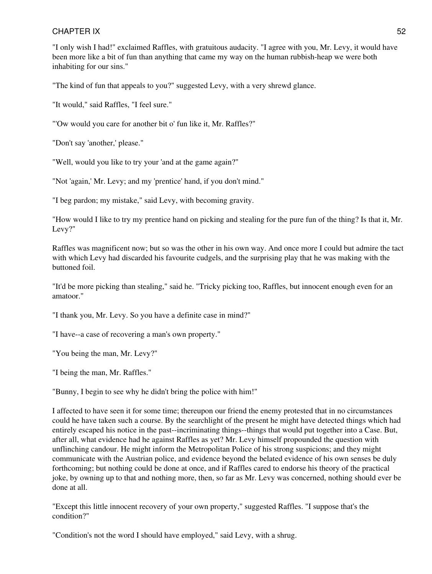"I only wish I had!" exclaimed Raffles, with gratuitous audacity. "I agree with you, Mr. Levy, it would have been more like a bit of fun than anything that came my way on the human rubbish-heap we were both inhabiting for our sins."

"The kind of fun that appeals to you?" suggested Levy, with a very shrewd glance.

"It would," said Raffles, "I feel sure."

"'Ow would you care for another bit o' fun like it, Mr. Raffles?"

"Don't say 'another,' please."

"Well, would you like to try your 'and at the game again?"

"Not 'again,' Mr. Levy; and my 'prentice' hand, if you don't mind."

"I beg pardon; my mistake," said Levy, with becoming gravity.

"How would I like to try my prentice hand on picking and stealing for the pure fun of the thing? Is that it, Mr. Levy?"

Raffles was magnificent now; but so was the other in his own way. And once more I could but admire the tact with which Levy had discarded his favourite cudgels, and the surprising play that he was making with the buttoned foil.

"It'd be more picking than stealing," said he. "Tricky picking too, Raffles, but innocent enough even for an amatoor."

"I thank you, Mr. Levy. So you have a definite case in mind?"

"I have--a case of recovering a man's own property."

"You being the man, Mr. Levy?"

"I being the man, Mr. Raffles."

"Bunny, I begin to see why he didn't bring the police with him!"

I affected to have seen it for some time; thereupon our friend the enemy protested that in no circumstances could he have taken such a course. By the searchlight of the present he might have detected things which had entirely escaped his notice in the past--incriminating things--things that would put together into a Case. But, after all, what evidence had he against Raffles as yet? Mr. Levy himself propounded the question with unflinching candour. He might inform the Metropolitan Police of his strong suspicions; and they might communicate with the Austrian police, and evidence beyond the belated evidence of his own senses be duly forthcoming; but nothing could be done at once, and if Raffles cared to endorse his theory of the practical joke, by owning up to that and nothing more, then, so far as Mr. Levy was concerned, nothing should ever be done at all.

"Except this little innocent recovery of your own property," suggested Raffles. "I suppose that's the condition?"

"Condition's not the word I should have employed," said Levy, with a shrug.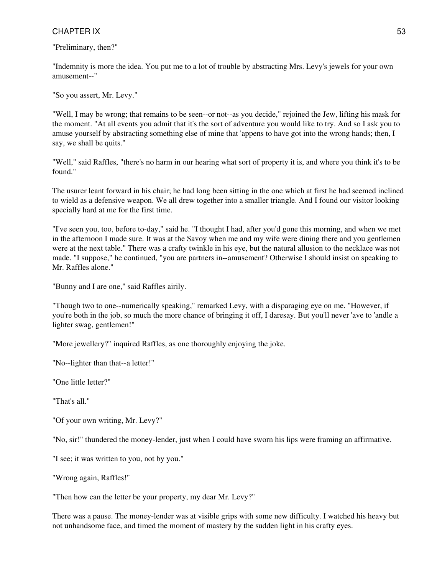"Preliminary, then?"

"Indemnity is more the idea. You put me to a lot of trouble by abstracting Mrs. Levy's jewels for your own amusement--"

"So you assert, Mr. Levy."

"Well, I may be wrong; that remains to be seen--or not--as you decide," rejoined the Jew, lifting his mask for the moment. "At all events you admit that it's the sort of adventure you would like to try. And so I ask you to amuse yourself by abstracting something else of mine that 'appens to have got into the wrong hands; then, I say, we shall be quits."

"Well," said Raffles, "there's no harm in our hearing what sort of property it is, and where you think it's to be found."

The usurer leant forward in his chair; he had long been sitting in the one which at first he had seemed inclined to wield as a defensive weapon. We all drew together into a smaller triangle. And I found our visitor looking specially hard at me for the first time.

"I've seen you, too, before to-day," said he. "I thought I had, after you'd gone this morning, and when we met in the afternoon I made sure. It was at the Savoy when me and my wife were dining there and you gentlemen were at the next table." There was a crafty twinkle in his eye, but the natural allusion to the necklace was not made. "I suppose," he continued, "you are partners in--amusement? Otherwise I should insist on speaking to Mr. Raffles alone."

"Bunny and I are one," said Raffles airily.

"Though two to one--numerically speaking," remarked Levy, with a disparaging eye on me. "However, if you're both in the job, so much the more chance of bringing it off, I daresay. But you'll never 'ave to 'andle a lighter swag, gentlemen!"

"More jewellery?" inquired Raffles, as one thoroughly enjoying the joke.

"No--lighter than that--a letter!"

"One little letter?"

"That's all."

"Of your own writing, Mr. Levy?"

"No, sir!" thundered the money-lender, just when I could have sworn his lips were framing an affirmative.

"I see; it was written to you, not by you."

"Wrong again, Raffles!"

"Then how can the letter be your property, my dear Mr. Levy?"

There was a pause. The money-lender was at visible grips with some new difficulty. I watched his heavy but not unhandsome face, and timed the moment of mastery by the sudden light in his crafty eyes.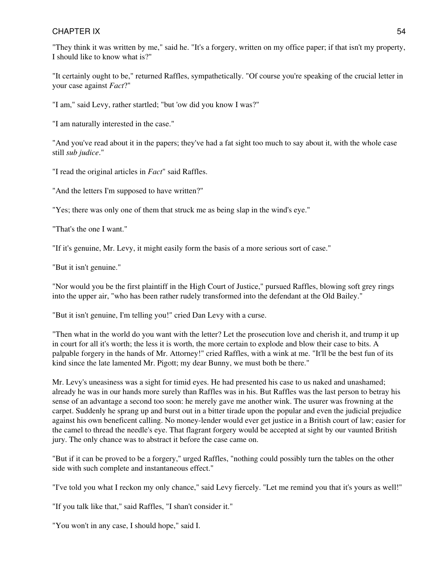"They think it was written by me," said he. "It's a forgery, written on my office paper; if that isn't my property, I should like to know what is?"

"It certainly ought to be," returned Raffles, sympathetically. "Of course you're speaking of the crucial letter in your case against *Fact*?"

"I am," said Levy, rather startled; "but 'ow did you know I was?"

"I am naturally interested in the case."

"And you've read about it in the papers; they've had a fat sight too much to say about it, with the whole case still *sub judice*."

"I read the original articles in *Fact*" said Raffles.

"And the letters I'm supposed to have written?"

"Yes; there was only one of them that struck me as being slap in the wind's eye."

"That's the one I want."

"If it's genuine, Mr. Levy, it might easily form the basis of a more serious sort of case."

"But it isn't genuine."

"Nor would you be the first plaintiff in the High Court of Justice," pursued Raffles, blowing soft grey rings into the upper air, "who has been rather rudely transformed into the defendant at the Old Bailey."

"But it isn't genuine, I'm telling you!" cried Dan Levy with a curse.

"Then what in the world do you want with the letter? Let the prosecution love and cherish it, and trump it up in court for all it's worth; the less it is worth, the more certain to explode and blow their case to bits. A palpable forgery in the hands of Mr. Attorney!" cried Raffles, with a wink at me. "It'll be the best fun of its kind since the late lamented Mr. Pigott; my dear Bunny, we must both be there."

Mr. Levy's uneasiness was a sight for timid eyes. He had presented his case to us naked and unashamed; already he was in our hands more surely than Raffles was in his. But Raffles was the last person to betray his sense of an advantage a second too soon: he merely gave me another wink. The usurer was frowning at the carpet. Suddenly he sprang up and burst out in a bitter tirade upon the popular and even the judicial prejudice against his own beneficent calling. No money-lender would ever get justice in a British court of law; easier for the camel to thread the needle's eye. That flagrant forgery would be accepted at sight by our vaunted British jury. The only chance was to abstract it before the case came on.

"But if it can be proved to be a forgery," urged Raffles, "nothing could possibly turn the tables on the other side with such complete and instantaneous effect."

"I've told you what I reckon my only chance," said Levy fiercely. "Let me remind you that it's yours as well!"

"If you talk like that," said Raffles, "I shan't consider it."

"You won't in any case, I should hope," said I.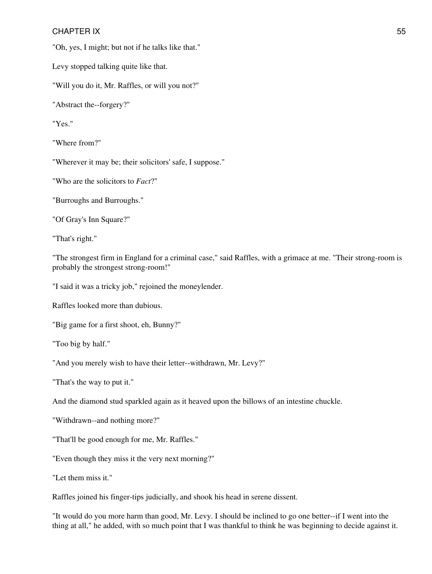"Oh, yes, I might; but not if he talks like that."

Levy stopped talking quite like that.

"Will you do it, Mr. Raffles, or will you not?"

"Abstract the--forgery?"

"Yes."

"Where from?"

"Wherever it may be; their solicitors' safe, I suppose."

"Who are the solicitors to *Fact*?"

"Burroughs and Burroughs."

"Of Gray's Inn Square?"

"That's right."

"The strongest firm in England for a criminal case," said Raffles, with a grimace at me. "Their strong-room is probably the strongest strong-room!"

"I said it was a tricky job," rejoined the moneylender.

Raffles looked more than dubious.

"Big game for a first shoot, eh, Bunny?"

"Too big by half."

"And you merely wish to have their letter--withdrawn, Mr. Levy?"

"That's the way to put it."

And the diamond stud sparkled again as it heaved upon the billows of an intestine chuckle.

"Withdrawn--and nothing more?"

"That'll be good enough for me, Mr. Raffles."

"Even though they miss it the very next morning?"

"Let them miss it."

Raffles joined his finger-tips judicially, and shook his head in serene dissent.

"It would do you more harm than good, Mr. Levy. I should be inclined to go one better--if I went into the thing at all," he added, with so much point that I was thankful to think he was beginning to decide against it.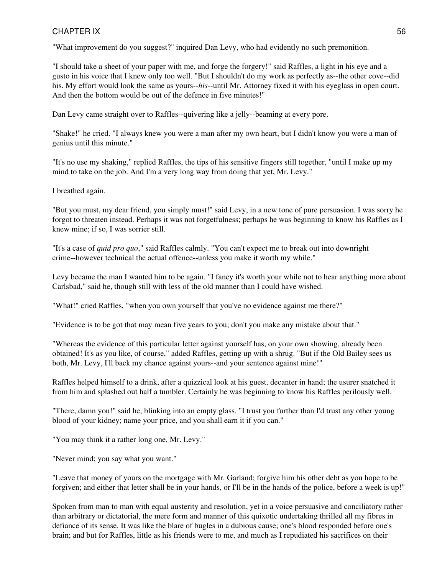"What improvement do you suggest?" inquired Dan Levy, who had evidently no such premonition.

"I should take a sheet of your paper with me, and forge the forgery!" said Raffles, a light in his eye and a gusto in his voice that I knew only too well. "But I shouldn't do my work as perfectly as--the other cove--did his. My effort would look the same as yours--*his*--until Mr. Attorney fixed it with his eyeglass in open court. And then the bottom would be out of the defence in five minutes!"

Dan Levy came straight over to Raffles--quivering like a jelly--beaming at every pore.

"Shake!" he cried. "I always knew you were a man after my own heart, but I didn't know you were a man of genius until this minute."

"It's no use my shaking," replied Raffles, the tips of his sensitive fingers still together, "until I make up my mind to take on the job. And I'm a very long way from doing that yet, Mr. Levy."

I breathed again.

"But you must, my dear friend, you simply must!" said Levy, in a new tone of pure persuasion. I was sorry he forgot to threaten instead. Perhaps it was not forgetfulness; perhaps he was beginning to know his Raffles as I knew mine; if so, I was sorrier still.

"It's a case of *quid pro quo*," said Raffles calmly. "You can't expect me to break out into downright crime--however technical the actual offence--unless you make it worth my while."

Levy became the man I wanted him to be again. "I fancy it's worth your while not to hear anything more about Carlsbad," said he, though still with less of the old manner than I could have wished.

"What!" cried Raffles, "when you own yourself that you've no evidence against me there?"

"Evidence is to be got that may mean five years to you; don't you make any mistake about that."

"Whereas the evidence of this particular letter against yourself has, on your own showing, already been obtained! It's as you like, of course," added Raffles, getting up with a shrug. "But if the Old Bailey sees us both, Mr. Levy, I'll back my chance against yours--and your sentence against mine!"

Raffles helped himself to a drink, after a quizzical look at his guest, decanter in hand; the usurer snatched it from him and splashed out half a tumbler. Certainly he was beginning to know his Raffles perilously well.

"There, damn you!" said he, blinking into an empty glass. "I trust you further than I'd trust any other young blood of your kidney; name your price, and you shall earn it if you can."

"You may think it a rather long one, Mr. Levy."

"Never mind; you say what you want."

"Leave that money of yours on the mortgage with Mr. Garland; forgive him his other debt as you hope to be forgiven; and either that letter shall be in your hands, or I'll be in the hands of the police, before a week is up!"

Spoken from man to man with equal austerity and resolution, yet in a voice persuasive and conciliatory rather than arbitrary or dictatorial, the mere form and manner of this quixotic undertaking thrilled all my fibres in defiance of its sense. It was like the blare of bugles in a dubious cause; one's blood responded before one's brain; and but for Raffles, little as his friends were to me, and much as I repudiated his sacrifices on their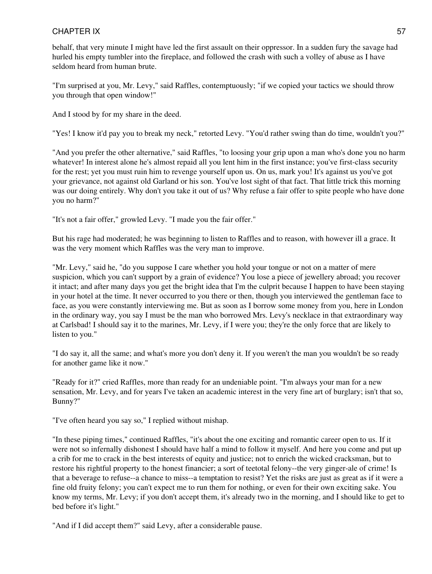behalf, that very minute I might have led the first assault on their oppressor. In a sudden fury the savage had hurled his empty tumbler into the fireplace, and followed the crash with such a volley of abuse as I have seldom heard from human brute.

"I'm surprised at you, Mr. Levy," said Raffles, contemptuously; "if we copied your tactics we should throw you through that open window!"

And I stood by for my share in the deed.

"Yes! I know it'd pay you to break my neck," retorted Levy. "You'd rather swing than do time, wouldn't you?"

"And you prefer the other alternative," said Raffles, "to loosing your grip upon a man who's done you no harm whatever! In interest alone he's almost repaid all you lent him in the first instance; you've first-class security for the rest; yet you must ruin him to revenge yourself upon us. On us, mark you! It's against us you've got your grievance, not against old Garland or his son. You've lost sight of that fact. That little trick this morning was our doing entirely. Why don't you take it out of us? Why refuse a fair offer to spite people who have done you no harm?"

"It's not a fair offer," growled Levy. "I made you the fair offer."

But his rage had moderated; he was beginning to listen to Raffles and to reason, with however ill a grace. It was the very moment which Raffles was the very man to improve.

"Mr. Levy," said he, "do you suppose I care whether you hold your tongue or not on a matter of mere suspicion, which you can't support by a grain of evidence? You lose a piece of jewellery abroad; you recover it intact; and after many days you get the bright idea that I'm the culprit because I happen to have been staying in your hotel at the time. It never occurred to you there or then, though you interviewed the gentleman face to face, as you were constantly interviewing me. But as soon as I borrow some money from you, here in London in the ordinary way, you say I must be the man who borrowed Mrs. Levy's necklace in that extraordinary way at Carlsbad! I should say it to the marines, Mr. Levy, if I were you; they're the only force that are likely to listen to you."

"I do say it, all the same; and what's more you don't deny it. If you weren't the man you wouldn't be so ready for another game like it now."

"Ready for it?" cried Raffles, more than ready for an undeniable point. "I'm always your man for a new sensation, Mr. Levy, and for years I've taken an academic interest in the very fine art of burglary; isn't that so, Bunny?"

"I've often heard you say so," I replied without mishap.

"In these piping times," continued Raffles, "it's about the one exciting and romantic career open to us. If it were not so infernally dishonest I should have half a mind to follow it myself. And here you come and put up a crib for me to crack in the best interests of equity and justice; not to enrich the wicked cracksman, but to restore his rightful property to the honest financier; a sort of teetotal felony--the very ginger-ale of crime! Is that a beverage to refuse--a chance to miss--a temptation to resist? Yet the risks are just as great as if it were a fine old fruity felony; you can't expect me to run them for nothing, or even for their own exciting sake. You know my terms, Mr. Levy; if you don't accept them, it's already two in the morning, and I should like to get to bed before it's light."

"And if I did accept them?" said Levy, after a considerable pause.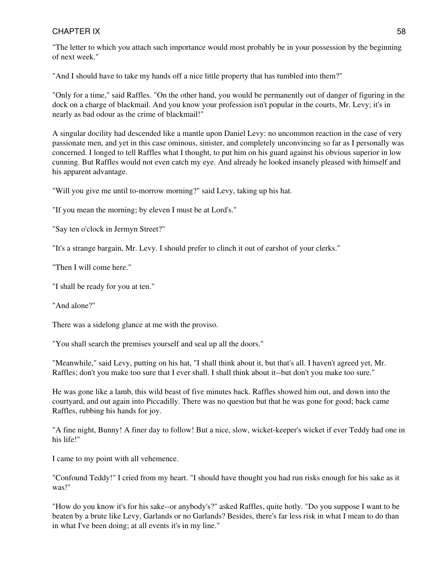"The letter to which you attach such importance would most probably be in your possession by the beginning of next week."

"And I should have to take my hands off a nice little property that has tumbled into them?"

"Only for a time," said Raffles. "On the other hand, you would be permanently out of danger of figuring in the dock on a charge of blackmail. And you know your profession isn't popular in the courts, Mr. Levy; it's in nearly as bad odour as the crime of blackmail!"

A singular docility had descended like a mantle upon Daniel Levy: no uncommon reaction in the case of very passionate men, and yet in this case ominous, sinister, and completely unconvincing so far as I personally was concerned. I longed to tell Raffles what I thought, to put him on his guard against his obvious superior in low cunning. But Raffles would not even catch my eye. And already he looked insanely pleased with himself and his apparent advantage.

"Will you give me until to-morrow morning?" said Levy, taking up his hat.

"If you mean the morning; by eleven I must be at Lord's."

"Say ten o'clock in Jermyn Street?"

"It's a strange bargain, Mr. Levy. I should prefer to clinch it out of earshot of your clerks."

"Then I will come here."

"I shall be ready for you at ten."

"And alone?"

There was a sidelong glance at me with the proviso.

"You shall search the premises yourself and seal up all the doors."

"Meanwhile," said Levy, putting on his hat, "I shall think about it, but that's all. I haven't agreed yet, Mr. Raffles; don't you make too sure that I ever shall. I shall think about it--but don't you make too sure."

He was gone like a lamb, this wild beast of five minutes back. Raffles showed him out, and down into the courtyard, and out again into Piccadilly. There was no question but that he was gone for good; back came Raffles, rubbing his hands for joy.

"A fine night, Bunny! A finer day to follow! But a nice, slow, wicket-keeper's wicket if ever Teddy had one in his life!"

I came to my point with all vehemence.

"Confound Teddy!" I cried from my heart. "I should have thought you had run risks enough for his sake as it was!"

"How do you know it's for his sake--or anybody's?" asked Raffles, quite hotly. "Do you suppose I want to be beaten by a brute like Levy, Garlands or no Garlands? Besides, there's far less risk in what I mean to do than in what I've been doing; at all events it's in my line."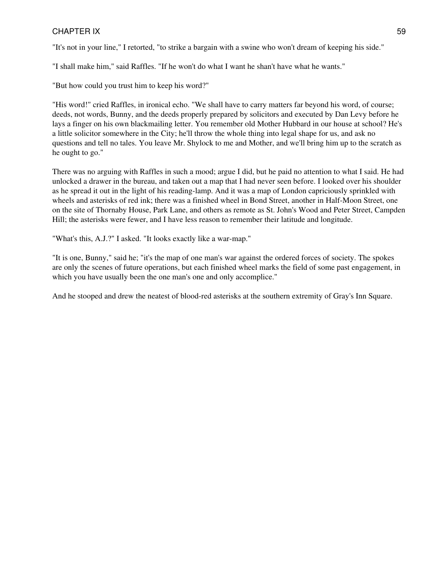"It's not in your line," I retorted, "to strike a bargain with a swine who won't dream of keeping his side."

"I shall make him," said Raffles. "If he won't do what I want he shan't have what he wants."

"But how could you trust him to keep his word?"

"His word!" cried Raffles, in ironical echo. "We shall have to carry matters far beyond his word, of course; deeds, not words, Bunny, and the deeds properly prepared by solicitors and executed by Dan Levy before he lays a finger on his own blackmailing letter. You remember old Mother Hubbard in our house at school? He's a little solicitor somewhere in the City; he'll throw the whole thing into legal shape for us, and ask no questions and tell no tales. You leave Mr. Shylock to me and Mother, and we'll bring him up to the scratch as he ought to go."

There was no arguing with Raffles in such a mood; argue I did, but he paid no attention to what I said. He had unlocked a drawer in the bureau, and taken out a map that I had never seen before. I looked over his shoulder as he spread it out in the light of his reading-lamp. And it was a map of London capriciously sprinkled with wheels and asterisks of red ink; there was a finished wheel in Bond Street, another in Half-Moon Street, one on the site of Thornaby House, Park Lane, and others as remote as St. John's Wood and Peter Street, Campden Hill; the asterisks were fewer, and I have less reason to remember their latitude and longitude.

"What's this, A.J.?" I asked. "It looks exactly like a war-map."

"It is one, Bunny," said he; "it's the map of one man's war against the ordered forces of society. The spokes are only the scenes of future operations, but each finished wheel marks the field of some past engagement, in which you have usually been the one man's one and only accomplice."

And he stooped and drew the neatest of blood-red asterisks at the southern extremity of Gray's Inn Square.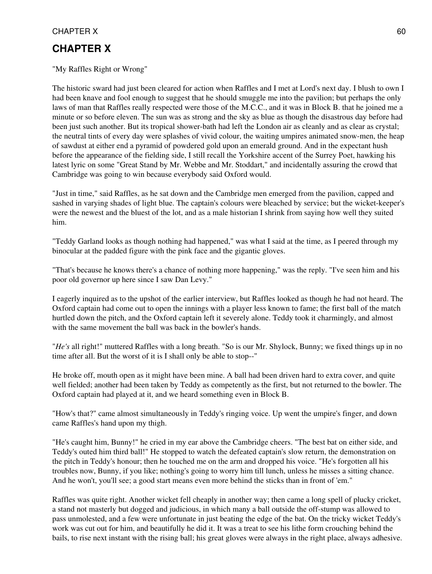## **CHAPTER X**

"My Raffles Right or Wrong"

The historic sward had just been cleared for action when Raffles and I met at Lord's next day. I blush to own I had been knave and fool enough to suggest that he should smuggle me into the pavilion; but perhaps the only laws of man that Raffles really respected were those of the M.C.C., and it was in Block B. that he joined me a minute or so before eleven. The sun was as strong and the sky as blue as though the disastrous day before had been just such another. But its tropical shower-bath had left the London air as cleanly and as clear as crystal; the neutral tints of every day were splashes of vivid colour, the waiting umpires animated snow-men, the heap of sawdust at either end a pyramid of powdered gold upon an emerald ground. And in the expectant hush before the appearance of the fielding side, I still recall the Yorkshire accent of the Surrey Poet, hawking his latest lyric on some "Great Stand by Mr. Webbe and Mr. Stoddart," and incidentally assuring the crowd that Cambridge was going to win because everybody said Oxford would.

"Just in time," said Raffles, as he sat down and the Cambridge men emerged from the pavilion, capped and sashed in varying shades of light blue. The captain's colours were bleached by service; but the wicket-keeper's were the newest and the bluest of the lot, and as a male historian I shrink from saying how well they suited him.

"Teddy Garland looks as though nothing had happened," was what I said at the time, as I peered through my binocular at the padded figure with the pink face and the gigantic gloves.

"That's because he knows there's a chance of nothing more happening," was the reply. "I've seen him and his poor old governor up here since I saw Dan Levy."

I eagerly inquired as to the upshot of the earlier interview, but Raffles looked as though he had not heard. The Oxford captain had come out to open the innings with a player less known to fame; the first ball of the match hurtled down the pitch, and the Oxford captain left it severely alone. Teddy took it charmingly, and almost with the same movement the ball was back in the bowler's hands.

"*He's* all right!" muttered Raffles with a long breath. "So is our Mr. Shylock, Bunny; we fixed things up in no time after all. But the worst of it is I shall only be able to stop--"

He broke off, mouth open as it might have been mine. A ball had been driven hard to extra cover, and quite well fielded; another had been taken by Teddy as competently as the first, but not returned to the bowler. The Oxford captain had played at it, and we heard something even in Block B.

"How's that?" came almost simultaneously in Teddy's ringing voice. Up went the umpire's finger, and down came Raffles's hand upon my thigh.

"He's caught him, Bunny!" he cried in my ear above the Cambridge cheers. "The best bat on either side, and Teddy's outed him third ball!" He stopped to watch the defeated captain's slow return, the demonstration on the pitch in Teddy's honour; then he touched me on the arm and dropped his voice. "He's forgotten all his troubles now, Bunny, if you like; nothing's going to worry him till lunch, unless he misses a sitting chance. And he won't, you'll see; a good start means even more behind the sticks than in front of 'em."

Raffles was quite right. Another wicket fell cheaply in another way; then came a long spell of plucky cricket, a stand not masterly but dogged and judicious, in which many a ball outside the off-stump was allowed to pass unmolested, and a few were unfortunate in just beating the edge of the bat. On the tricky wicket Teddy's work was cut out for him, and beautifully he did it. It was a treat to see his lithe form crouching behind the bails, to rise next instant with the rising ball; his great gloves were always in the right place, always adhesive.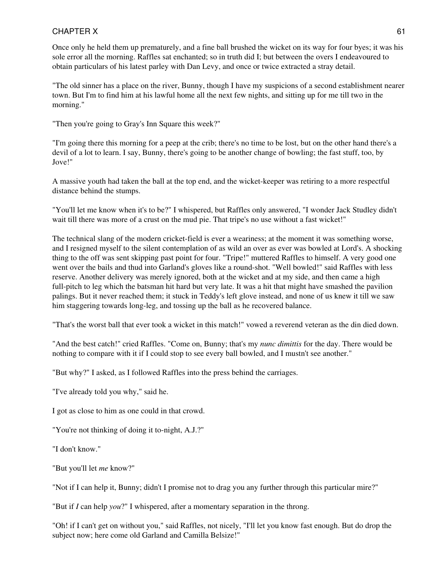Once only he held them up prematurely, and a fine ball brushed the wicket on its way for four byes; it was his sole error all the morning. Raffles sat enchanted; so in truth did I; but between the overs I endeavoured to obtain particulars of his latest parley with Dan Levy, and once or twice extracted a stray detail.

"The old sinner has a place on the river, Bunny, though I have my suspicions of a second establishment nearer town. But I'm to find him at his lawful home all the next few nights, and sitting up for me till two in the morning."

"Then you're going to Gray's Inn Square this week?"

"I'm going there this morning for a peep at the crib; there's no time to be lost, but on the other hand there's a devil of a lot to learn. I say, Bunny, there's going to be another change of bowling; the fast stuff, too, by Jove!"

A massive youth had taken the ball at the top end, and the wicket-keeper was retiring to a more respectful distance behind the stumps.

"You'll let me know when it's to be?" I whispered, but Raffles only answered, "I wonder Jack Studley didn't wait till there was more of a crust on the mud pie. That tripe's no use without a fast wicket!"

The technical slang of the modern cricket-field is ever a weariness; at the moment it was something worse, and I resigned myself to the silent contemplation of as wild an over as ever was bowled at Lord's. A shocking thing to the off was sent skipping past point for four. "Tripe!" muttered Raffles to himself. A very good one went over the bails and thud into Garland's gloves like a round-shot. "Well bowled!" said Raffles with less reserve. Another delivery was merely ignored, both at the wicket and at my side, and then came a high full-pitch to leg which the batsman hit hard but very late. It was a hit that might have smashed the pavilion palings. But it never reached them; it stuck in Teddy's left glove instead, and none of us knew it till we saw him staggering towards long-leg, and tossing up the ball as he recovered balance.

"That's the worst ball that ever took a wicket in this match!" vowed a reverend veteran as the din died down.

"And the best catch!" cried Raffles. "Come on, Bunny; that's my *nunc dimittis* for the day. There would be nothing to compare with it if I could stop to see every ball bowled, and I mustn't see another."

"But why?" I asked, as I followed Raffles into the press behind the carriages.

"I've already told you why," said he.

I got as close to him as one could in that crowd.

"You're not thinking of doing it to-night, A.J.?"

"I don't know."

"But you'll let *me* know?"

"Not if I can help it, Bunny; didn't I promise not to drag you any further through this particular mire?"

"But if *I* can help *you*?" I whispered, after a momentary separation in the throng.

"Oh! if I can't get on without you," said Raffles, not nicely, "I'll let you know fast enough. But do drop the subject now; here come old Garland and Camilla Belsize!"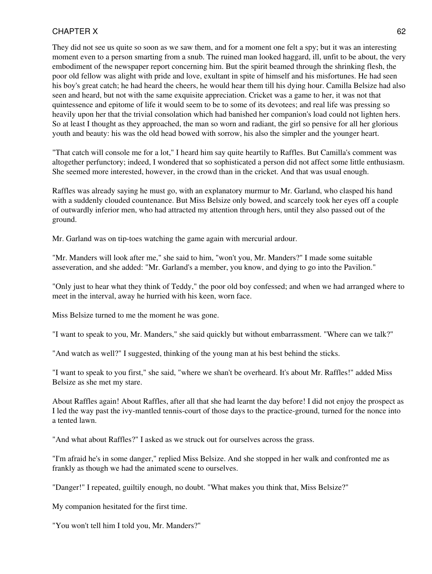They did not see us quite so soon as we saw them, and for a moment one felt a spy; but it was an interesting moment even to a person smarting from a snub. The ruined man looked haggard, ill, unfit to be about, the very embodiment of the newspaper report concerning him. But the spirit beamed through the shrinking flesh, the poor old fellow was alight with pride and love, exultant in spite of himself and his misfortunes. He had seen his boy's great catch; he had heard the cheers, he would hear them till his dying hour. Camilla Belsize had also seen and heard, but not with the same exquisite appreciation. Cricket was a game to her, it was not that quintessence and epitome of life it would seem to be to some of its devotees; and real life was pressing so heavily upon her that the trivial consolation which had banished her companion's load could not lighten hers. So at least I thought as they approached, the man so worn and radiant, the girl so pensive for all her glorious youth and beauty: his was the old head bowed with sorrow, his also the simpler and the younger heart.

"That catch will console me for a lot," I heard him say quite heartily to Raffles. But Camilla's comment was altogether perfunctory; indeed, I wondered that so sophisticated a person did not affect some little enthusiasm. She seemed more interested, however, in the crowd than in the cricket. And that was usual enough.

Raffles was already saying he must go, with an explanatory murmur to Mr. Garland, who clasped his hand with a suddenly clouded countenance. But Miss Belsize only bowed, and scarcely took her eyes off a couple of outwardly inferior men, who had attracted my attention through hers, until they also passed out of the ground.

Mr. Garland was on tip-toes watching the game again with mercurial ardour.

"Mr. Manders will look after me," she said to him, "won't you, Mr. Manders?" I made some suitable asseveration, and she added: "Mr. Garland's a member, you know, and dying to go into the Pavilion."

"Only just to hear what they think of Teddy," the poor old boy confessed; and when we had arranged where to meet in the interval, away he hurried with his keen, worn face.

Miss Belsize turned to me the moment he was gone.

"I want to speak to you, Mr. Manders," she said quickly but without embarrassment. "Where can we talk?"

"And watch as well?" I suggested, thinking of the young man at his best behind the sticks.

"I want to speak to you first," she said, "where we shan't be overheard. It's about Mr. Raffles!" added Miss Belsize as she met my stare.

About Raffles again! About Raffles, after all that she had learnt the day before! I did not enjoy the prospect as I led the way past the ivy-mantled tennis-court of those days to the practice-ground, turned for the nonce into a tented lawn.

"And what about Raffles?" I asked as we struck out for ourselves across the grass.

"I'm afraid he's in some danger," replied Miss Belsize. And she stopped in her walk and confronted me as frankly as though we had the animated scene to ourselves.

"Danger!" I repeated, guiltily enough, no doubt. "What makes you think that, Miss Belsize?"

My companion hesitated for the first time.

"You won't tell him I told you, Mr. Manders?"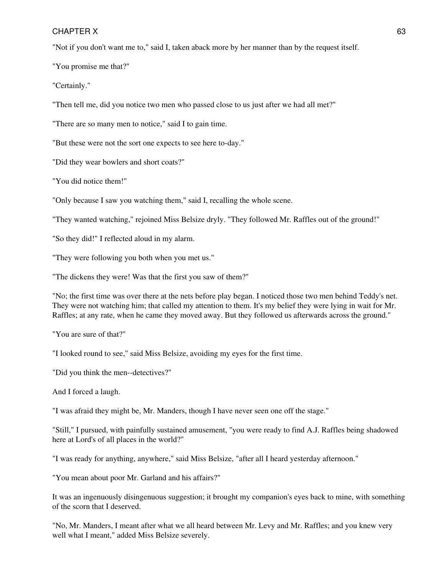"Not if you don't want me to," said I, taken aback more by her manner than by the request itself.

"You promise me that?"

"Certainly."

"Then tell me, did you notice two men who passed close to us just after we had all met?"

"There are so many men to notice," said I to gain time.

"But these were not the sort one expects to see here to-day."

"Did they wear bowlers and short coats?"

"You did notice them!"

"Only because I saw you watching them," said I, recalling the whole scene.

"They wanted watching," rejoined Miss Belsize dryly. "They followed Mr. Raffles out of the ground!"

"So they did!" I reflected aloud in my alarm.

"They were following you both when you met us."

"The dickens they were! Was that the first you saw of them?"

"No; the first time was over there at the nets before play began. I noticed those two men behind Teddy's net. They were not watching him; that called my attention to them. It's my belief they were lying in wait for Mr. Raffles; at any rate, when he came they moved away. But they followed us afterwards across the ground."

"You are sure of that?"

"I looked round to see," said Miss Belsize, avoiding my eyes for the first time.

"Did you think the men--detectives?"

And I forced a laugh.

"I was afraid they might be, Mr. Manders, though I have never seen one off the stage."

"Still," I pursued, with painfully sustained amusement, "you were ready to find A.J. Raffles being shadowed here at Lord's of all places in the world?"

"I was ready for anything, anywhere," said Miss Belsize, "after all I heard yesterday afternoon."

"You mean about poor Mr. Garland and his affairs?"

It was an ingenuously disingenuous suggestion; it brought my companion's eyes back to mine, with something of the scorn that I deserved.

"No, Mr. Manders, I meant after what we all heard between Mr. Levy and Mr. Raffles; and you knew very well what I meant," added Miss Belsize severely.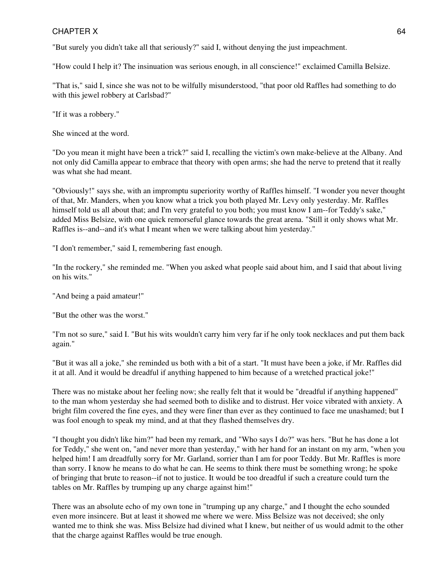"But surely you didn't take all that seriously?" said I, without denying the just impeachment.

"How could I help it? The insinuation was serious enough, in all conscience!" exclaimed Camilla Belsize.

"That is," said I, since she was not to be wilfully misunderstood, "that poor old Raffles had something to do with this jewel robbery at Carlsbad?"

"If it was a robbery."

She winced at the word.

"Do you mean it might have been a trick?" said I, recalling the victim's own make-believe at the Albany. And not only did Camilla appear to embrace that theory with open arms; she had the nerve to pretend that it really was what she had meant.

"Obviously!" says she, with an impromptu superiority worthy of Raffles himself. "I wonder you never thought of that, Mr. Manders, when you know what a trick you both played Mr. Levy only yesterday. Mr. Raffles himself told us all about that; and I'm very grateful to you both; you must know I am--for Teddy's sake," added Miss Belsize, with one quick remorseful glance towards the great arena. "Still it only shows what Mr. Raffles is--and--and it's what I meant when we were talking about him yesterday."

"I don't remember," said I, remembering fast enough.

"In the rockery," she reminded me. "When you asked what people said about him, and I said that about living on his wits."

"And being a paid amateur!"

"But the other was the worst."

"I'm not so sure," said I. "But his wits wouldn't carry him very far if he only took necklaces and put them back again."

"But it was all a joke," she reminded us both with a bit of a start. "It must have been a joke, if Mr. Raffles did it at all. And it would be dreadful if anything happened to him because of a wretched practical joke!"

There was no mistake about her feeling now; she really felt that it would be "dreadful if anything happened" to the man whom yesterday she had seemed both to dislike and to distrust. Her voice vibrated with anxiety. A bright film covered the fine eyes, and they were finer than ever as they continued to face me unashamed; but I was fool enough to speak my mind, and at that they flashed themselves dry.

"I thought you didn't like him?" had been my remark, and "Who says I do?" was hers. "But he has done a lot for Teddy," she went on, "and never more than yesterday," with her hand for an instant on my arm, "when you helped him! I am dreadfully sorry for Mr. Garland, sorrier than I am for poor Teddy. But Mr. Raffles is more than sorry. I know he means to do what he can. He seems to think there must be something wrong; he spoke of bringing that brute to reason--if not to justice. It would be too dreadful if such a creature could turn the tables on Mr. Raffles by trumping up any charge against him!"

There was an absolute echo of my own tone in "trumping up any charge," and I thought the echo sounded even more insincere. But at least it showed me where we were. Miss Belsize was not deceived; she only wanted me to think she was. Miss Belsize had divined what I knew, but neither of us would admit to the other that the charge against Raffles would be true enough.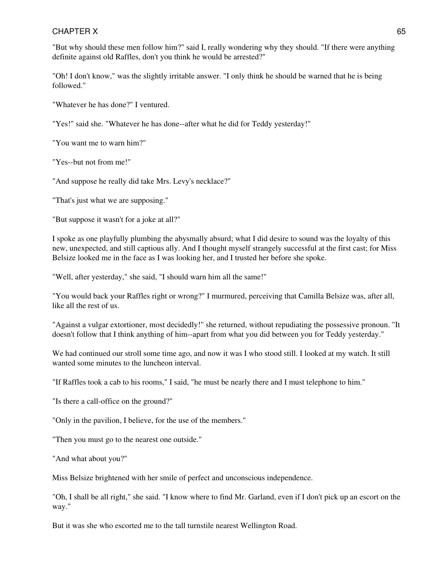"But why should these men follow him?" said I, really wondering why they should. "If there were anything definite against old Raffles, don't you think he would be arrested?"

"Oh! I don't know," was the slightly irritable answer. "I only think he should be warned that he is being followed."

"Whatever he has done?" I ventured.

"Yes!" said she. "Whatever he has done--after what he did for Teddy yesterday!"

"You want me to warn him?"

"Yes--but not from me!"

"And suppose he really did take Mrs. Levy's necklace?"

"That's just what we are supposing."

"But suppose it wasn't for a joke at all?"

I spoke as one playfully plumbing the abysmally absurd; what I did desire to sound was the loyalty of this new, unexpected, and still captious ally. And I thought myself strangely successful at the first cast; for Miss Belsize looked me in the face as I was looking her, and I trusted her before she spoke.

"Well, after yesterday," she said, "I should warn him all the same!"

"You would back your Raffles right or wrong?" I murmured, perceiving that Camilla Belsize was, after all, like all the rest of us.

"Against a vulgar extortioner, most decidedly!" she returned, without repudiating the possessive pronoun. "It doesn't follow that I think anything of him--apart from what you did between you for Teddy yesterday."

We had continued our stroll some time ago, and now it was I who stood still. I looked at my watch. It still wanted some minutes to the luncheon interval.

"If Raffles took a cab to his rooms," I said, "he must be nearly there and I must telephone to him."

"Is there a call-office on the ground?"

"Only in the pavilion, I believe, for the use of the members."

"Then you must go to the nearest one outside."

"And what about you?"

Miss Belsize brightened with her smile of perfect and unconscious independence.

"Oh, I shall be all right," she said. "I know where to find Mr. Garland, even if I don't pick up an escort on the way."

But it was she who escorted me to the tall turnstile nearest Wellington Road.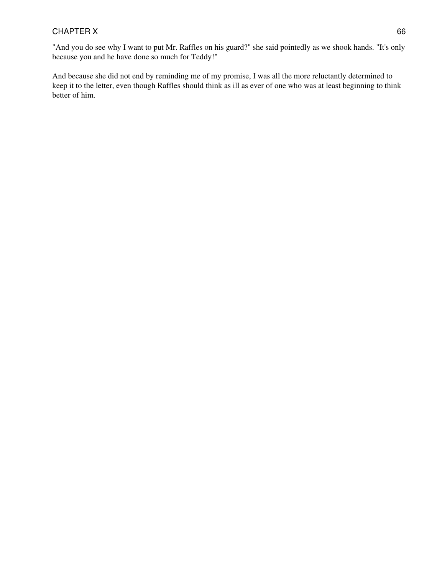And because she did not end by reminding me of my promise, I was all the more reluctantly determined to keep it to the letter, even though Raffles should think as ill as ever of one who was at least beginning to think better of him.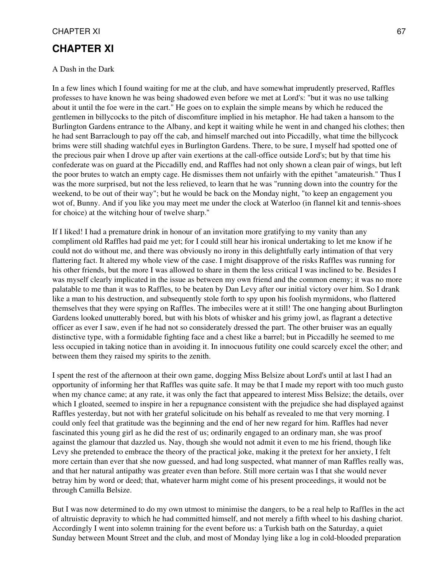## **CHAPTER XI**

#### A Dash in the Dark

In a few lines which I found waiting for me at the club, and have somewhat imprudently preserved, Raffles professes to have known he was being shadowed even before we met at Lord's: "but it was no use talking about it until the foe were in the cart." He goes on to explain the simple means by which he reduced the gentlemen in billycocks to the pitch of discomfiture implied in his metaphor. He had taken a hansom to the Burlington Gardens entrance to the Albany, and kept it waiting while he went in and changed his clothes; then he had sent Barraclough to pay off the cab, and himself marched out into Piccadilly, what time the billycock brims were still shading watchful eyes in Burlington Gardens. There, to be sure, I myself had spotted one of the precious pair when I drove up after vain exertions at the call-office outside Lord's; but by that time his confederate was on guard at the Piccadilly end, and Raffles had not only shown a clean pair of wings, but left the poor brutes to watch an empty cage. He dismisses them not unfairly with the epithet "amateurish." Thus I was the more surprised, but not the less relieved, to learn that he was "running down into the country for the weekend, to be out of their way"; but he would be back on the Monday night, "to keep an engagement you wot of, Bunny. And if you like you may meet me under the clock at Waterloo (in flannel kit and tennis-shoes for choice) at the witching hour of twelve sharp."

If I liked! I had a premature drink in honour of an invitation more gratifying to my vanity than any compliment old Raffles had paid me yet; for I could still hear his ironical undertaking to let me know if he could not do without me, and there was obviously no irony in this delightfully early intimation of that very flattering fact. It altered my whole view of the case. I might disapprove of the risks Raffles was running for his other friends, but the more I was allowed to share in them the less critical I was inclined to be. Besides I was myself clearly implicated in the issue as between my own friend and the common enemy; it was no more palatable to me than it was to Raffles, to be beaten by Dan Levy after our initial victory over him. So I drank like a man to his destruction, and subsequently stole forth to spy upon his foolish myrmidons, who flattered themselves that they were spying on Raffles. The imbeciles were at it still! The one hanging about Burlington Gardens looked unutterably bored, but with his blots of whisker and his grimy jowl, as flagrant a detective officer as ever I saw, even if he had not so considerately dressed the part. The other bruiser was an equally distinctive type, with a formidable fighting face and a chest like a barrel; but in Piccadilly he seemed to me less occupied in taking notice than in avoiding it. In innocuous futility one could scarcely excel the other; and between them they raised my spirits to the zenith.

I spent the rest of the afternoon at their own game, dogging Miss Belsize about Lord's until at last I had an opportunity of informing her that Raffles was quite safe. It may be that I made my report with too much gusto when my chance came; at any rate, it was only the fact that appeared to interest Miss Belsize; the details, over which I gloated, seemed to inspire in her a repugnance consistent with the prejudice she had displayed against Raffles yesterday, but not with her grateful solicitude on his behalf as revealed to me that very morning. I could only feel that gratitude was the beginning and the end of her new regard for him. Raffles had never fascinated this young girl as he did the rest of us; ordinarily engaged to an ordinary man, she was proof against the glamour that dazzled us. Nay, though she would not admit it even to me his friend, though like Levy she pretended to embrace the theory of the practical joke, making it the pretext for her anxiety, I felt more certain than ever that she now guessed, and had long suspected, what manner of man Raffles really was, and that her natural antipathy was greater even than before. Still more certain was I that she would never betray him by word or deed; that, whatever harm might come of his present proceedings, it would not be through Camilla Belsize.

But I was now determined to do my own utmost to minimise the dangers, to be a real help to Raffles in the act of altruistic depravity to which he had committed himself, and not merely a fifth wheel to his dashing chariot. Accordingly I went into solemn training for the event before us: a Turkish bath on the Saturday, a quiet Sunday between Mount Street and the club, and most of Monday lying like a log in cold-blooded preparation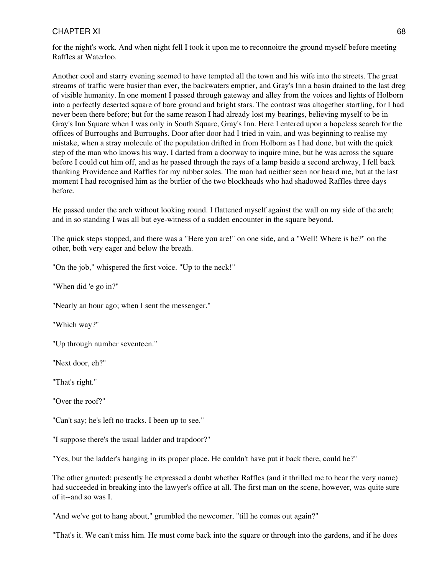for the night's work. And when night fell I took it upon me to reconnoitre the ground myself before meeting Raffles at Waterloo.

Another cool and starry evening seemed to have tempted all the town and his wife into the streets. The great streams of traffic were busier than ever, the backwaters emptier, and Gray's Inn a basin drained to the last dreg of visible humanity. In one moment I passed through gateway and alley from the voices and lights of Holborn into a perfectly deserted square of bare ground and bright stars. The contrast was altogether startling, for I had never been there before; but for the same reason I had already lost my bearings, believing myself to be in Gray's Inn Square when I was only in South Square, Gray's Inn. Here I entered upon a hopeless search for the offices of Burroughs and Burroughs. Door after door had I tried in vain, and was beginning to realise my mistake, when a stray molecule of the population drifted in from Holborn as I had done, but with the quick step of the man who knows his way. I darted from a doorway to inquire mine, but he was across the square before I could cut him off, and as he passed through the rays of a lamp beside a second archway, I fell back thanking Providence and Raffles for my rubber soles. The man had neither seen nor heard me, but at the last moment I had recognised him as the burlier of the two blockheads who had shadowed Raffles three days before.

He passed under the arch without looking round. I flattened myself against the wall on my side of the arch; and in so standing I was all but eye-witness of a sudden encounter in the square beyond.

The quick steps stopped, and there was a "Here you are!" on one side, and a "Well! Where is he?" on the other, both very eager and below the breath.

"On the job," whispered the first voice. "Up to the neck!"

"When did 'e go in?"

"Nearly an hour ago; when I sent the messenger."

"Which way?"

"Up through number seventeen."

"Next door, eh?"

"That's right."

"Over the roof?"

"Can't say; he's left no tracks. I been up to see."

"I suppose there's the usual ladder and trapdoor?"

"Yes, but the ladder's hanging in its proper place. He couldn't have put it back there, could he?"

The other grunted; presently he expressed a doubt whether Raffles (and it thrilled me to hear the very name) had succeeded in breaking into the lawyer's office at all. The first man on the scene, however, was quite sure of it--and so was I.

"And we've got to hang about," grumbled the newcomer, "till he comes out again?"

"That's it. We can't miss him. He must come back into the square or through into the gardens, and if he does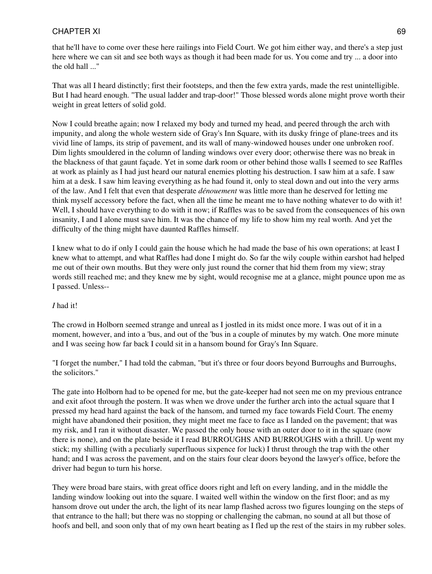that he'll have to come over these here railings into Field Court. We got him either way, and there's a step just here where we can sit and see both ways as though it had been made for us. You come and try ... a door into the old hall ..."

That was all I heard distinctly; first their footsteps, and then the few extra yards, made the rest unintelligible. But I had heard enough. "The usual ladder and trap-door!" Those blessed words alone might prove worth their weight in great letters of solid gold.

Now I could breathe again; now I relaxed my body and turned my head, and peered through the arch with impunity, and along the whole western side of Gray's Inn Square, with its dusky fringe of plane-trees and its vivid line of lamps, its strip of pavement, and its wall of many-windowed houses under one unbroken roof. Dim lights smouldered in the column of landing windows over every door; otherwise there was no break in the blackness of that gaunt façade. Yet in some dark room or other behind those walls I seemed to see Raffles at work as plainly as I had just heard our natural enemies plotting his destruction. I saw him at a safe. I saw him at a desk. I saw him leaving everything as he had found it, only to steal down and out into the very arms of the law. And I felt that even that desperate *dénouement* was little more than he deserved for letting me think myself accessory before the fact, when all the time he meant me to have nothing whatever to do with it! Well, I should have everything to do with it now; if Raffles was to be saved from the consequences of his own insanity, I and I alone must save him. It was the chance of my life to show him my real worth. And yet the difficulty of the thing might have daunted Raffles himself.

I knew what to do if only I could gain the house which he had made the base of his own operations; at least I knew what to attempt, and what Raffles had done I might do. So far the wily couple within earshot had helped me out of their own mouths. But they were only just round the corner that hid them from my view; stray words still reached me; and they knew me by sight, would recognise me at a glance, might pounce upon me as I passed. Unless--

#### *I* had it!

The crowd in Holborn seemed strange and unreal as I jostled in its midst once more. I was out of it in a moment, however, and into a 'bus, and out of the 'bus in a couple of minutes by my watch. One more minute and I was seeing how far back I could sit in a hansom bound for Gray's Inn Square.

"I forget the number," I had told the cabman, "but it's three or four doors beyond Burroughs and Burroughs, the solicitors."

The gate into Holborn had to be opened for me, but the gate-keeper had not seen me on my previous entrance and exit afoot through the postern. It was when we drove under the further arch into the actual square that I pressed my head hard against the back of the hansom, and turned my face towards Field Court. The enemy might have abandoned their position, they might meet me face to face as I landed on the pavement; that was my risk, and I ran it without disaster. We passed the only house with an outer door to it in the square (now there is none), and on the plate beside it I read BURROUGHS AND BURROUGHS with a thrill. Up went my stick; my shilling (with a peculiarly superfluous sixpence for luck) I thrust through the trap with the other hand; and I was across the pavement, and on the stairs four clear doors beyond the lawyer's office, before the driver had begun to turn his horse.

They were broad bare stairs, with great office doors right and left on every landing, and in the middle the landing window looking out into the square. I waited well within the window on the first floor; and as my hansom drove out under the arch, the light of its near lamp flashed across two figures lounging on the steps of that entrance to the hall; but there was no stopping or challenging the cabman, no sound at all but those of hoofs and bell, and soon only that of my own heart beating as I fled up the rest of the stairs in my rubber soles.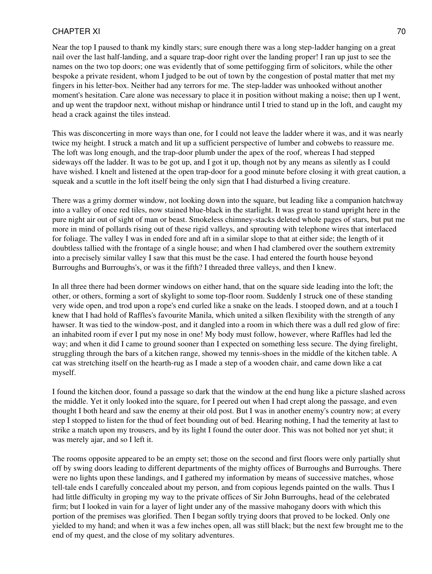Near the top I paused to thank my kindly stars; sure enough there was a long step-ladder hanging on a great nail over the last half-landing, and a square trap-door right over the landing proper! I ran up just to see the names on the two top doors; one was evidently that of some pettifogging firm of solicitors, while the other bespoke a private resident, whom I judged to be out of town by the congestion of postal matter that met my fingers in his letter-box. Neither had any terrors for me. The step-ladder was unhooked without another moment's hesitation. Care alone was necessary to place it in position without making a noise; then up I went, and up went the trapdoor next, without mishap or hindrance until I tried to stand up in the loft, and caught my head a crack against the tiles instead.

This was disconcerting in more ways than one, for I could not leave the ladder where it was, and it was nearly twice my height. I struck a match and lit up a sufficient perspective of lumber and cobwebs to reassure me. The loft was long enough, and the trap-door plumb under the apex of the roof, whereas I had stepped sideways off the ladder. It was to be got up, and I got it up, though not by any means as silently as I could have wished. I knelt and listened at the open trap-door for a good minute before closing it with great caution, a squeak and a scuttle in the loft itself being the only sign that I had disturbed a living creature.

There was a grimy dormer window, not looking down into the square, but leading like a companion hatchway into a valley of once red tiles, now stained blue-black in the starlight. It was great to stand upright here in the pure night air out of sight of man or beast. Smokeless chimney-stacks deleted whole pages of stars, but put me more in mind of pollards rising out of these rigid valleys, and sprouting with telephone wires that interlaced for foliage. The valley I was in ended fore and aft in a similar slope to that at either side; the length of it doubtless tallied with the frontage of a single house; and when I had clambered over the southern extremity into a precisely similar valley I saw that this must be the case. I had entered the fourth house beyond Burroughs and Burroughs's, or was it the fifth? I threaded three valleys, and then I knew.

In all three there had been dormer windows on either hand, that on the square side leading into the loft; the other, or others, forming a sort of skylight to some top-floor room. Suddenly I struck one of these standing very wide open, and trod upon a rope's end curled like a snake on the leads. I stooped down, and at a touch I knew that I had hold of Raffles's favourite Manila, which united a silken flexibility with the strength of any hawser. It was tied to the window-post, and it dangled into a room in which there was a dull red glow of fire: an inhabited room if ever I put my nose in one! My body must follow, however, where Raffles had led the way; and when it did I came to ground sooner than I expected on something less secure. The dying firelight, struggling through the bars of a kitchen range, showed my tennis-shoes in the middle of the kitchen table. A cat was stretching itself on the hearth-rug as I made a step of a wooden chair, and came down like a cat myself.

I found the kitchen door, found a passage so dark that the window at the end hung like a picture slashed across the middle. Yet it only looked into the square, for I peered out when I had crept along the passage, and even thought I both heard and saw the enemy at their old post. But I was in another enemy's country now; at every step I stopped to listen for the thud of feet bounding out of bed. Hearing nothing, I had the temerity at last to strike a match upon my trousers, and by its light I found the outer door. This was not bolted nor yet shut; it was merely ajar, and so I left it.

The rooms opposite appeared to be an empty set; those on the second and first floors were only partially shut off by swing doors leading to different departments of the mighty offices of Burroughs and Burroughs. There were no lights upon these landings, and I gathered my information by means of successive matches, whose tell-tale ends I carefully concealed about my person, and from copious legends painted on the walls. Thus I had little difficulty in groping my way to the private offices of Sir John Burroughs, head of the celebrated firm; but I looked in vain for a layer of light under any of the massive mahogany doors with which this portion of the premises was glorified. Then I began softly trying doors that proved to be locked. Only one yielded to my hand; and when it was a few inches open, all was still black; but the next few brought me to the end of my quest, and the close of my solitary adventures.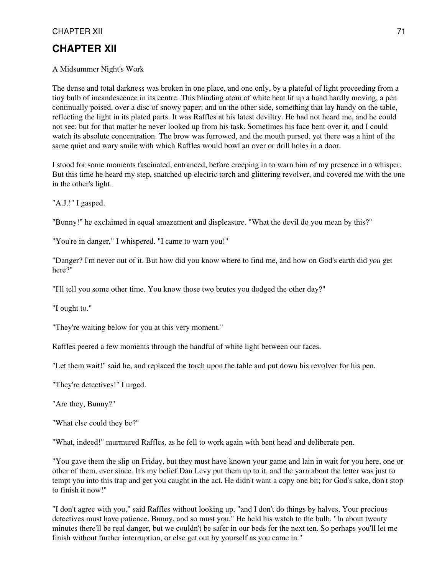#### A Midsummer Night's Work

The dense and total darkness was broken in one place, and one only, by a plateful of light proceeding from a tiny bulb of incandescence in its centre. This blinding atom of white heat lit up a hand hardly moving, a pen continually poised, over a disc of snowy paper; and on the other side, something that lay handy on the table, reflecting the light in its plated parts. It was Raffles at his latest deviltry. He had not heard me, and he could not see; but for that matter he never looked up from his task. Sometimes his face bent over it, and I could watch its absolute concentration. The brow was furrowed, and the mouth pursed, yet there was a hint of the same quiet and wary smile with which Raffles would bowl an over or drill holes in a door.

I stood for some moments fascinated, entranced, before creeping in to warn him of my presence in a whisper. But this time he heard my step, snatched up electric torch and glittering revolver, and covered me with the one in the other's light.

"A.J.!" I gasped.

"Bunny!" he exclaimed in equal amazement and displeasure. "What the devil do you mean by this?"

"You're in danger," I whispered. "I came to warn you!"

"Danger? I'm never out of it. But how did you know where to find me, and how on God's earth did *you* get here?"

"I'll tell you some other time. You know those two brutes you dodged the other day?"

"I ought to."

"They're waiting below for you at this very moment."

Raffles peered a few moments through the handful of white light between our faces.

"Let them wait!" said he, and replaced the torch upon the table and put down his revolver for his pen.

"They're detectives!" I urged.

"Are they, Bunny?"

"What else could they be?"

"What, indeed!" murmured Raffles, as he fell to work again with bent head and deliberate pen.

"You gave them the slip on Friday, but they must have known your game and lain in wait for you here, one or other of them, ever since. It's my belief Dan Levy put them up to it, and the yarn about the letter was just to tempt you into this trap and get you caught in the act. He didn't want a copy one bit; for God's sake, don't stop to finish it now!"

"I don't agree with you," said Raffles without looking up, "and I don't do things by halves, Your precious detectives must have patience. Bunny, and so must you." He held his watch to the bulb. "In about twenty minutes there'll be real danger, but we couldn't be safer in our beds for the next ten. So perhaps you'll let me finish without further interruption, or else get out by yourself as you came in."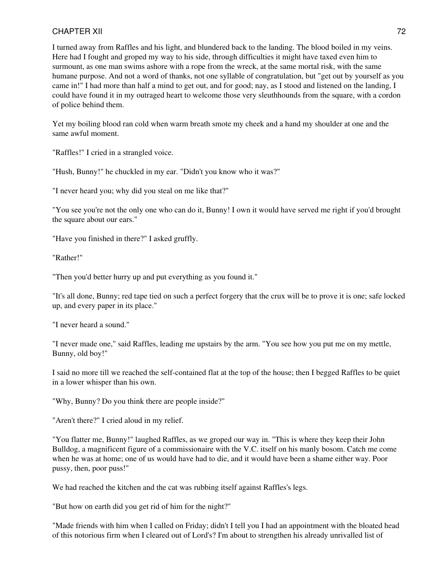I turned away from Raffles and his light, and blundered back to the landing. The blood boiled in my veins. Here had I fought and groped my way to his side, through difficulties it might have taxed even him to surmount, as one man swims ashore with a rope from the wreck, at the same mortal risk, with the same humane purpose. And not a word of thanks, not one syllable of congratulation, but "get out by yourself as you came in!" I had more than half a mind to get out, and for good; nay, as I stood and listened on the landing, I could have found it in my outraged heart to welcome those very sleuthhounds from the square, with a cordon of police behind them.

Yet my boiling blood ran cold when warm breath smote my cheek and a hand my shoulder at one and the same awful moment.

"Raffles!" I cried in a strangled voice.

"Hush, Bunny!" he chuckled in my ear. "Didn't you know who it was?"

"I never heard you; why did you steal on me like that?"

"You see you're not the only one who can do it, Bunny! I own it would have served me right if you'd brought the square about our ears."

"Have you finished in there?" I asked gruffly.

"Rather!"

"Then you'd better hurry up and put everything as you found it."

"It's all done, Bunny; red tape tied on such a perfect forgery that the crux will be to prove it is one; safe locked up, and every paper in its place."

"I never heard a sound."

"I never made one," said Raffles, leading me upstairs by the arm. "You see how you put me on my mettle, Bunny, old boy!"

I said no more till we reached the self-contained flat at the top of the house; then I begged Raffles to be quiet in a lower whisper than his own.

"Why, Bunny? Do you think there are people inside?"

"Aren't there?" I cried aloud in my relief.

"You flatter me, Bunny!" laughed Raffles, as we groped our way in. "This is where they keep their John Bulldog, a magnificent figure of a commissionaire with the V.C. itself on his manly bosom. Catch me come when he was at home; one of us would have had to die, and it would have been a shame either way. Poor pussy, then, poor puss!"

We had reached the kitchen and the cat was rubbing itself against Raffles's legs.

"But how on earth did you get rid of him for the night?"

"Made friends with him when I called on Friday; didn't I tell you I had an appointment with the bloated head of this notorious firm when I cleared out of Lord's? I'm about to strengthen his already unrivalled list of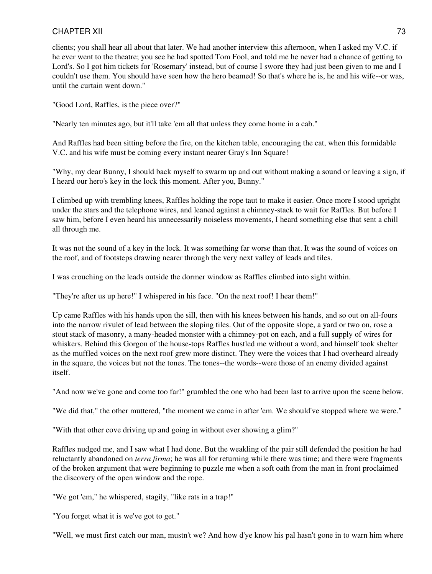clients; you shall hear all about that later. We had another interview this afternoon, when I asked my V.C. if he ever went to the theatre; you see he had spotted Tom Fool, and told me he never had a chance of getting to Lord's. So I got him tickets for 'Rosemary' instead, but of course I swore they had just been given to me and I couldn't use them. You should have seen how the hero beamed! So that's where he is, he and his wife--or was, until the curtain went down."

"Good Lord, Raffles, is the piece over?"

"Nearly ten minutes ago, but it'll take 'em all that unless they come home in a cab."

And Raffles had been sitting before the fire, on the kitchen table, encouraging the cat, when this formidable V.C. and his wife must be coming every instant nearer Gray's Inn Square!

"Why, my dear Bunny, I should back myself to swarm up and out without making a sound or leaving a sign, if I heard our hero's key in the lock this moment. After you, Bunny."

I climbed up with trembling knees, Raffles holding the rope taut to make it easier. Once more I stood upright under the stars and the telephone wires, and leaned against a chimney-stack to wait for Raffles. But before I saw him, before I even heard his unnecessarily noiseless movements, I heard something else that sent a chill all through me.

It was not the sound of a key in the lock. It was something far worse than that. It was the sound of voices on the roof, and of footsteps drawing nearer through the very next valley of leads and tiles.

I was crouching on the leads outside the dormer window as Raffles climbed into sight within.

"They're after us up here!" I whispered in his face. "On the next roof! I hear them!"

Up came Raffles with his hands upon the sill, then with his knees between his hands, and so out on all-fours into the narrow rivulet of lead between the sloping tiles. Out of the opposite slope, a yard or two on, rose a stout stack of masonry, a many-headed monster with a chimney-pot on each, and a full supply of wires for whiskers. Behind this Gorgon of the house-tops Raffles hustled me without a word, and himself took shelter as the muffled voices on the next roof grew more distinct. They were the voices that I had overheard already in the square, the voices but not the tones. The tones--the words--were those of an enemy divided against itself.

"And now we've gone and come too far!" grumbled the one who had been last to arrive upon the scene below.

"We did that," the other muttered, "the moment we came in after 'em. We should've stopped where we were."

"With that other cove driving up and going in without ever showing a glim?"

Raffles nudged me, and I saw what I had done. But the weakling of the pair still defended the position he had reluctantly abandoned on *terra firma*; he was all for returning while there was time; and there were fragments of the broken argument that were beginning to puzzle me when a soft oath from the man in front proclaimed the discovery of the open window and the rope.

"We got 'em," he whispered, stagily, "like rats in a trap!"

"You forget what it is we've got to get."

"Well, we must first catch our man, mustn't we? And how d'ye know his pal hasn't gone in to warn him where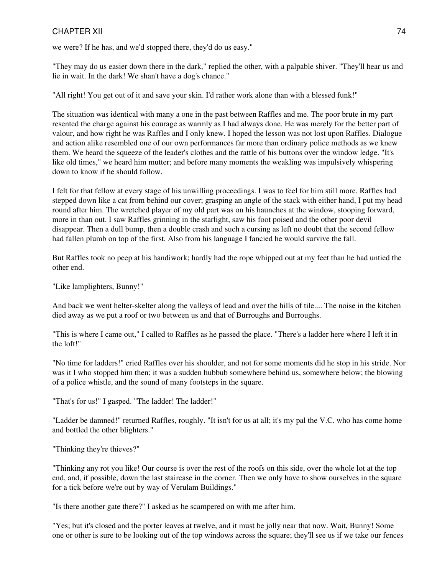we were? If he has, and we'd stopped there, they'd do us easy."

"They may do us easier down there in the dark," replied the other, with a palpable shiver. "They'll hear us and lie in wait. In the dark! We shan't have a dog's chance."

"All right! You get out of it and save your skin. I'd rather work alone than with a blessed funk!"

The situation was identical with many a one in the past between Raffles and me. The poor brute in my part resented the charge against his courage as warmly as I had always done. He was merely for the better part of valour, and how right he was Raffles and I only knew. I hoped the lesson was not lost upon Raffles. Dialogue and action alike resembled one of our own performances far more than ordinary police methods as we knew them. We heard the squeeze of the leader's clothes and the rattle of his buttons over the window ledge. "It's like old times," we heard him mutter; and before many moments the weakling was impulsively whispering down to know if he should follow.

I felt for that fellow at every stage of his unwilling proceedings. I was to feel for him still more. Raffles had stepped down like a cat from behind our cover; grasping an angle of the stack with either hand, I put my head round after him. The wretched player of my old part was on his haunches at the window, stooping forward, more in than out. I saw Raffles grinning in the starlight, saw his foot poised and the other poor devil disappear. Then a dull bump, then a double crash and such a cursing as left no doubt that the second fellow had fallen plumb on top of the first. Also from his language I fancied he would survive the fall.

But Raffles took no peep at his handiwork; hardly had the rope whipped out at my feet than he had untied the other end.

"Like lamplighters, Bunny!"

And back we went helter-skelter along the valleys of lead and over the hills of tile.... The noise in the kitchen died away as we put a roof or two between us and that of Burroughs and Burroughs.

"This is where I came out," I called to Raffles as he passed the place. "There's a ladder here where I left it in the loft!"

"No time for ladders!" cried Raffles over his shoulder, and not for some moments did he stop in his stride. Nor was it I who stopped him then; it was a sudden hubbub somewhere behind us, somewhere below; the blowing of a police whistle, and the sound of many footsteps in the square.

"That's for us!" I gasped. "The ladder! The ladder!"

"Ladder be damned!" returned Raffles, roughly. "It isn't for us at all; it's my pal the V.C. who has come home and bottled the other blighters."

"Thinking they're thieves?"

"Thinking any rot you like! Our course is over the rest of the roofs on this side, over the whole lot at the top end, and, if possible, down the last staircase in the corner. Then we only have to show ourselves in the square for a tick before we're out by way of Verulam Buildings."

"Is there another gate there?" I asked as he scampered on with me after him.

"Yes; but it's closed and the porter leaves at twelve, and it must be jolly near that now. Wait, Bunny! Some one or other is sure to be looking out of the top windows across the square; they'll see us if we take our fences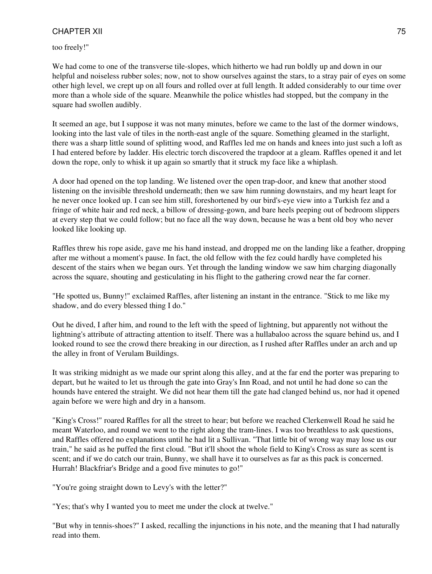too freely!"

We had come to one of the transverse tile-slopes, which hitherto we had run boldly up and down in our helpful and noiseless rubber soles; now, not to show ourselves against the stars, to a stray pair of eyes on some other high level, we crept up on all fours and rolled over at full length. It added considerably to our time over more than a whole side of the square. Meanwhile the police whistles had stopped, but the company in the square had swollen audibly.

It seemed an age, but I suppose it was not many minutes, before we came to the last of the dormer windows, looking into the last vale of tiles in the north-east angle of the square. Something gleamed in the starlight, there was a sharp little sound of splitting wood, and Raffles led me on hands and knees into just such a loft as I had entered before by ladder. His electric torch discovered the trapdoor at a gleam. Raffles opened it and let down the rope, only to whisk it up again so smartly that it struck my face like a whiplash.

A door had opened on the top landing. We listened over the open trap-door, and knew that another stood listening on the invisible threshold underneath; then we saw him running downstairs, and my heart leapt for he never once looked up. I can see him still, foreshortened by our bird's-eye view into a Turkish fez and a fringe of white hair and red neck, a billow of dressing-gown, and bare heels peeping out of bedroom slippers at every step that we could follow; but no face all the way down, because he was a bent old boy who never looked like looking up.

Raffles threw his rope aside, gave me his hand instead, and dropped me on the landing like a feather, dropping after me without a moment's pause. In fact, the old fellow with the fez could hardly have completed his descent of the stairs when we began ours. Yet through the landing window we saw him charging diagonally across the square, shouting and gesticulating in his flight to the gathering crowd near the far corner.

"He spotted us, Bunny!" exclaimed Raffles, after listening an instant in the entrance. "Stick to me like my shadow, and do every blessed thing I do."

Out he dived, I after him, and round to the left with the speed of lightning, but apparently not without the lightning's attribute of attracting attention to itself. There was a hullabaloo across the square behind us, and I looked round to see the crowd there breaking in our direction, as I rushed after Raffles under an arch and up the alley in front of Verulam Buildings.

It was striking midnight as we made our sprint along this alley, and at the far end the porter was preparing to depart, but he waited to let us through the gate into Gray's Inn Road, and not until he had done so can the hounds have entered the straight. We did not hear them till the gate had clanged behind us, nor had it opened again before we were high and dry in a hansom.

"King's Cross!" roared Raffles for all the street to hear; but before we reached Clerkenwell Road he said he meant Waterloo, and round we went to the right along the tram-lines. I was too breathless to ask questions, and Raffles offered no explanations until he had lit a Sullivan. "That little bit of wrong way may lose us our train," he said as he puffed the first cloud. "But it'll shoot the whole field to King's Cross as sure as scent is scent; and if we do catch our train, Bunny, we shall have it to ourselves as far as this pack is concerned. Hurrah! Blackfriar's Bridge and a good five minutes to go!"

"You're going straight down to Levy's with the letter?"

"Yes; that's why I wanted you to meet me under the clock at twelve."

"But why in tennis-shoes?" I asked, recalling the injunctions in his note, and the meaning that I had naturally read into them.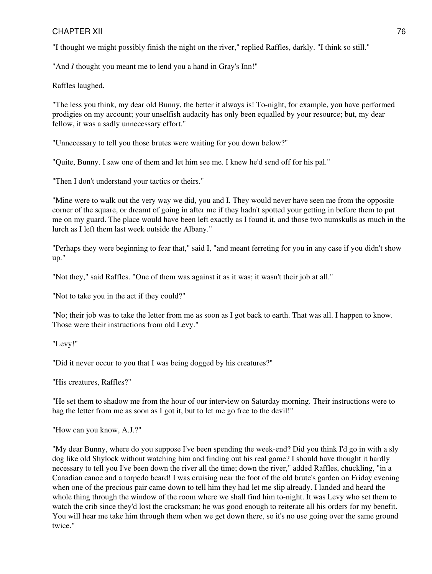"I thought we might possibly finish the night on the river," replied Raffles, darkly. "I think so still."

"And *I* thought you meant me to lend you a hand in Gray's Inn!"

Raffles laughed.

"The less you think, my dear old Bunny, the better it always is! To-night, for example, you have performed prodigies on my account; your unselfish audacity has only been equalled by your resource; but, my dear fellow, it was a sadly unnecessary effort."

"Unnecessary to tell you those brutes were waiting for you down below?"

"Quite, Bunny. I saw one of them and let him see me. I knew he'd send off for his pal."

"Then I don't understand your tactics or theirs."

"Mine were to walk out the very way we did, you and I. They would never have seen me from the opposite corner of the square, or dreamt of going in after me if they hadn't spotted your getting in before them to put me on my guard. The place would have been left exactly as I found it, and those two numskulls as much in the lurch as I left them last week outside the Albany."

"Perhaps they were beginning to fear that," said I, "and meant ferreting for you in any case if you didn't show up."

"Not they," said Raffles. "One of them was against it as it was; it wasn't their job at all."

"Not to take you in the act if they could?"

"No; their job was to take the letter from me as soon as I got back to earth. That was all. I happen to know. Those were their instructions from old Levy."

"Levy!"

"Did it never occur to you that I was being dogged by his creatures?"

"His creatures, Raffles?"

"He set them to shadow me from the hour of our interview on Saturday morning. Their instructions were to bag the letter from me as soon as I got it, but to let me go free to the devil!"

"How can you know, A.J.?"

"My dear Bunny, where do you suppose I've been spending the week-end? Did you think I'd go in with a sly dog like old Shylock without watching him and finding out his real game? I should have thought it hardly necessary to tell you I've been down the river all the time; down the river," added Raffles, chuckling, "in a Canadian canoe and a torpedo beard! I was cruising near the foot of the old brute's garden on Friday evening when one of the precious pair came down to tell him they had let me slip already. I landed and heard the whole thing through the window of the room where we shall find him to-night. It was Levy who set them to watch the crib since they'd lost the cracksman; he was good enough to reiterate all his orders for my benefit. You will hear me take him through them when we get down there, so it's no use going over the same ground twice."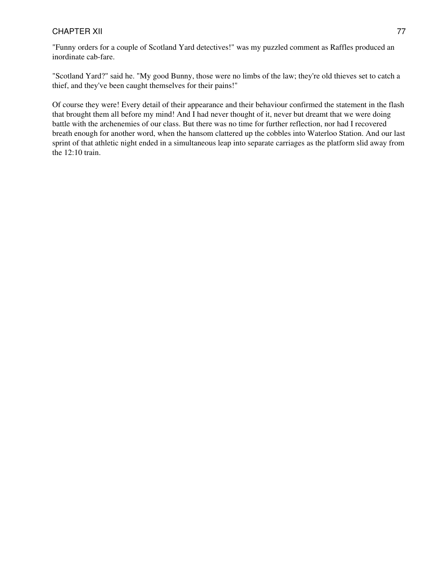"Funny orders for a couple of Scotland Yard detectives!" was my puzzled comment as Raffles produced an inordinate cab-fare.

"Scotland Yard?" said he. "My good Bunny, those were no limbs of the law; they're old thieves set to catch a thief, and they've been caught themselves for their pains!"

Of course they were! Every detail of their appearance and their behaviour confirmed the statement in the flash that brought them all before my mind! And I had never thought of it, never but dreamt that we were doing battle with the archenemies of our class. But there was no time for further reflection, nor had I recovered breath enough for another word, when the hansom clattered up the cobbles into Waterloo Station. And our last sprint of that athletic night ended in a simultaneous leap into separate carriages as the platform slid away from the 12:10 train.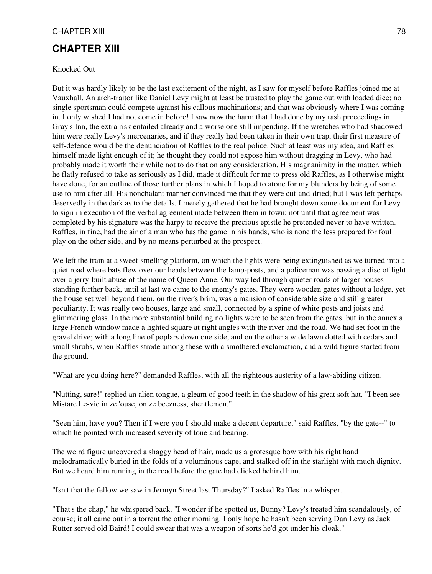# **CHAPTER XIII**

#### Knocked Out

But it was hardly likely to be the last excitement of the night, as I saw for myself before Raffles joined me at Vauxhall. An arch-traitor like Daniel Levy might at least be trusted to play the game out with loaded dice; no single sportsman could compete against his callous machinations; and that was obviously where I was coming in. I only wished I had not come in before! I saw now the harm that I had done by my rash proceedings in Gray's Inn, the extra risk entailed already and a worse one still impending. If the wretches who had shadowed him were really Levy's mercenaries, and if they really had been taken in their own trap, their first measure of self-defence would be the denunciation of Raffles to the real police. Such at least was my idea, and Raffles himself made light enough of it; he thought they could not expose him without dragging in Levy, who had probably made it worth their while not to do that on any consideration. His magnanimity in the matter, which he flatly refused to take as seriously as I did, made it difficult for me to press old Raffles, as I otherwise might have done, for an outline of those further plans in which I hoped to atone for my blunders by being of some use to him after all. His nonchalant manner convinced me that they were cut-and-dried; but I was left perhaps deservedly in the dark as to the details. I merely gathered that he had brought down some document for Levy to sign in execution of the verbal agreement made between them in town; not until that agreement was completed by his signature was the harpy to receive the precious epistle he pretended never to have written. Raffles, in fine, had the air of a man who has the game in his hands, who is none the less prepared for foul play on the other side, and by no means perturbed at the prospect.

We left the train at a sweet-smelling platform, on which the lights were being extinguished as we turned into a quiet road where bats flew over our heads between the lamp-posts, and a policeman was passing a disc of light over a jerry-built abuse of the name of Queen Anne. Our way led through quieter roads of larger houses standing further back, until at last we came to the enemy's gates. They were wooden gates without a lodge, yet the house set well beyond them, on the river's brim, was a mansion of considerable size and still greater peculiarity. It was really two houses, large and small, connected by a spine of white posts and joists and glimmering glass. In the more substantial building no lights were to be seen from the gates, but in the annex a large French window made a lighted square at right angles with the river and the road. We had set foot in the gravel drive; with a long line of poplars down one side, and on the other a wide lawn dotted with cedars and small shrubs, when Raffles strode among these with a smothered exclamation, and a wild figure started from the ground.

"What are you doing here?" demanded Raffles, with all the righteous austerity of a law-abiding citizen.

"Nutting, sare!" replied an alien tongue, a gleam of good teeth in the shadow of his great soft hat. "I been see Mistare Le-vie in ze 'ouse, on ze beezness, shentlemen."

"Seen him, have you? Then if I were you I should make a decent departure," said Raffles, "by the gate--" to which he pointed with increased severity of tone and bearing.

The weird figure uncovered a shaggy head of hair, made us a grotesque bow with his right hand melodramatically buried in the folds of a voluminous cape, and stalked off in the starlight with much dignity. But we heard him running in the road before the gate had clicked behind him.

"Isn't that the fellow we saw in Jermyn Street last Thursday?" I asked Raffles in a whisper.

"That's the chap," he whispered back. "I wonder if he spotted us, Bunny? Levy's treated him scandalously, of course; it all came out in a torrent the other morning. I only hope he hasn't been serving Dan Levy as Jack Rutter served old Baird! I could swear that was a weapon of sorts he'd got under his cloak."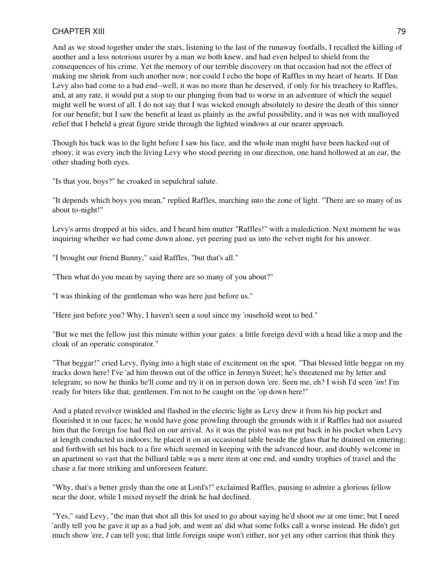And as we stood together under the stars, listening to the last of the runaway footfalls, I recalled the killing of another and a less notorious usurer by a man we both knew, and had even helped to shield from the consequences of his crime. Yet the memory of our terrible discovery on that occasion had not the effect of making me shrink from such another now; nor could I echo the hope of Raffles in my heart of hearts. If Dan Levy also had come to a bad end--well, it was no more than he deserved, if only for his treachery to Raffles, and, at any rate, it would put a stop to our plunging from bad to worse in an adventure of which the sequel might well be worst of all. I do not say that I was wicked enough absolutely to desire the death of this sinner for our benefit; but I saw the benefit at least as plainly as the awful possibility, and it was not with unalloyed relief that I beheld a great figure stride through the lighted windows at our nearer approach.

Though his back was to the light before I saw his face, and the whole man might have been hacked out of ebony, it was every inch the living Levy who stood peering in our direction, one hand hollowed at an ear, the other shading both eyes.

"Is that you, boys?" he croaked in sepulchral salute.

"It depends which boys you mean," replied Raffles, marching into the zone of light. "There are so many of us about to-night!"

Levy's arms dropped at his sides, and I heard him mutter "Raffles!" with a malediction. Next moment he was inquiring whether we had come down alone, yet peering past us into the velvet night for his answer.

"I brought our friend Bunny," said Raffles, "but that's all."

"Then what do you mean by saying there are so many of you about?"

"I was thinking of the gentleman who was here just before us."

"Here just before you? Why, I haven't seen a soul since my 'ousehold went to bed."

"But we met the fellow just this minute within your gates: a little foreign devil with a head like a mop and the cloak of an operatic conspirator."

"That beggar!" cried Levy, flying into a high state of excitement on the spot. "That blessed little beggar on my tracks down here! I've 'ad him thrown out of the office in Jermyn Street; he's threatened me by letter and telegram; so now he thinks he'll come and try it on in person down 'ere. Seen me, eh? I wish I'd seen '*im*! I'm ready for biters like that, gentlemen. I'm not to be caught on the 'op down here!"

And a plated revolver twinkled and flashed in the electric light as Levy drew it from his hip pocket and flourished it in our faces; he would have gone prowling through the grounds with it if Raffles had not assured him that the foreign foe had fled on our arrival. As it was the pistol was not put back in his pocket when Levy at length conducted us indoors; he placed it on an occasional table beside the glass that he drained on entering; and forthwith set his back to a fire which seemed in keeping with the advanced hour, and doubly welcome in an apartment so vast that the billiard table was a mere item at one end, and sundry trophies of travel and the chase a far more striking and unforeseen feature.

"Why, that's a better grisly than the one at Lord's!" exclaimed Raffles, pausing to admire a glorious fellow near the door, while I mixed myself the drink he had declined.

"Yes," said Levy, "the man that shot all this lot used to go about saying he'd shoot *me* at one time; but I need 'ardly tell you he gave it up as a bad job, and went an' did what some folks call a worse instead. He didn't get much show 'ere, I can tell you; that little foreign snipe won't either, nor yet any other carrion that think they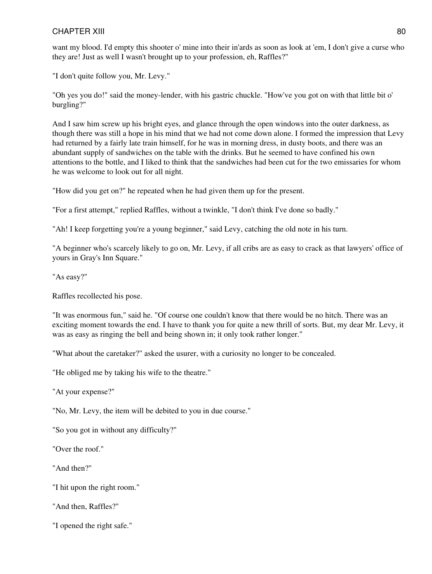want my blood. I'd empty this shooter o' mine into their in'ards as soon as look at 'em, I don't give a curse who they are! Just as well I wasn't brought up to your profession, eh, Raffles?"

"I don't quite follow you, Mr. Levy."

"Oh yes you do!" said the money-lender, with his gastric chuckle. "How've you got on with that little bit o' burgling?"

And I saw him screw up his bright eyes, and glance through the open windows into the outer darkness, as though there was still a hope in his mind that we had not come down alone. I formed the impression that Levy had returned by a fairly late train himself, for he was in morning dress, in dusty boots, and there was an abundant supply of sandwiches on the table with the drinks. But he seemed to have confined his own attentions to the bottle, and I liked to think that the sandwiches had been cut for the two emissaries for whom he was welcome to look out for all night.

"How did you get on?" he repeated when he had given them up for the present.

"For a first attempt," replied Raffles, without a twinkle, "I don't think I've done so badly."

"Ah! I keep forgetting you're a young beginner," said Levy, catching the old note in his turn.

"A beginner who's scarcely likely to go on, Mr. Levy, if all cribs are as easy to crack as that lawyers' office of yours in Gray's Inn Square."

"As easy?"

Raffles recollected his pose.

"It was enormous fun," said he. "Of course one couldn't know that there would be no hitch. There was an exciting moment towards the end. I have to thank you for quite a new thrill of sorts. But, my dear Mr. Levy, it was as easy as ringing the bell and being shown in; it only took rather longer."

"What about the caretaker?" asked the usurer, with a curiosity no longer to be concealed.

"He obliged me by taking his wife to the theatre."

"At your expense?"

"No, Mr. Levy, the item will be debited to you in due course."

"So you got in without any difficulty?"

"Over the roof."

"And then?"

"I hit upon the right room."

"And then, Raffles?"

"I opened the right safe."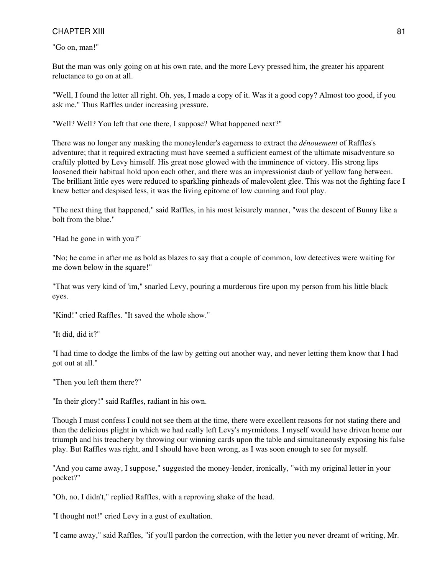"Go on, man!"

But the man was only going on at his own rate, and the more Levy pressed him, the greater his apparent reluctance to go on at all.

"Well, I found the letter all right. Oh, yes, I made a copy of it. Was it a good copy? Almost too good, if you ask me." Thus Raffles under increasing pressure.

"Well? Well? You left that one there, I suppose? What happened next?"

There was no longer any masking the moneylender's eagerness to extract the *dénouement* of Raffles's adventure; that it required extracting must have seemed a sufficient earnest of the ultimate misadventure so craftily plotted by Levy himself. His great nose glowed with the imminence of victory. His strong lips loosened their habitual hold upon each other, and there was an impressionist daub of yellow fang between. The brilliant little eyes were reduced to sparkling pinheads of malevolent glee. This was not the fighting face I knew better and despised less, it was the living epitome of low cunning and foul play.

"The next thing that happened," said Raffles, in his most leisurely manner, "was the descent of Bunny like a bolt from the blue."

"Had he gone in with you?"

"No; he came in after me as bold as blazes to say that a couple of common, low detectives were waiting for me down below in the square!"

"That was very kind of 'im," snarled Levy, pouring a murderous fire upon my person from his little black eyes.

"Kind!" cried Raffles. "It saved the whole show."

"It did, did it?"

"I had time to dodge the limbs of the law by getting out another way, and never letting them know that I had got out at all."

"Then you left them there?"

"In their glory!" said Raffles, radiant in his own.

Though I must confess I could not see them at the time, there were excellent reasons for not stating there and then the delicious plight in which we had really left Levy's myrmidons. I myself would have driven home our triumph and his treachery by throwing our winning cards upon the table and simultaneously exposing his false play. But Raffles was right, and I should have been wrong, as I was soon enough to see for myself.

"And you came away, I suppose," suggested the money-lender, ironically, "with my original letter in your pocket?"

"Oh, no, I didn't," replied Raffles, with a reproving shake of the head.

"I thought not!" cried Levy in a gust of exultation.

"I came away," said Raffles, "if you'll pardon the correction, with the letter you never dreamt of writing, Mr.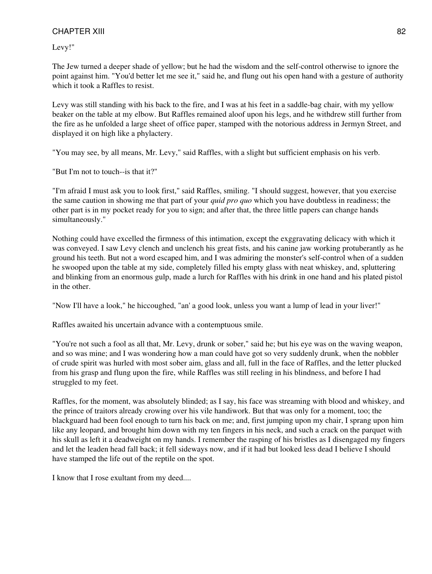Levy!"

The Jew turned a deeper shade of yellow; but he had the wisdom and the self-control otherwise to ignore the point against him. "You'd better let me see it," said he, and flung out his open hand with a gesture of authority which it took a Raffles to resist.

Levy was still standing with his back to the fire, and I was at his feet in a saddle-bag chair, with my yellow beaker on the table at my elbow. But Raffles remained aloof upon his legs, and he withdrew still further from the fire as he unfolded a large sheet of office paper, stamped with the notorious address in Jermyn Street, and displayed it on high like a phylactery.

"You may see, by all means, Mr. Levy," said Raffles, with a slight but sufficient emphasis on his verb.

"But I'm not to touch--is that it?"

"I'm afraid I must ask you to look first," said Raffles, smiling. "I should suggest, however, that you exercise the same caution in showing me that part of your *quid pro quo* which you have doubtless in readiness; the other part is in my pocket ready for you to sign; and after that, the three little papers can change hands simultaneously."

Nothing could have excelled the firmness of this intimation, except the exggravating delicacy with which it was conveyed. I saw Levy clench and unclench his great fists, and his canine jaw working protuberantly as he ground his teeth. But not a word escaped him, and I was admiring the monster's self-control when of a sudden he swooped upon the table at my side, completely filled his empty glass with neat whiskey, and, spluttering and blinking from an enormous gulp, made a lurch for Raffles with his drink in one hand and his plated pistol in the other.

"Now I'll have a look," he hiccoughed, "an' a good look, unless you want a lump of lead in your liver!"

Raffles awaited his uncertain advance with a contemptuous smile.

"You're not such a fool as all that, Mr. Levy, drunk or sober," said he; but his eye was on the waving weapon, and so was mine; and I was wondering how a man could have got so very suddenly drunk, when the nobbler of crude spirit was hurled with most sober aim, glass and all, full in the face of Raffles, and the letter plucked from his grasp and flung upon the fire, while Raffles was still reeling in his blindness, and before I had struggled to my feet.

Raffles, for the moment, was absolutely blinded; as I say, his face was streaming with blood and whiskey, and the prince of traitors already crowing over his vile handiwork. But that was only for a moment, too; the blackguard had been fool enough to turn his back on me; and, first jumping upon my chair, I sprang upon him like any leopard, and brought him down with my ten fingers in his neck, and such a crack on the parquet with his skull as left it a deadweight on my hands. I remember the rasping of his bristles as I disengaged my fingers and let the leaden head fall back; it fell sideways now, and if it had but looked less dead I believe I should have stamped the life out of the reptile on the spot.

I know that I rose exultant from my deed....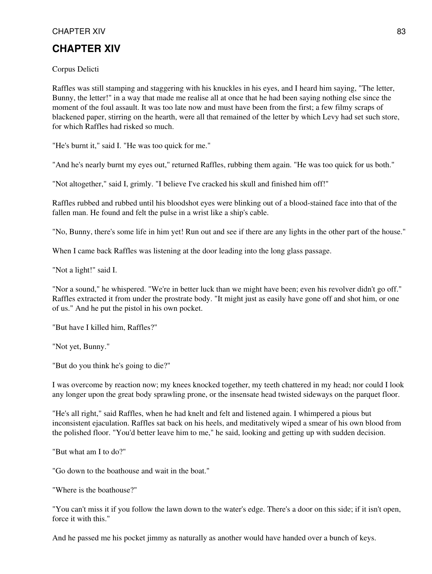# **CHAPTER XIV**

Corpus Delicti

Raffles was still stamping and staggering with his knuckles in his eyes, and I heard him saying, "The letter, Bunny, the letter!" in a way that made me realise all at once that he had been saying nothing else since the moment of the foul assault. It was too late now and must have been from the first; a few filmy scraps of blackened paper, stirring on the hearth, were all that remained of the letter by which Levy had set such store, for which Raffles had risked so much.

"He's burnt it," said I. "He was too quick for me."

"And he's nearly burnt my eyes out," returned Raffles, rubbing them again. "He was too quick for us both."

"Not altogether," said I, grimly. "I believe I've cracked his skull and finished him off!"

Raffles rubbed and rubbed until his bloodshot eyes were blinking out of a blood-stained face into that of the fallen man. He found and felt the pulse in a wrist like a ship's cable.

"No, Bunny, there's some life in him yet! Run out and see if there are any lights in the other part of the house."

When I came back Raffles was listening at the door leading into the long glass passage.

"Not a light!" said I.

"Nor a sound," he whispered. "We're in better luck than we might have been; even his revolver didn't go off." Raffles extracted it from under the prostrate body. "It might just as easily have gone off and shot him, or one of us." And he put the pistol in his own pocket.

"But have I killed him, Raffles?"

"Not yet, Bunny."

"But do you think he's going to die?"

I was overcome by reaction now; my knees knocked together, my teeth chattered in my head; nor could I look any longer upon the great body sprawling prone, or the insensate head twisted sideways on the parquet floor.

"He's all right," said Raffles, when he had knelt and felt and listened again. I whimpered a pious but inconsistent ejaculation. Raffles sat back on his heels, and meditatively wiped a smear of his own blood from the polished floor. "You'd better leave him to me," he said, looking and getting up with sudden decision.

"But what am I to do?"

"Go down to the boathouse and wait in the boat."

"Where is the boathouse?"

"You can't miss it if you follow the lawn down to the water's edge. There's a door on this side; if it isn't open, force it with this."

And he passed me his pocket jimmy as naturally as another would have handed over a bunch of keys.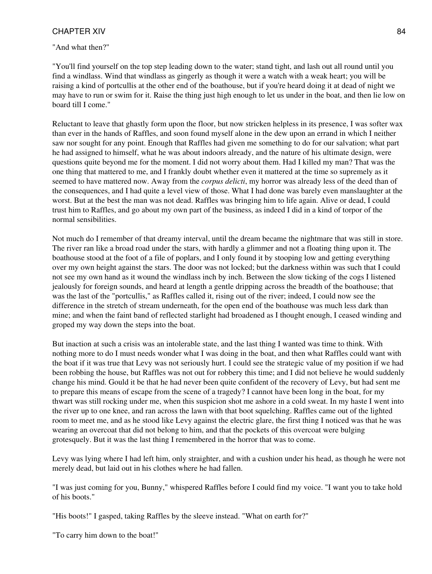#### "And what then?"

"You'll find yourself on the top step leading down to the water; stand tight, and lash out all round until you find a windlass. Wind that windlass as gingerly as though it were a watch with a weak heart; you will be raising a kind of portcullis at the other end of the boathouse, but if you're heard doing it at dead of night we may have to run or swim for it. Raise the thing just high enough to let us under in the boat, and then lie low on board till I come."

Reluctant to leave that ghastly form upon the floor, but now stricken helpless in its presence, I was softer wax than ever in the hands of Raffles, and soon found myself alone in the dew upon an errand in which I neither saw nor sought for any point. Enough that Raffles had given me something to do for our salvation; what part he had assigned to himself, what he was about indoors already, and the nature of his ultimate design, were questions quite beyond me for the moment. I did not worry about them. Had I killed my man? That was the one thing that mattered to me, and I frankly doubt whether even it mattered at the time so supremely as it seemed to have mattered now. Away from the *corpus delicti*, my horror was already less of the deed than of the consequences, and I had quite a level view of those. What I had done was barely even manslaughter at the worst. But at the best the man was not dead. Raffles was bringing him to life again. Alive or dead, I could trust him to Raffles, and go about my own part of the business, as indeed I did in a kind of torpor of the normal sensibilities.

Not much do I remember of that dreamy interval, until the dream became the nightmare that was still in store. The river ran like a broad road under the stars, with hardly a glimmer and not a floating thing upon it. The boathouse stood at the foot of a file of poplars, and I only found it by stooping low and getting everything over my own height against the stars. The door was not locked; but the darkness within was such that I could not see my own hand as it wound the windlass inch by inch. Between the slow ticking of the cogs I listened jealously for foreign sounds, and heard at length a gentle dripping across the breadth of the boathouse; that was the last of the "portcullis," as Raffles called it, rising out of the river; indeed, I could now see the difference in the stretch of stream underneath, for the open end of the boathouse was much less dark than mine; and when the faint band of reflected starlight had broadened as I thought enough, I ceased winding and groped my way down the steps into the boat.

But inaction at such a crisis was an intolerable state, and the last thing I wanted was time to think. With nothing more to do I must needs wonder what I was doing in the boat, and then what Raffles could want with the boat if it was true that Levy was not seriously hurt. I could see the strategic value of my position if we had been robbing the house, but Raffles was not out for robbery this time; and I did not believe he would suddenly change his mind. Gould it be that he had never been quite confident of the recovery of Levy, but had sent me to prepare this means of escape from the scene of a tragedy? I cannot have been long in the boat, for my thwart was still rocking under me, when this suspicion shot me ashore in a cold sweat. In my haste I went into the river up to one knee, and ran across the lawn with that boot squelching. Raffles came out of the lighted room to meet me, and as he stood like Levy against the electric glare, the first thing I noticed was that he was wearing an overcoat that did not belong to him, and that the pockets of this overcoat were bulging grotesquely. But it was the last thing I remembered in the horror that was to come.

Levy was lying where I had left him, only straighter, and with a cushion under his head, as though he were not merely dead, but laid out in his clothes where he had fallen.

"I was just coming for you, Bunny," whispered Raffles before I could find my voice. "I want you to take hold of his boots."

"His boots!" I gasped, taking Raffles by the sleeve instead. "What on earth for?"

"To carry him down to the boat!"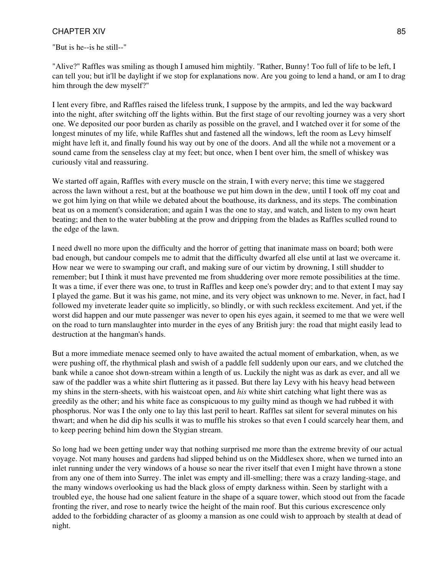"But is he--is he still--"

"Alive?" Raffles was smiling as though I amused him mightily. "Rather, Bunny! Too full of life to be left, I can tell you; but it'll be daylight if we stop for explanations now. Are you going to lend a hand, or am I to drag him through the dew myself?"

I lent every fibre, and Raffles raised the lifeless trunk, I suppose by the armpits, and led the way backward into the night, after switching off the lights within. But the first stage of our revolting journey was a very short one. We deposited our poor burden as charily as possible on the gravel, and I watched over it for some of the longest minutes of my life, while Raffles shut and fastened all the windows, left the room as Levy himself might have left it, and finally found his way out by one of the doors. And all the while not a movement or a sound came from the senseless clay at my feet; but once, when I bent over him, the smell of whiskey was curiously vital and reassuring.

We started off again, Raffles with every muscle on the strain, I with every nerve; this time we staggered across the lawn without a rest, but at the boathouse we put him down in the dew, until I took off my coat and we got him lying on that while we debated about the boathouse, its darkness, and its steps. The combination beat us on a moment's consideration; and again I was the one to stay, and watch, and listen to my own heart beating; and then to the water bubbling at the prow and dripping from the blades as Raffles sculled round to the edge of the lawn.

I need dwell no more upon the difficulty and the horror of getting that inanimate mass on board; both were bad enough, but candour compels me to admit that the difficulty dwarfed all else until at last we overcame it. How near we were to swamping our craft, and making sure of our victim by drowning, I still shudder to remember; but I think it must have prevented me from shuddering over more remote possibilities at the time. It was a time, if ever there was one, to trust in Raffles and keep one's powder dry; and to that extent I may say I played the game. But it was his game, not mine, and its very object was unknown to me. Never, in fact, had I followed my inveterate leader quite so implicitly, so blindly, or with such reckless excitement. And yet, if the worst did happen and our mute passenger was never to open his eyes again, it seemed to me that we were well on the road to turn manslaughter into murder in the eyes of any British jury: the road that might easily lead to destruction at the hangman's hands.

But a more immediate menace seemed only to have awaited the actual moment of embarkation, when, as we were pushing off, the rhythmical plash and swish of a paddle fell suddenly upon our ears, and we clutched the bank while a canoe shot down-stream within a length of us. Luckily the night was as dark as ever, and all we saw of the paddler was a white shirt fluttering as it passed. But there lay Levy with his heavy head between my shins in the stern-sheets, with his waistcoat open, and *his* white shirt catching what light there was as greedily as the other; and his white face as conspicuous to my guilty mind as though we had rubbed it with phosphorus. Nor was I the only one to lay this last peril to heart. Raffles sat silent for several minutes on his thwart; and when he did dip his sculls it was to muffle his strokes so that even I could scarcely hear them, and to keep peering behind him down the Stygian stream.

So long had we been getting under way that nothing surprised me more than the extreme brevity of our actual voyage. Not many houses and gardens had slipped behind us on the Middlesex shore, when we turned into an inlet running under the very windows of a house so near the river itself that even I might have thrown a stone from any one of them into Surrey. The inlet was empty and ill-smelling; there was a crazy landing-stage, and the many windows overlooking us had the black gloss of empty darkness within. Seen by starlight with a troubled eye, the house had one salient feature in the shape of a square tower, which stood out from the facade fronting the river, and rose to nearly twice the height of the main roof. But this curious excrescence only added to the forbidding character of as gloomy a mansion as one could wish to approach by stealth at dead of night.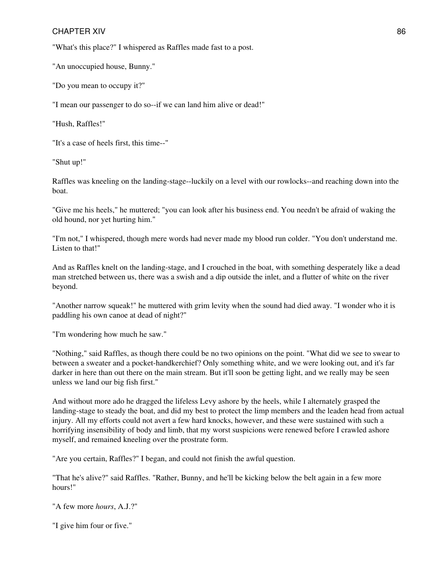"What's this place?" I whispered as Raffles made fast to a post.

"An unoccupied house, Bunny."

"Do you mean to occupy it?"

"I mean our passenger to do so--if we can land him alive or dead!"

"Hush, Raffles!"

"It's a case of heels first, this time--"

"Shut up!"

Raffles was kneeling on the landing-stage--luckily on a level with our rowlocks--and reaching down into the boat.

"Give me his heels," he muttered; "you can look after his business end. You needn't be afraid of waking the old hound, nor yet hurting him."

"I'm not," I whispered, though mere words had never made my blood run colder. "You don't understand me. Listen to that!"

And as Raffles knelt on the landing-stage, and I crouched in the boat, with something desperately like a dead man stretched between us, there was a swish and a dip outside the inlet, and a flutter of white on the river beyond.

"Another narrow squeak!" he muttered with grim levity when the sound had died away. "I wonder who it is paddling his own canoe at dead of night?"

"I'm wondering how much he saw."

"Nothing," said Raffles, as though there could be no two opinions on the point. "What did we see to swear to between a sweater and a pocket-handkerchief? Only something white, and we were looking out, and it's far darker in here than out there on the main stream. But it'll soon be getting light, and we really may be seen unless we land our big fish first."

And without more ado he dragged the lifeless Levy ashore by the heels, while I alternately grasped the landing-stage to steady the boat, and did my best to protect the limp members and the leaden head from actual injury. All my efforts could not avert a few hard knocks, however, and these were sustained with such a horrifying insensibility of body and limb, that my worst suspicions were renewed before I crawled ashore myself, and remained kneeling over the prostrate form.

"Are you certain, Raffles?" I began, and could not finish the awful question.

"That he's alive?" said Raffles. "Rather, Bunny, and he'll be kicking below the belt again in a few more hours!"

"A few more *hours*, A.J.?"

"I give him four or five."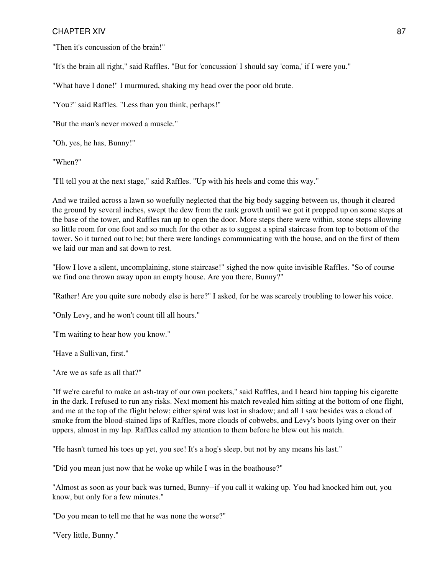"Then it's concussion of the brain!"

"It's the brain all right," said Raffles. "But for 'concussion' I should say 'coma,' if I were you."

"What have I done!" I murmured, shaking my head over the poor old brute.

"You?" said Raffles. "Less than you think, perhaps!"

"But the man's never moved a muscle."

"Oh, yes, he has, Bunny!"

"When?"

"I'll tell you at the next stage," said Raffles. "Up with his heels and come this way."

And we trailed across a lawn so woefully neglected that the big body sagging between us, though it cleared the ground by several inches, swept the dew from the rank growth until we got it propped up on some steps at the base of the tower, and Raffles ran up to open the door. More steps there were within, stone steps allowing so little room for one foot and so much for the other as to suggest a spiral staircase from top to bottom of the tower. So it turned out to be; but there were landings communicating with the house, and on the first of them we laid our man and sat down to rest.

"How I love a silent, uncomplaining, stone staircase!" sighed the now quite invisible Raffles. "So of course we find one thrown away upon an empty house. Are you there, Bunny?"

"Rather! Are you quite sure nobody else is here?" I asked, for he was scarcely troubling to lower his voice.

"Only Levy, and he won't count till all hours."

"I'm waiting to hear how you know."

"Have a Sullivan, first."

"Are we as safe as all that?"

"If we're careful to make an ash-tray of our own pockets," said Raffles, and I heard him tapping his cigarette in the dark. I refused to run any risks. Next moment his match revealed him sitting at the bottom of one flight, and me at the top of the flight below; either spiral was lost in shadow; and all I saw besides was a cloud of smoke from the blood-stained lips of Raffles, more clouds of cobwebs, and Levy's boots lying over on their uppers, almost in my lap. Raffles called my attention to them before he blew out his match.

"He hasn't turned his toes up yet, you see! It's a hog's sleep, but not by any means his last."

"Did you mean just now that he woke up while I was in the boathouse?"

"Almost as soon as your back was turned, Bunny--if you call it waking up. You had knocked him out, you know, but only for a few minutes."

"Do you mean to tell me that he was none the worse?"

"Very little, Bunny."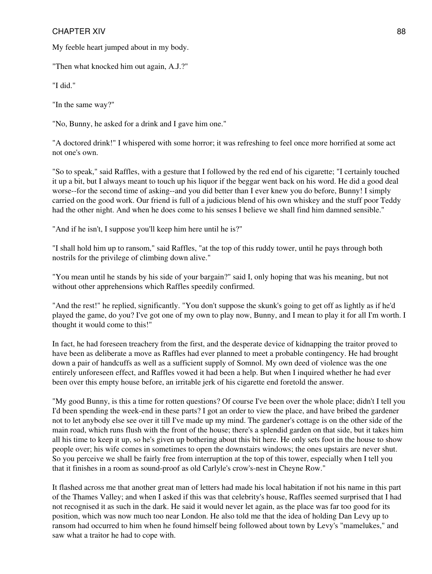My feeble heart jumped about in my body.

"Then what knocked him out again, A.J.?"

"I did."

"In the same way?"

"No, Bunny, he asked for a drink and I gave him one."

"A doctored drink!" I whispered with some horror; it was refreshing to feel once more horrified at some act not one's own.

"So to speak," said Raffles, with a gesture that I followed by the red end of his cigarette; "I certainly touched it up a bit, but I always meant to touch up his liquor if the beggar went back on his word. He did a good deal worse--for the second time of asking--and you did better than I ever knew you do before, Bunny! I simply carried on the good work. Our friend is full of a judicious blend of his own whiskey and the stuff poor Teddy had the other night. And when he does come to his senses I believe we shall find him damned sensible."

"And if he isn't, I suppose you'll keep him here until he is?"

"I shall hold him up to ransom," said Raffles, "at the top of this ruddy tower, until he pays through both nostrils for the privilege of climbing down alive."

"You mean until he stands by his side of your bargain?" said I, only hoping that was his meaning, but not without other apprehensions which Raffles speedily confirmed.

"And the rest!" he replied, significantly. "You don't suppose the skunk's going to get off as lightly as if he'd played the game, do you? I've got one of my own to play now, Bunny, and I mean to play it for all I'm worth. I thought it would come to this!"

In fact, he had foreseen treachery from the first, and the desperate device of kidnapping the traitor proved to have been as deliberate a move as Raffles had ever planned to meet a probable contingency. He had brought down a pair of handcuffs as well as a sufficient supply of Somnol. My own deed of violence was the one entirely unforeseen effect, and Raffles vowed it had been a help. But when I inquired whether he had ever been over this empty house before, an irritable jerk of his cigarette end foretold the answer.

"My good Bunny, is this a time for rotten questions? Of course I've been over the whole place; didn't I tell you I'd been spending the week-end in these parts? I got an order to view the place, and have bribed the gardener not to let anybody else see over it till I've made up my mind. The gardener's cottage is on the other side of the main road, which runs flush with the front of the house; there's a splendid garden on that side, but it takes him all his time to keep it up, so he's given up bothering about this bit here. He only sets foot in the house to show people over; his wife comes in sometimes to open the downstairs windows; the ones upstairs are never shut. So you perceive we shall be fairly free from interruption at the top of this tower, especially when I tell you that it finishes in a room as sound-proof as old Carlyle's crow's-nest in Cheyne Row."

It flashed across me that another great man of letters had made his local habitation if not his name in this part of the Thames Valley; and when I asked if this was that celebrity's house, Raffles seemed surprised that I had not recognised it as such in the dark. He said it would never let again, as the place was far too good for its position, which was now much too near London. He also told me that the idea of holding Dan Levy up to ransom had occurred to him when he found himself being followed about town by Levy's "mamelukes," and saw what a traitor he had to cope with.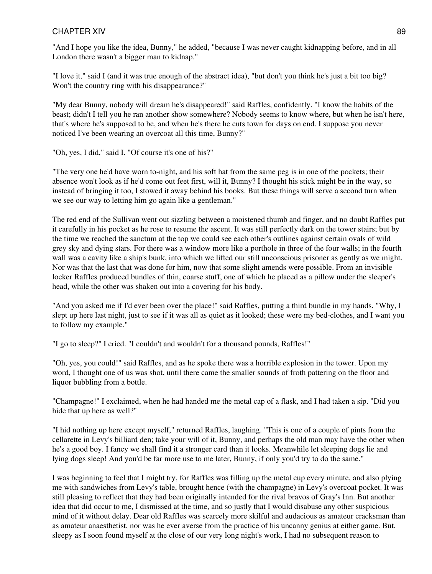"And I hope you like the idea, Bunny," he added, "because I was never caught kidnapping before, and in all London there wasn't a bigger man to kidnap."

"I love it," said I (and it was true enough of the abstract idea), "but don't you think he's just a bit too big? Won't the country ring with his disappearance?"

"My dear Bunny, nobody will dream he's disappeared!" said Raffles, confidently. "I know the habits of the beast; didn't I tell you he ran another show somewhere? Nobody seems to know where, but when he isn't here, that's where he's supposed to be, and when he's there he cuts town for days on end. I suppose you never noticed I've been wearing an overcoat all this time, Bunny?"

"Oh, yes, I did," said I. "Of course it's one of his?"

"The very one he'd have worn to-night, and his soft hat from the same peg is in one of the pockets; their absence won't look as if he'd come out feet first, will it, Bunny? I thought his stick might be in the way, so instead of bringing it too, I stowed it away behind his books. But these things will serve a second turn when we see our way to letting him go again like a gentleman."

The red end of the Sullivan went out sizzling between a moistened thumb and finger, and no doubt Raffles put it carefully in his pocket as he rose to resume the ascent. It was still perfectly dark on the tower stairs; but by the time we reached the sanctum at the top we could see each other's outlines against certain ovals of wild grey sky and dying stars. For there was a window more like a porthole in three of the four walls; in the fourth wall was a cavity like a ship's bunk, into which we lifted our still unconscious prisoner as gently as we might. Nor was that the last that was done for him, now that some slight amends were possible. From an invisible locker Raffles produced bundles of thin, coarse stuff, one of which he placed as a pillow under the sleeper's head, while the other was shaken out into a covering for his body.

"And you asked me if I'd ever been over the place!" said Raffles, putting a third bundle in my hands. "Why, I slept up here last night, just to see if it was all as quiet as it looked; these were my bed-clothes, and I want you to follow my example."

"I go to sleep?" I cried. "I couldn't and wouldn't for a thousand pounds, Raffles!"

"Oh, yes, you could!" said Raffles, and as he spoke there was a horrible explosion in the tower. Upon my word, I thought one of us was shot, until there came the smaller sounds of froth pattering on the floor and liquor bubbling from a bottle.

"Champagne!" I exclaimed, when he had handed me the metal cap of a flask, and I had taken a sip. "Did you hide that up here as well?"

"I hid nothing up here except myself," returned Raffles, laughing. "This is one of a couple of pints from the cellarette in Levy's billiard den; take your will of it, Bunny, and perhaps the old man may have the other when he's a good boy. I fancy we shall find it a stronger card than it looks. Meanwhile let sleeping dogs lie and lying dogs sleep! And you'd be far more use to me later, Bunny, if only you'd try to do the same."

I was beginning to feel that I might try, for Raffles was filling up the metal cup every minute, and also plying me with sandwiches from Levy's table, brought hence (with the champagne) in Levy's overcoat pocket. It was still pleasing to reflect that they had been originally intended for the rival bravos of Gray's Inn. But another idea that did occur to me, I dismissed at the time, and so justly that I would disabuse any other suspicious mind of it without delay. Dear old Raffles was scarcely more skilful and audacious as amateur cracksman than as amateur anaesthetist, nor was he ever averse from the practice of his uncanny genius at either game. But, sleepy as I soon found myself at the close of our very long night's work, I had no subsequent reason to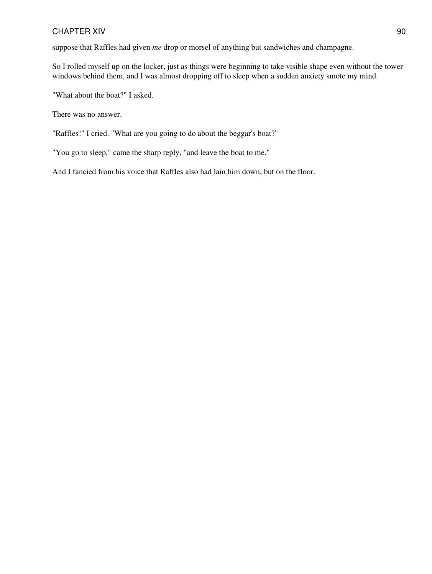suppose that Raffles had given *me* drop or morsel of anything but sandwiches and champagne.

So I rolled myself up on the locker, just as things were beginning to take visible shape even without the tower windows behind them, and I was almost dropping off to sleep when a sudden anxiety smote my mind.

"What about the boat?" I asked.

There was no answer.

"Raffles!" I cried. "What are you going to do about the beggar's boat?"

"You go to sleep," came the sharp reply, "and leave the boat to me."

And I fancied from his voice that Raffles also had lain him down, but on the floor.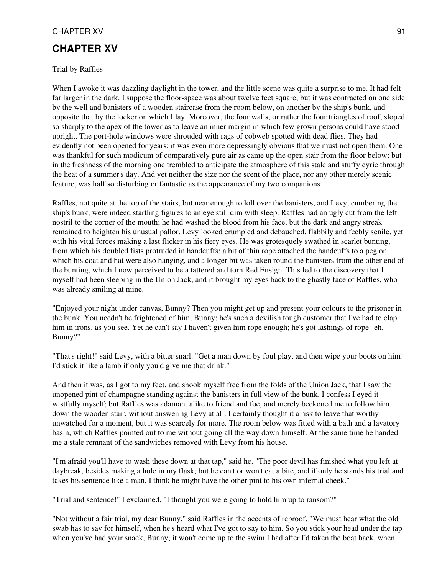# **CHAPTER XV**

#### Trial by Raffles

When I awoke it was dazzling daylight in the tower, and the little scene was quite a surprise to me. It had felt far larger in the dark. I suppose the floor-space was about twelve feet square, but it was contracted on one side by the well and banisters of a wooden staircase from the room below, on another by the ship's bunk, and opposite that by the locker on which I lay. Moreover, the four walls, or rather the four triangles of roof, sloped so sharply to the apex of the tower as to leave an inner margin in which few grown persons could have stood upright. The port-hole windows were shrouded with rags of cobweb spotted with dead flies. They had evidently not been opened for years; it was even more depressingly obvious that we must not open them. One was thankful for such modicum of comparatively pure air as came up the open stair from the floor below; but in the freshness of the morning one trembled to anticipate the atmosphere of this stale and stuffy eyrie through the heat of a summer's day. And yet neither the size nor the scent of the place, nor any other merely scenic feature, was half so disturbing or fantastic as the appearance of my two companions.

Raffles, not quite at the top of the stairs, but near enough to loll over the banisters, and Levy, cumbering the ship's bunk, were indeed startling figures to an eye still dim with sleep. Raffles had an ugly cut from the left nostril to the corner of the mouth; he had washed the blood from his face, but the dark and angry streak remained to heighten his unusual pallor. Levy looked crumpled and debauched, flabbily and feebly senile, yet with his vital forces making a last flicker in his fiery eyes. He was grotesquely swathed in scarlet bunting, from which his doubled fists protruded in handcuffs; a bit of thin rope attached the handcuffs to a peg on which his coat and hat were also hanging, and a longer bit was taken round the banisters from the other end of the bunting, which I now perceived to be a tattered and torn Red Ensign. This led to the discovery that I myself had been sleeping in the Union Jack, and it brought my eyes back to the ghastly face of Raffles, who was already smiling at mine.

"Enjoyed your night under canvas, Bunny? Then you might get up and present your colours to the prisoner in the bunk. You needn't be frightened of him, Bunny; he's such a devilish tough customer that I've had to clap him in irons, as you see. Yet he can't say I haven't given him rope enough; he's got lashings of rope--eh, Bunny?"

"That's right!" said Levy, with a bitter snarl. "Get a man down by foul play, and then wipe your boots on him! I'd stick it like a lamb if only you'd give me that drink."

And then it was, as I got to my feet, and shook myself free from the folds of the Union Jack, that I saw the unopened pint of champagne standing against the banisters in full view of the bunk. I confess I eyed it wistfully myself; but Raffles was adamant alike to friend and foe, and merely beckoned me to follow him down the wooden stair, without answering Levy at all. I certainly thought it a risk to leave that worthy unwatched for a moment, but it was scarcely for more. The room below was fitted with a bath and a lavatory basin, which Raffles pointed out to me without going all the way down himself. At the same time he handed me a stale remnant of the sandwiches removed with Levy from his house.

"I'm afraid you'll have to wash these down at that tap," said he. "The poor devil has finished what you left at daybreak, besides making a hole in my flask; but he can't or won't eat a bite, and if only he stands his trial and takes his sentence like a man, I think he might have the other pint to his own infernal cheek."

"Trial and sentence!" I exclaimed. "I thought you were going to hold him up to ransom?"

"Not without a fair trial, my dear Bunny," said Raffles in the accents of reproof. "We must hear what the old swab has to say for himself, when he's heard what I've got to say to him. So you stick your head under the tap when you've had your snack, Bunny; it won't come up to the swim I had after I'd taken the boat back, when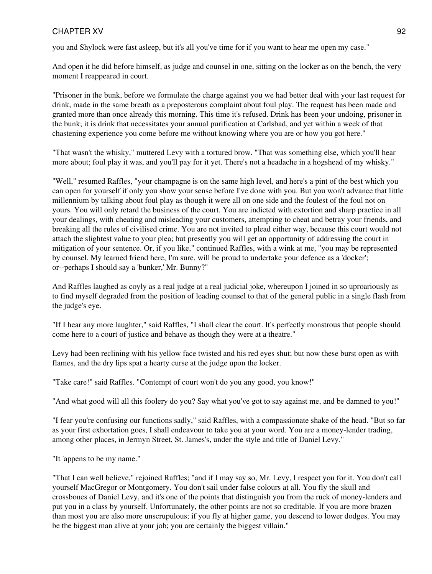you and Shylock were fast asleep, but it's all you've time for if you want to hear me open my case."

And open it he did before himself, as judge and counsel in one, sitting on the locker as on the bench, the very moment I reappeared in court.

"Prisoner in the bunk, before we formulate the charge against you we had better deal with your last request for drink, made in the same breath as a preposterous complaint about foul play. The request has been made and granted more than once already this morning. This time it's refused. Drink has been your undoing, prisoner in the bunk; it is drink that necessitates your annual purification at Carlsbad, and yet within a week of that chastening experience you come before me without knowing where you are or how you got here."

"That wasn't the whisky," muttered Levy with a tortured brow. "That was something else, which you'll hear more about; foul play it was, and you'll pay for it yet. There's not a headache in a hogshead of my whisky."

"Well," resumed Raffles, "your champagne is on the same high level, and here's a pint of the best which you can open for yourself if only you show your sense before I've done with you. But you won't advance that little millennium by talking about foul play as though it were all on one side and the foulest of the foul not on yours. You will only retard the business of the court. You are indicted with extortion and sharp practice in all your dealings, with cheating and misleading your customers, attempting to cheat and betray your friends, and breaking all the rules of civilised crime. You are not invited to plead either way, because this court would not attach the slightest value to your plea; but presently you will get an opportunity of addressing the court in mitigation of your sentence. Or, if you like," continued Raffles, with a wink at me, "you may be represented by counsel. My learned friend here, I'm sure, will be proud to undertake your defence as a 'docker'; or--perhaps I should say a 'bunker,' Mr. Bunny?"

And Raffles laughed as coyly as a real judge at a real judicial joke, whereupon I joined in so uproariously as to find myself degraded from the position of leading counsel to that of the general public in a single flash from the judge's eye.

"If I hear any more laughter," said Raffles, "I shall clear the court. It's perfectly monstrous that people should come here to a court of justice and behave as though they were at a theatre."

Levy had been reclining with his yellow face twisted and his red eyes shut; but now these burst open as with flames, and the dry lips spat a hearty curse at the judge upon the locker.

"Take care!" said Raffles. "Contempt of court won't do you any good, you know!"

"And what good will all this foolery do you? Say what you've got to say against me, and be damned to you!"

"I fear you're confusing our functions sadly," said Raffles, with a compassionate shake of the head. "But so far as your first exhortation goes, I shall endeavour to take you at your word. You are a money-lender trading, among other places, in Jermyn Street, St. James's, under the style and title of Daniel Levy."

"It 'appens to be my name."

"That I can well believe," rejoined Raffles; "and if I may say so, Mr. Levy, I respect you for it. You don't call yourself MacGregor or Montgomery. You don't sail under false colours at all. You fly the skull and crossbones of Daniel Levy, and it's one of the points that distinguish you from the ruck of money-lenders and put you in a class by yourself. Unfortunately, the other points are not so creditable. If you are more brazen than most you are also more unscrupulous; if you fly at higher game, you descend to lower dodges. You may be the biggest man alive at your job; you are certainly the biggest villain."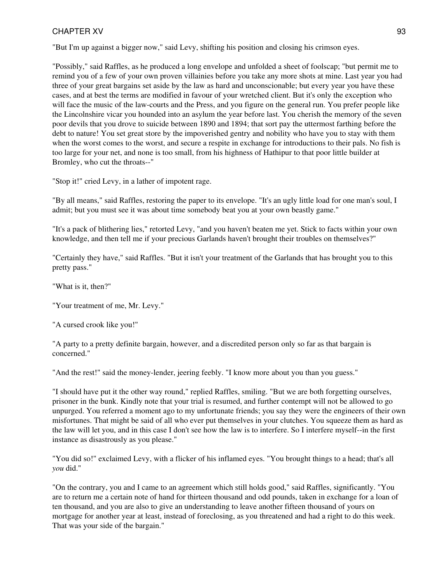"But I'm up against a bigger now," said Levy, shifting his position and closing his crimson eyes.

"Possibly," said Raffles, as he produced a long envelope and unfolded a sheet of foolscap; "but permit me to remind you of a few of your own proven villainies before you take any more shots at mine. Last year you had three of your great bargains set aside by the law as hard and unconscionable; but every year you have these cases, and at best the terms are modified in favour of your wretched client. But it's only the exception who will face the music of the law-courts and the Press, and you figure on the general run. You prefer people like the Lincolnshire vicar you hounded into an asylum the year before last. You cherish the memory of the seven poor devils that you drove to suicide between 1890 and 1894; that sort pay the uttermost farthing before the debt to nature! You set great store by the impoverished gentry and nobility who have you to stay with them when the worst comes to the worst, and secure a respite in exchange for introductions to their pals. No fish is too large for your net, and none is too small, from his highness of Hathipur to that poor little builder at Bromley, who cut the throats--"

"Stop it!" cried Levy, in a lather of impotent rage.

"By all means," said Raffles, restoring the paper to its envelope. "It's an ugly little load for one man's soul, I admit; but you must see it was about time somebody beat you at your own beastly game."

"It's a pack of blithering lies," retorted Levy, "and you haven't beaten me yet. Stick to facts within your own knowledge, and then tell me if your precious Garlands haven't brought their troubles on themselves?"

"Certainly they have," said Raffles. "But it isn't your treatment of the Garlands that has brought you to this pretty pass."

"What is it, then?"

"Your treatment of me, Mr. Levy."

"A cursed crook like you!"

"A party to a pretty definite bargain, however, and a discredited person only so far as that bargain is concerned."

"And the rest!" said the money-lender, jeering feebly. "I know more about you than you guess."

"I should have put it the other way round," replied Raffles, smiling. "But we are both forgetting ourselves, prisoner in the bunk. Kindly note that your trial is resumed, and further contempt will not be allowed to go unpurged. You referred a moment ago to my unfortunate friends; you say they were the engineers of their own misfortunes. That might be said of all who ever put themselves in your clutches. You squeeze them as hard as the law will let you, and in this case I don't see how the law is to interfere. So I interfere myself--in the first instance as disastrously as you please."

"You did so!" exclaimed Levy, with a flicker of his inflamed eyes. "You brought things to a head; that's all *you* did."

"On the contrary, you and I came to an agreement which still holds good," said Raffles, significantly. "You are to return me a certain note of hand for thirteen thousand and odd pounds, taken in exchange for a loan of ten thousand, and you are also to give an understanding to leave another fifteen thousand of yours on mortgage for another year at least, instead of foreclosing, as you threatened and had a right to do this week. That was your side of the bargain."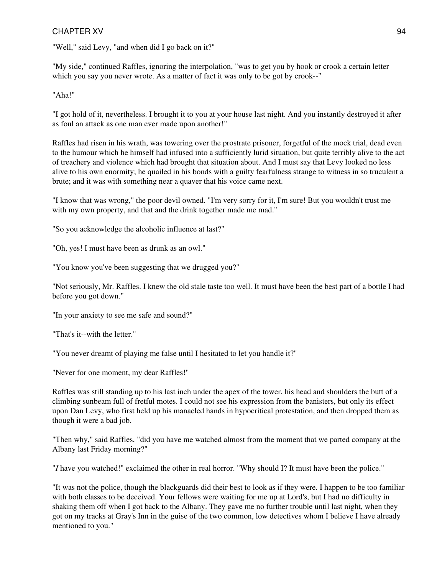"Well," said Levy, "and when did I go back on it?"

"My side," continued Raffles, ignoring the interpolation, "was to get you by hook or crook a certain letter which you say you never wrote. As a matter of fact it was only to be got by crook--"

"Aha!"

"I got hold of it, nevertheless. I brought it to you at your house last night. And you instantly destroyed it after as foul an attack as one man ever made upon another!"

Raffles had risen in his wrath, was towering over the prostrate prisoner, forgetful of the mock trial, dead even to the humour which he himself had infused into a sufficiently lurid situation, but quite terribly alive to the act of treachery and violence which had brought that situation about. And I must say that Levy looked no less alive to his own enormity; he quailed in his bonds with a guilty fearfulness strange to witness in so truculent a brute; and it was with something near a quaver that his voice came next.

"I know that was wrong," the poor devil owned. "I'm very sorry for it, I'm sure! But you wouldn't trust me with my own property, and that and the drink together made me mad."

"So you acknowledge the alcoholic influence at last?"

"Oh, yes! I must have been as drunk as an owl."

"You know you've been suggesting that we drugged you?"

"Not seriously, Mr. Raffles. I knew the old stale taste too well. It must have been the best part of a bottle I had before you got down."

"In your anxiety to see me safe and sound?"

"That's it--with the letter."

"You never dreamt of playing me false until I hesitated to let you handle it?"

"Never for one moment, my dear Raffles!"

Raffles was still standing up to his last inch under the apex of the tower, his head and shoulders the butt of a climbing sunbeam full of fretful motes. I could not see his expression from the banisters, but only its effect upon Dan Levy, who first held up his manacled hands in hypocritical protestation, and then dropped them as though it were a bad job.

"Then why," said Raffles, "did you have me watched almost from the moment that we parted company at the Albany last Friday morning?"

"*I* have you watched!" exclaimed the other in real horror. "Why should I? It must have been the police."

"It was not the police, though the blackguards did their best to look as if they were. I happen to be too familiar with both classes to be deceived. Your fellows were waiting for me up at Lord's, but I had no difficulty in shaking them off when I got back to the Albany. They gave me no further trouble until last night, when they got on my tracks at Gray's Inn in the guise of the two common, low detectives whom I believe I have already mentioned to you."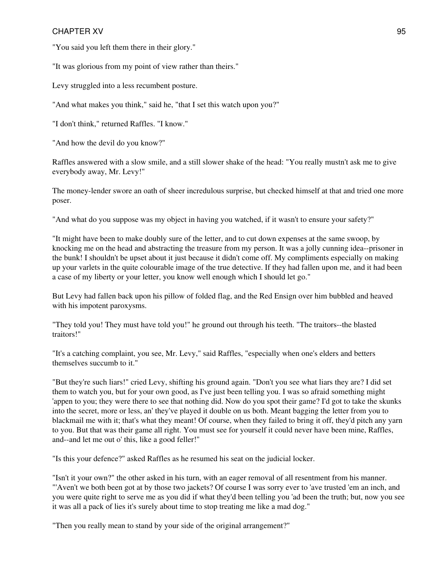"You said you left them there in their glory."

"It was glorious from my point of view rather than theirs."

Levy struggled into a less recumbent posture.

"And what makes you think," said he, "that I set this watch upon you?"

"I don't think," returned Raffles. "I know."

"And how the devil do you know?"

Raffles answered with a slow smile, and a still slower shake of the head: "You really mustn't ask me to give everybody away, Mr. Levy!"

The money-lender swore an oath of sheer incredulous surprise, but checked himself at that and tried one more poser.

"And what do you suppose was my object in having you watched, if it wasn't to ensure your safety?"

"It might have been to make doubly sure of the letter, and to cut down expenses at the same swoop, by knocking me on the head and abstracting the treasure from my person. It was a jolly cunning idea--prisoner in the bunk! I shouldn't be upset about it just because it didn't come off. My compliments especially on making up your varlets in the quite colourable image of the true detective. If they had fallen upon me, and it had been a case of my liberty or your letter, you know well enough which I should let go."

But Levy had fallen back upon his pillow of folded flag, and the Red Ensign over him bubbled and heaved with his impotent paroxysms.

"They told you! They must have told you!" he ground out through his teeth. "The traitors--the blasted traitors!"

"It's a catching complaint, you see, Mr. Levy," said Raffles, "especially when one's elders and betters themselves succumb to it."

"But they're such liars!" cried Levy, shifting his ground again. "Don't you see what liars they are? I did set them to watch you, but for your own good, as I've just been telling you. I was so afraid something might 'appen to you; they were there to see that nothing did. Now do you spot their game? I'd got to take the skunks into the secret, more or less, an' they've played it double on us both. Meant bagging the letter from you to blackmail me with it; that's what they meant! Of course, when they failed to bring it off, they'd pitch any yarn to you. But that was their game all right. You must see for yourself it could never have been mine, Raffles, and--and let me out o' this, like a good feller!"

"Is this your defence?" asked Raffles as he resumed his seat on the judicial locker.

"Isn't it your own?" the other asked in his turn, with an eager removal of all resentment from his manner. "'Aven't we both been got at by those two jackets? Of course I was sorry ever to 'ave trusted 'em an inch, and you were quite right to serve me as you did if what they'd been telling you 'ad been the truth; but, now you see it was all a pack of lies it's surely about time to stop treating me like a mad dog."

"Then you really mean to stand by your side of the original arrangement?"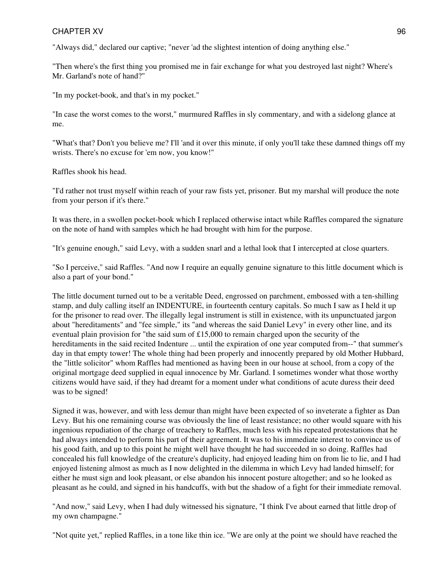"Always did," declared our captive; "never 'ad the slightest intention of doing anything else."

"Then where's the first thing you promised me in fair exchange for what you destroyed last night? Where's Mr. Garland's note of hand?"

"In my pocket-book, and that's in my pocket."

"In case the worst comes to the worst," murmured Raffles in sly commentary, and with a sidelong glance at me.

"What's that? Don't you believe me? I'll 'and it over this minute, if only you'll take these damned things off my wrists. There's no excuse for 'em now, you know!"

Raffles shook his head.

"I'd rather not trust myself within reach of your raw fists yet, prisoner. But my marshal will produce the note from your person if it's there."

It was there, in a swollen pocket-book which I replaced otherwise intact while Raffles compared the signature on the note of hand with samples which he had brought with him for the purpose.

"It's genuine enough," said Levy, with a sudden snarl and a lethal look that I intercepted at close quarters.

"So I perceive," said Raffles. "And now I require an equally genuine signature to this little document which is also a part of your bond."

The little document turned out to be a veritable Deed, engrossed on parchment, embossed with a ten-shilling stamp, and duly calling itself an INDENTURE, in fourteenth century capitals. So much I saw as I held it up for the prisoner to read over. The illegally legal instrument is still in existence, with its unpunctuated jargon about "hereditaments" and "fee simple," its "and whereas the said Daniel Levy" in every other line, and its eventual plain provision for "the said sum of £15,000 to remain charged upon the security of the hereditaments in the said recited Indenture ... until the expiration of one year computed from--" that summer's day in that empty tower! The whole thing had been properly and innocently prepared by old Mother Hubbard, the "little solicitor" whom Raffles had mentioned as having been in our house at school, from a copy of the original mortgage deed supplied in equal innocence by Mr. Garland. I sometimes wonder what those worthy citizens would have said, if they had dreamt for a moment under what conditions of acute duress their deed was to be signed!

Signed it was, however, and with less demur than might have been expected of so inveterate a fighter as Dan Levy. But his one remaining course was obviously the line of least resistance; no other would square with his ingenious repudiation of the charge of treachery to Raffles, much less with his repeated protestations that he had always intended to perform his part of their agreement. It was to his immediate interest to convince us of his good faith, and up to this point he might well have thought he had succeeded in so doing. Raffles had concealed his full knowledge of the creature's duplicity, had enjoyed leading him on from lie to lie, and I had enjoyed listening almost as much as I now delighted in the dilemma in which Levy had landed himself; for either he must sign and look pleasant, or else abandon his innocent posture altogether; and so he looked as pleasant as he could, and signed in his handcuffs, with but the shadow of a fight for their immediate removal.

"And now," said Levy, when I had duly witnessed his signature, "I think I've about earned that little drop of my own champagne."

"Not quite yet," replied Raffles, in a tone like thin ice. "We are only at the point we should have reached the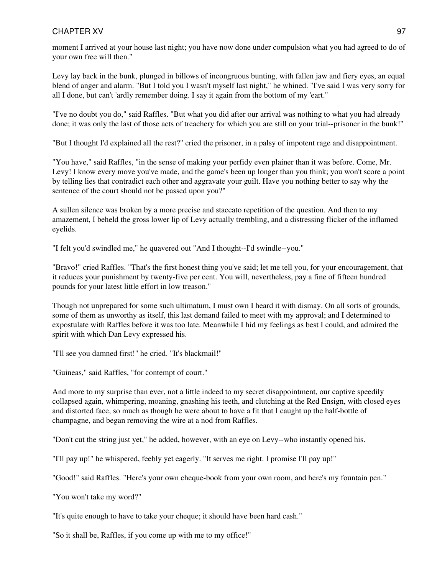moment I arrived at your house last night; you have now done under compulsion what you had agreed to do of your own free will then."

Levy lay back in the bunk, plunged in billows of incongruous bunting, with fallen jaw and fiery eyes, an equal blend of anger and alarm. "But I told you I wasn't myself last night," he whined. "I've said I was very sorry for all I done, but can't 'ardly remember doing. I say it again from the bottom of my 'eart."

"I've no doubt you do," said Raffles. "But what you did after our arrival was nothing to what you had already done; it was only the last of those acts of treachery for which you are still on your trial--prisoner in the bunk!"

"But I thought I'd explained all the rest?" cried the prisoner, in a palsy of impotent rage and disappointment.

"You have," said Raffles, "in the sense of making your perfidy even plainer than it was before. Come, Mr. Levy! I know every move you've made, and the game's been up longer than you think; you won't score a point by telling lies that contradict each other and aggravate your guilt. Have you nothing better to say why the sentence of the court should not be passed upon you?"

A sullen silence was broken by a more precise and staccato repetition of the question. And then to my amazement, I beheld the gross lower lip of Levy actually trembling, and a distressing flicker of the inflamed eyelids.

"I felt you'd swindled me," he quavered out "And I thought--I'd swindle--you."

"Bravo!" cried Raffles. "That's the first honest thing you've said; let me tell you, for your encouragement, that it reduces your punishment by twenty-five per cent. You will, nevertheless, pay a fine of fifteen hundred pounds for your latest little effort in low treason."

Though not unprepared for some such ultimatum, I must own I heard it with dismay. On all sorts of grounds, some of them as unworthy as itself, this last demand failed to meet with my approval; and I determined to expostulate with Raffles before it was too late. Meanwhile I hid my feelings as best I could, and admired the spirit with which Dan Levy expressed his.

"I'll see you damned first!" he cried. "It's blackmail!"

"Guineas," said Raffles, "for contempt of court."

And more to my surprise than ever, not a little indeed to my secret disappointment, our captive speedily collapsed again, whimpering, moaning, gnashing his teeth, and clutching at the Red Ensign, with closed eyes and distorted face, so much as though he were about to have a fit that I caught up the half-bottle of champagne, and began removing the wire at a nod from Raffles.

"Don't cut the string just yet," he added, however, with an eye on Levy--who instantly opened his.

"I'll pay up!" he whispered, feebly yet eagerly. "It serves me right. I promise I'll pay up!"

"Good!" said Raffles. "Here's your own cheque-book from your own room, and here's my fountain pen."

"You won't take my word?"

"It's quite enough to have to take your cheque; it should have been hard cash."

"So it shall be, Raffles, if you come up with me to my office!"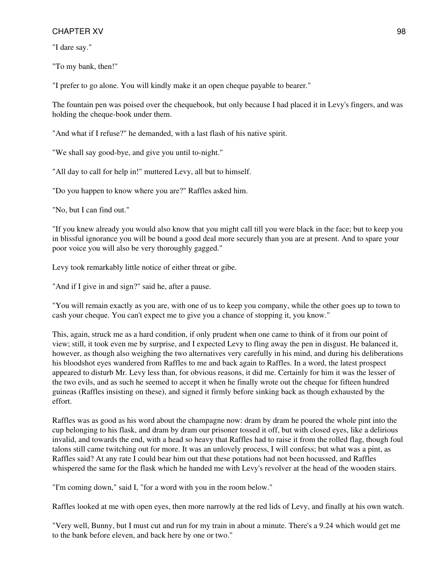"I dare say."

"To my bank, then!"

"I prefer to go alone. You will kindly make it an open cheque payable to bearer."

The fountain pen was poised over the chequebook, but only because I had placed it in Levy's fingers, and was holding the cheque-book under them.

"And what if I refuse?" he demanded, with a last flash of his native spirit.

"We shall say good-bye, and give you until to-night."

"All day to call for help in!" muttered Levy, all but to himself.

"Do you happen to know where you are?" Raffles asked him.

"No, but I can find out."

"If you knew already you would also know that you might call till you were black in the face; but to keep you in blissful ignorance you will be bound a good deal more securely than you are at present. And to spare your poor voice you will also be very thoroughly gagged."

Levy took remarkably little notice of either threat or gibe.

"And if I give in and sign?" said he, after a pause.

"You will remain exactly as you are, with one of us to keep you company, while the other goes up to town to cash your cheque. You can't expect me to give you a chance of stopping it, you know."

This, again, struck me as a hard condition, if only prudent when one came to think of it from our point of view; still, it took even me by surprise, and I expected Levy to fling away the pen in disgust. He balanced it, however, as though also weighing the two alternatives very carefully in his mind, and during his deliberations his bloodshot eyes wandered from Raffles to me and back again to Raffles. In a word, the latest prospect appeared to disturb Mr. Levy less than, for obvious reasons, it did me. Certainly for him it was the lesser of the two evils, and as such he seemed to accept it when he finally wrote out the cheque for fifteen hundred guineas (Raffles insisting on these), and signed it firmly before sinking back as though exhausted by the effort.

Raffles was as good as his word about the champagne now: dram by dram he poured the whole pint into the cup belonging to his flask, and dram by dram our prisoner tossed it off, but with closed eyes, like a delirious invalid, and towards the end, with a head so heavy that Raffles had to raise it from the rolled flag, though foul talons still came twitching out for more. It was an unlovely process, I will confess; but what was a pint, as Raffles said? At any rate I could bear him out that these potations had not been hocussed, and Raffles whispered the same for the flask which he handed me with Levy's revolver at the head of the wooden stairs.

"I'm coming down," said I, "for a word with you in the room below."

Raffles looked at me with open eyes, then more narrowly at the red lids of Levy, and finally at his own watch.

"Very well, Bunny, but I must cut and run for my train in about a minute. There's a 9.24 which would get me to the bank before eleven, and back here by one or two."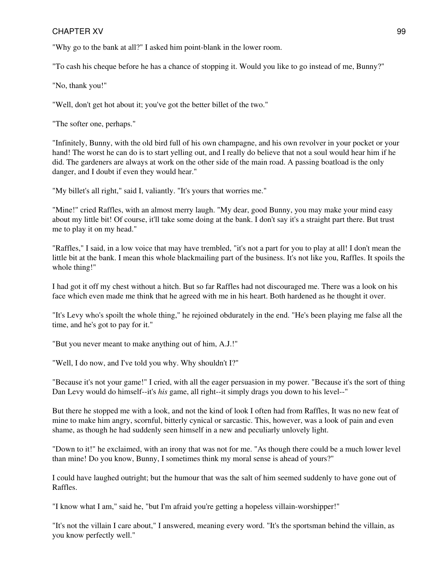"Why go to the bank at all?" I asked him point-blank in the lower room.

"To cash his cheque before he has a chance of stopping it. Would you like to go instead of me, Bunny?"

"No, thank you!"

"Well, don't get hot about it; you've got the better billet of the two."

"The softer one, perhaps."

"Infinitely, Bunny, with the old bird full of his own champagne, and his own revolver in your pocket or your hand! The worst he can do is to start yelling out, and I really do believe that not a soul would hear him if he did. The gardeners are always at work on the other side of the main road. A passing boatload is the only danger, and I doubt if even they would hear."

"My billet's all right," said I, valiantly. "It's yours that worries me."

"Mine!" cried Raffles, with an almost merry laugh. "My dear, good Bunny, you may make your mind easy about my little bit! Of course, it'll take some doing at the bank. I don't say it's a straight part there. But trust me to play it on my head."

"Raffles," I said, in a low voice that may have trembled, "it's not a part for you to play at all! I don't mean the little bit at the bank. I mean this whole blackmailing part of the business. It's not like you, Raffles. It spoils the whole thing!"

I had got it off my chest without a hitch. But so far Raffles had not discouraged me. There was a look on his face which even made me think that he agreed with me in his heart. Both hardened as he thought it over.

"It's Levy who's spoilt the whole thing," he rejoined obdurately in the end. "He's been playing me false all the time, and he's got to pay for it."

"But you never meant to make anything out of him, A.J.!"

"Well, I do now, and I've told you why. Why shouldn't I?"

"Because it's not your game!" I cried, with all the eager persuasion in my power. "Because it's the sort of thing Dan Levy would do himself--it's *his* game, all right--it simply drags you down to his level--"

But there he stopped me with a look, and not the kind of look I often had from Raffles, It was no new feat of mine to make him angry, scornful, bitterly cynical or sarcastic. This, however, was a look of pain and even shame, as though he had suddenly seen himself in a new and peculiarly unlovely light.

"Down to it!" he exclaimed, with an irony that was not for me. "As though there could be a much lower level than mine! Do you know, Bunny, I sometimes think my moral sense is ahead of yours?"

I could have laughed outright; but the humour that was the salt of him seemed suddenly to have gone out of Raffles.

"I know what I am," said he, "but I'm afraid you're getting a hopeless villain-worshipper!"

"It's not the villain I care about," I answered, meaning every word. "It's the sportsman behind the villain, as you know perfectly well."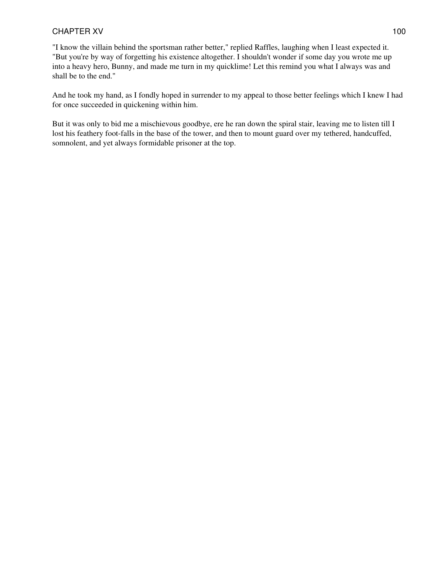"I know the villain behind the sportsman rather better," replied Raffles, laughing when I least expected it. "But you're by way of forgetting his existence altogether. I shouldn't wonder if some day you wrote me up into a heavy hero, Bunny, and made me turn in my quicklime! Let this remind you what I always was and shall be to the end."

And he took my hand, as I fondly hoped in surrender to my appeal to those better feelings which I knew I had for once succeeded in quickening within him.

But it was only to bid me a mischievous goodbye, ere he ran down the spiral stair, leaving me to listen till I lost his feathery foot-falls in the base of the tower, and then to mount guard over my tethered, handcuffed, somnolent, and yet always formidable prisoner at the top.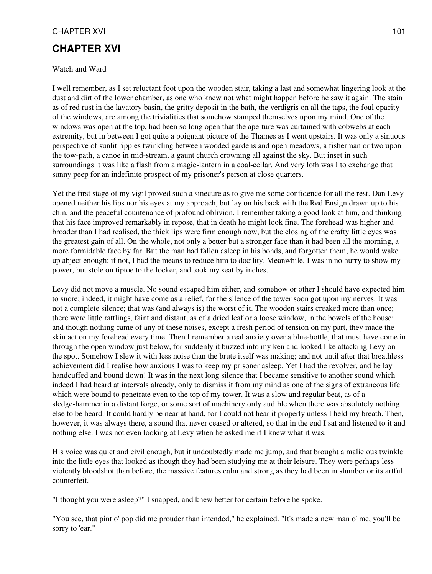# **CHAPTER XVI**

#### Watch and Ward

I well remember, as I set reluctant foot upon the wooden stair, taking a last and somewhat lingering look at the dust and dirt of the lower chamber, as one who knew not what might happen before he saw it again. The stain as of red rust in the lavatory basin, the gritty deposit in the bath, the verdigris on all the taps, the foul opacity of the windows, are among the trivialities that somehow stamped themselves upon my mind. One of the windows was open at the top, had been so long open that the aperture was curtained with cobwebs at each extremity, but in between I got quite a poignant picture of the Thames as I went upstairs. It was only a sinuous perspective of sunlit ripples twinkling between wooded gardens and open meadows, a fisherman or two upon the tow-path, a canoe in mid-stream, a gaunt church crowning all against the sky. But inset in such surroundings it was like a flash from a magic-lantern in a coal-cellar. And very loth was I to exchange that sunny peep for an indefinite prospect of my prisoner's person at close quarters.

Yet the first stage of my vigil proved such a sinecure as to give me some confidence for all the rest. Dan Levy opened neither his lips nor his eyes at my approach, but lay on his back with the Red Ensign drawn up to his chin, and the peaceful countenance of profound oblivion. I remember taking a good look at him, and thinking that his face improved remarkably in repose, that in death he might look fine. The forehead was higher and broader than I had realised, the thick lips were firm enough now, but the closing of the crafty little eyes was the greatest gain of all. On the whole, not only a better but a stronger face than it had been all the morning, a more formidable face by far. But the man had fallen asleep in his bonds, and forgotten them; he would wake up abject enough; if not, I had the means to reduce him to docility. Meanwhile, I was in no hurry to show my power, but stole on tiptoe to the locker, and took my seat by inches.

Levy did not move a muscle. No sound escaped him either, and somehow or other I should have expected him to snore; indeed, it might have come as a relief, for the silence of the tower soon got upon my nerves. It was not a complete silence; that was (and always is) the worst of it. The wooden stairs creaked more than once; there were little rattlings, faint and distant, as of a dried leaf or a loose window, in the bowels of the house; and though nothing came of any of these noises, except a fresh period of tension on my part, they made the skin act on my forehead every time. Then I remember a real anxiety over a blue-bottle, that must have come in through the open window just below, for suddenly it buzzed into my ken and looked like attacking Levy on the spot. Somehow I slew it with less noise than the brute itself was making; and not until after that breathless achievement did I realise how anxious I was to keep my prisoner asleep. Yet I had the revolver, and he lay handcuffed and bound down! It was in the next long silence that I became sensitive to another sound which indeed I had heard at intervals already, only to dismiss it from my mind as one of the signs of extraneous life which were bound to penetrate even to the top of my tower. It was a slow and regular beat, as of a sledge-hammer in a distant forge, or some sort of machinery only audible when there was absolutely nothing else to be heard. It could hardly be near at hand, for I could not hear it properly unless I held my breath. Then, however, it was always there, a sound that never ceased or altered, so that in the end I sat and listened to it and nothing else. I was not even looking at Levy when he asked me if I knew what it was.

His voice was quiet and civil enough, but it undoubtedly made me jump, and that brought a malicious twinkle into the little eyes that looked as though they had been studying me at their leisure. They were perhaps less violently bloodshot than before, the massive features calm and strong as they had been in slumber or its artful counterfeit.

"I thought you were asleep?" I snapped, and knew better for certain before he spoke.

"You see, that pint o' pop did me prouder than intended," he explained. "It's made a new man o' me, you'll be sorry to 'ear."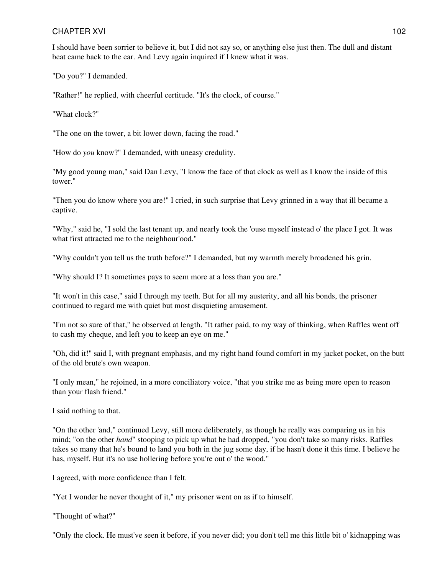I should have been sorrier to believe it, but I did not say so, or anything else just then. The dull and distant beat came back to the ear. And Levy again inquired if I knew what it was.

"Do you?" I demanded.

"Rather!" he replied, with cheerful certitude. "It's the clock, of course."

"What clock?"

"The one on the tower, a bit lower down, facing the road."

"How do *you* know?" I demanded, with uneasy credulity.

"My good young man," said Dan Levy, "I know the face of that clock as well as I know the inside of this tower."

"Then you do know where you are!" I cried, in such surprise that Levy grinned in a way that ill became a captive.

"Why," said he, "I sold the last tenant up, and nearly took the 'ouse myself instead o' the place I got. It was what first attracted me to the neighhour'ood."

"Why couldn't you tell us the truth before?" I demanded, but my warmth merely broadened his grin.

"Why should I? It sometimes pays to seem more at a loss than you are."

"It won't in this case," said I through my teeth. But for all my austerity, and all his bonds, the prisoner continued to regard me with quiet but most disquieting amusement.

"I'm not so sure of that," he observed at length. "It rather paid, to my way of thinking, when Raffles went off to cash my cheque, and left you to keep an eye on me."

"Oh, did it!" said I, with pregnant emphasis, and my right hand found comfort in my jacket pocket, on the butt of the old brute's own weapon.

"I only mean," he rejoined, in a more conciliatory voice, "that you strike me as being more open to reason than your flash friend."

I said nothing to that.

"On the other 'and," continued Levy, still more deliberately, as though he really was comparing us in his mind; "on the other *hand*" stooping to pick up what he had dropped, "you don't take so many risks. Raffles takes so many that he's bound to land you both in the jug some day, if he hasn't done it this time. I believe he has, myself. But it's no use hollering before you're out o' the wood."

I agreed, with more confidence than I felt.

"Yet I wonder he never thought of it," my prisoner went on as if to himself.

"Thought of what?"

"Only the clock. He must've seen it before, if you never did; you don't tell me this little bit o' kidnapping was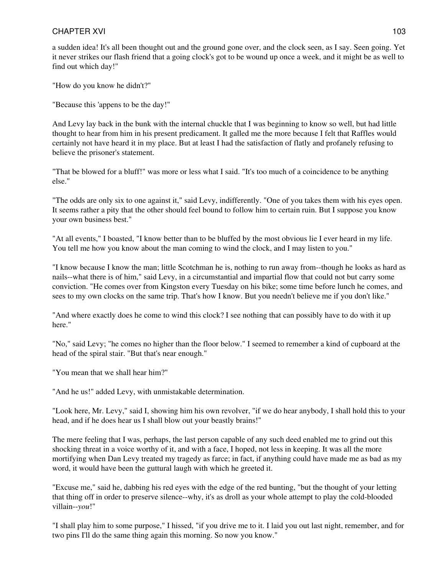a sudden idea! It's all been thought out and the ground gone over, and the clock seen, as I say. Seen going. Yet it never strikes our flash friend that a going clock's got to be wound up once a week, and it might be as well to find out which day!"

"How do you know he didn't?"

"Because this 'appens to be the day!"

And Levy lay back in the bunk with the internal chuckle that I was beginning to know so well, but had little thought to hear from him in his present predicament. It galled me the more because I felt that Raffles would certainly not have heard it in my place. But at least I had the satisfaction of flatly and profanely refusing to believe the prisoner's statement.

"That be blowed for a bluff!" was more or less what I said. "It's too much of a coincidence to be anything else."

"The odds are only six to one against it," said Levy, indifferently. "One of you takes them with his eyes open. It seems rather a pity that the other should feel bound to follow him to certain ruin. But I suppose you know your own business best."

"At all events," I boasted, "I know better than to be bluffed by the most obvious lie I ever heard in my life. You tell me how you know about the man coming to wind the clock, and I may listen to you."

"I know because I know the man; little Scotchman he is, nothing to run away from--though he looks as hard as nails--what there is of him," said Levy, in a circumstantial and impartial flow that could not but carry some conviction. "He comes over from Kingston every Tuesday on his bike; some time before lunch he comes, and sees to my own clocks on the same trip. That's how I know. But you needn't believe me if you don't like."

"And where exactly does he come to wind this clock? I see nothing that can possibly have to do with it up here."

"No," said Levy; "he comes no higher than the floor below." I seemed to remember a kind of cupboard at the head of the spiral stair. "But that's near enough."

"You mean that we shall hear him?"

"And he us!" added Levy, with unmistakable determination.

"Look here, Mr. Levy," said I, showing him his own revolver, "if we do hear anybody, I shall hold this to your head, and if he does hear us I shall blow out your beastly brains!"

The mere feeling that I was, perhaps, the last person capable of any such deed enabled me to grind out this shocking threat in a voice worthy of it, and with a face, I hoped, not less in keeping. It was all the more mortifying when Dan Levy treated my tragedy as farce; in fact, if anything could have made me as bad as my word, it would have been the guttural laugh with which he greeted it.

"Excuse me," said he, dabbing his red eyes with the edge of the red bunting, "but the thought of your letting that thing off in order to preserve silence--why, it's as droll as your whole attempt to play the cold-blooded villain--*you*!"

"I shall play him to some purpose," I hissed, "if you drive me to it. I laid you out last night, remember, and for two pins I'll do the same thing again this morning. So now you know."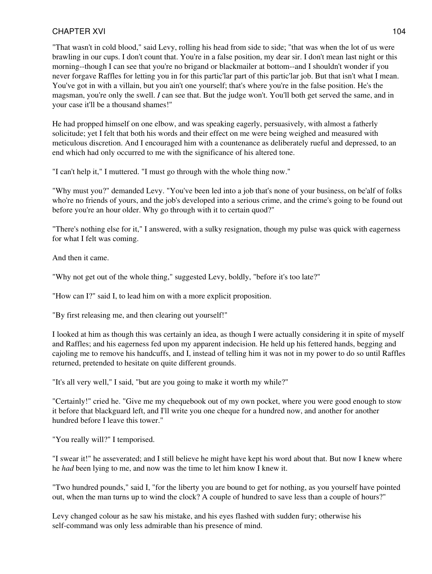"That wasn't in cold blood," said Levy, rolling his head from side to side; "that was when the lot of us were brawling in our cups. I don't count that. You're in a false position, my dear sir. I don't mean last night or this morning--though I can see that you're no brigand or blackmailer at bottom--and I shouldn't wonder if you never forgave Raffles for letting you in for this partic'lar part of this partic'lar job. But that isn't what I mean. You've got in with a villain, but you ain't one yourself; that's where you're in the false position. He's the magsman, you're only the swell. *I* can see that. But the judge won't. You'll both get served the same, and in your case it'll be a thousand shames!"

He had propped himself on one elbow, and was speaking eagerly, persuasively, with almost a fatherly solicitude; yet I felt that both his words and their effect on me were being weighed and measured with meticulous discretion. And I encouraged him with a countenance as deliberately rueful and depressed, to an end which had only occurred to me with the significance of his altered tone.

"I can't help it," I muttered. "I must go through with the whole thing now."

"Why must you?" demanded Levy. "You've been led into a job that's none of your business, on be'alf of folks who're no friends of yours, and the job's developed into a serious crime, and the crime's going to be found out before you're an hour older. Why go through with it to certain quod?"

"There's nothing else for it," I answered, with a sulky resignation, though my pulse was quick with eagerness for what I felt was coming.

And then it came.

"Why not get out of the whole thing," suggested Levy, boldly, "before it's too late?"

"How can I?" said I, to lead him on with a more explicit proposition.

"By first releasing me, and then clearing out yourself!"

I looked at him as though this was certainly an idea, as though I were actually considering it in spite of myself and Raffles; and his eagerness fed upon my apparent indecision. He held up his fettered hands, begging and cajoling me to remove his handcuffs, and I, instead of telling him it was not in my power to do so until Raffles returned, pretended to hesitate on quite different grounds.

"It's all very well," I said, "but are you going to make it worth my while?"

"Certainly!" cried he. "Give me my chequebook out of my own pocket, where you were good enough to stow it before that blackguard left, and I'll write you one cheque for a hundred now, and another for another hundred before I leave this tower."

"You really will?" I temporised.

"I swear it!" he asseverated; and I still believe he might have kept his word about that. But now I knew where he *had* been lying to me, and now was the time to let him know I knew it.

"Two hundred pounds," said I, "for the liberty you are bound to get for nothing, as you yourself have pointed out, when the man turns up to wind the clock? A couple of hundred to save less than a couple of hours?"

Levy changed colour as he saw his mistake, and his eyes flashed with sudden fury; otherwise his self-command was only less admirable than his presence of mind.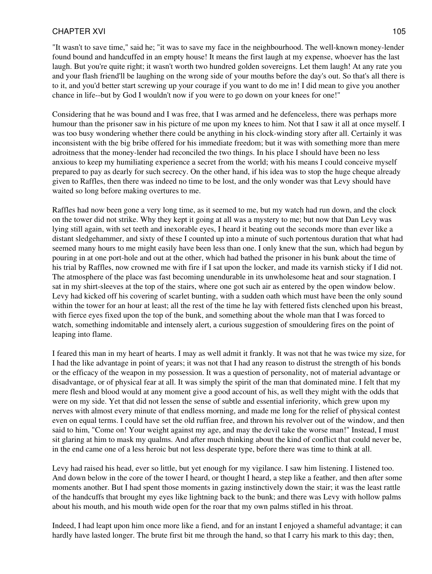"It wasn't to save time," said he; "it was to save my face in the neighbourhood. The well-known money-lender found bound and handcuffed in an empty house! It means the first laugh at my expense, whoever has the last laugh. But you're quite right; it wasn't worth two hundred golden sovereigns. Let them laugh! At any rate you and your flash friend'll be laughing on the wrong side of your mouths before the day's out. So that's all there is to it, and you'd better start screwing up your courage if you want to do me in! I did mean to give you another chance in life--but by God I wouldn't now if you were to go down on your knees for one!"

Considering that he was bound and I was free, that I was armed and he defenceless, there was perhaps more humour than the prisoner saw in his picture of me upon my knees to him. Not that I saw it all at once myself. I was too busy wondering whether there could be anything in his clock-winding story after all. Certainly it was inconsistent with the big bribe offered for his immediate freedom; but it was with something more than mere adroitness that the money-lender had reconciled the two things. In his place I should have been no less anxious to keep my humiliating experience a secret from the world; with his means I could conceive myself prepared to pay as dearly for such secrecy. On the other hand, if his idea was to stop the huge cheque already given to Raffles, then there was indeed no time to be lost, and the only wonder was that Levy should have waited so long before making overtures to me.

Raffles had now been gone a very long time, as it seemed to me, but my watch had run down, and the clock on the tower did not strike. Why they kept it going at all was a mystery to me; but now that Dan Levy was lying still again, with set teeth and inexorable eyes, I heard it beating out the seconds more than ever like a distant sledgehammer, and sixty of these I counted up into a minute of such portentous duration that what had seemed many hours to me might easily have been less than one. I only knew that the sun, which had begun by pouring in at one port-hole and out at the other, which had bathed the prisoner in his bunk about the time of his trial by Raffles, now crowned me with fire if I sat upon the locker, and made its varnish sticky if I did not. The atmosphere of the place was fast becoming unendurable in its unwholesome heat and sour stagnation. I sat in my shirt-sleeves at the top of the stairs, where one got such air as entered by the open window below. Levy had kicked off his covering of scarlet bunting, with a sudden oath which must have been the only sound within the tower for an hour at least; all the rest of the time he lay with fettered fists clenched upon his breast, with fierce eyes fixed upon the top of the bunk, and something about the whole man that I was forced to watch, something indomitable and intensely alert, a curious suggestion of smouldering fires on the point of leaping into flame.

I feared this man in my heart of hearts. I may as well admit it frankly. It was not that he was twice my size, for I had the like advantage in point of years; it was not that I had any reason to distrust the strength of his bonds or the efficacy of the weapon in my possession. It was a question of personality, not of material advantage or disadvantage, or of physical fear at all. It was simply the spirit of the man that dominated mine. I felt that my mere flesh and blood would at any moment give a good account of his, as well they might with the odds that were on my side. Yet that did not lessen the sense of subtle and essential inferiority, which grew upon my nerves with almost every minute of that endless morning, and made me long for the relief of physical contest even on equal terms. I could have set the old ruffian free, and thrown his revolver out of the window, and then said to him, "Come on! Your weight against my age, and may the devil take the worse man!" Instead, I must sit glaring at him to mask my qualms. And after much thinking about the kind of conflict that could never be, in the end came one of a less heroic but not less desperate type, before there was time to think at all.

Levy had raised his head, ever so little, but yet enough for my vigilance. I saw him listening. I listened too. And down below in the core of the tower I heard, or thought I heard, a step like a feather, and then after some moments another. But I had spent those moments in gazing instinctively down the stair; it was the least rattle of the handcuffs that brought my eyes like lightning back to the bunk; and there was Levy with hollow palms about his mouth, and his mouth wide open for the roar that my own palms stifled in his throat.

Indeed, I had leapt upon him once more like a fiend, and for an instant I enjoyed a shameful advantage; it can hardly have lasted longer. The brute first bit me through the hand, so that I carry his mark to this day; then,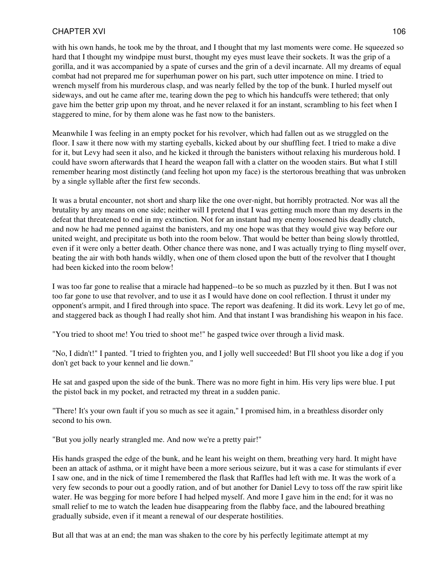#### CHAPTER XVI and the contract of the contract of the contract of the contract of the contract of the contract of the contract of the contract of the contract of the contract of the contract of the contract of the contract o

with his own hands, he took me by the throat, and I thought that my last moments were come. He squeezed so hard that I thought my windpipe must burst, thought my eyes must leave their sockets. It was the grip of a gorilla, and it was accompanied by a spate of curses and the grin of a devil incarnate. All my dreams of equal combat had not prepared me for superhuman power on his part, such utter impotence on mine. I tried to wrench myself from his murderous clasp, and was nearly felled by the top of the bunk. I hurled myself out sideways, and out he came after me, tearing down the peg to which his handcuffs were tethered; that only gave him the better grip upon my throat, and he never relaxed it for an instant, scrambling to his feet when I staggered to mine, for by them alone was he fast now to the banisters.

Meanwhile I was feeling in an empty pocket for his revolver, which had fallen out as we struggled on the floor. I saw it there now with my starting eyeballs, kicked about by our shuffling feet. I tried to make a dive for it, but Levy had seen it also, and he kicked it through the banisters without relaxing his murderous hold. I could have sworn afterwards that I heard the weapon fall with a clatter on the wooden stairs. But what I still remember hearing most distinctly (and feeling hot upon my face) is the stertorous breathing that was unbroken by a single syllable after the first few seconds.

It was a brutal encounter, not short and sharp like the one over-night, but horribly protracted. Nor was all the brutality by any means on one side; neither will I pretend that I was getting much more than my deserts in the defeat that threatened to end in my extinction. Not for an instant had my enemy loosened his deadly clutch, and now he had me penned against the banisters, and my one hope was that they would give way before our united weight, and precipitate us both into the room below. That would be better than being slowly throttled, even if it were only a better death. Other chance there was none, and I was actually trying to fling myself over, beating the air with both hands wildly, when one of them closed upon the butt of the revolver that I thought had been kicked into the room below!

I was too far gone to realise that a miracle had happened--to be so much as puzzled by it then. But I was not too far gone to use that revolver, and to use it as I would have done on cool reflection. I thrust it under my opponent's armpit, and I fired through into space. The report was deafening. It did its work. Levy let go of me, and staggered back as though I had really shot him. And that instant I was brandishing his weapon in his face.

"You tried to shoot me! You tried to shoot me!" he gasped twice over through a livid mask.

"No, I didn't!" I panted. "I tried to frighten you, and I jolly well succeeded! But I'll shoot you like a dog if you don't get back to your kennel and lie down."

He sat and gasped upon the side of the bunk. There was no more fight in him. His very lips were blue. I put the pistol back in my pocket, and retracted my threat in a sudden panic.

"There! It's your own fault if you so much as see it again," I promised him, in a breathless disorder only second to his own.

"But you jolly nearly strangled me. And now we're a pretty pair!"

His hands grasped the edge of the bunk, and he leant his weight on them, breathing very hard. It might have been an attack of asthma, or it might have been a more serious seizure, but it was a case for stimulants if ever I saw one, and in the nick of time I remembered the flask that Raffles had left with me. It was the work of a very few seconds to pour out a goodly ration, and of but another for Daniel Levy to toss off the raw spirit like water. He was begging for more before I had helped myself. And more I gave him in the end; for it was no small relief to me to watch the leaden hue disappearing from the flabby face, and the laboured breathing gradually subside, even if it meant a renewal of our desperate hostilities.

But all that was at an end; the man was shaken to the core by his perfectly legitimate attempt at my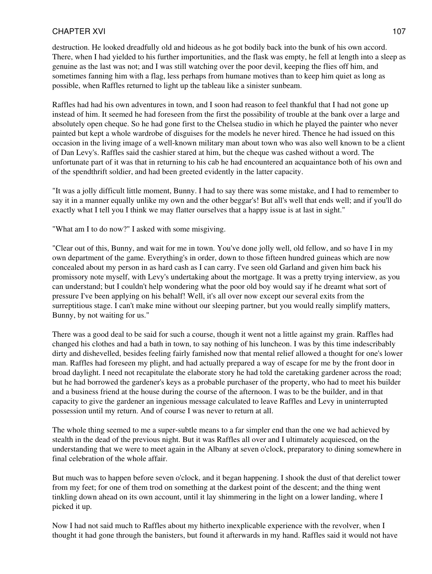destruction. He looked dreadfully old and hideous as he got bodily back into the bunk of his own accord. There, when I had yielded to his further importunities, and the flask was empty, he fell at length into a sleep as genuine as the last was not; and I was still watching over the poor devil, keeping the flies off him, and sometimes fanning him with a flag, less perhaps from humane motives than to keep him quiet as long as possible, when Raffles returned to light up the tableau like a sinister sunbeam.

Raffles had had his own adventures in town, and I soon had reason to feel thankful that I had not gone up instead of him. It seemed he had foreseen from the first the possibility of trouble at the bank over a large and absolutely open cheque. So he had gone first to the Chelsea studio in which he played the painter who never painted but kept a whole wardrobe of disguises for the models he never hired. Thence he had issued on this occasion in the living image of a well-known military man about town who was also well known to be a client of Dan Levy's. Raffles said the cashier stared at him, but the cheque was cashed without a word. The unfortunate part of it was that in returning to his cab he had encountered an acquaintance both of his own and of the spendthrift soldier, and had been greeted evidently in the latter capacity.

"It was a jolly difficult little moment, Bunny. I had to say there was some mistake, and I had to remember to say it in a manner equally unlike my own and the other beggar's! But all's well that ends well; and if you'll do exactly what I tell you I think we may flatter ourselves that a happy issue is at last in sight."

"What am I to do now?" I asked with some misgiving.

"Clear out of this, Bunny, and wait for me in town. You've done jolly well, old fellow, and so have I in my own department of the game. Everything's in order, down to those fifteen hundred guineas which are now concealed about my person in as hard cash as I can carry. I've seen old Garland and given him back his promissory note myself, with Levy's undertaking about the mortgage. It was a pretty trying interview, as you can understand; but I couldn't help wondering what the poor old boy would say if he dreamt what sort of pressure I've been applying on his behalf! Well, it's all over now except our several exits from the surreptitious stage. I can't make mine without our sleeping partner, but you would really simplify matters, Bunny, by not waiting for us."

There was a good deal to be said for such a course, though it went not a little against my grain. Raffles had changed his clothes and had a bath in town, to say nothing of his luncheon. I was by this time indescribably dirty and dishevelled, besides feeling fairly famished now that mental relief allowed a thought for one's lower man. Raffles had foreseen my plight, and had actually prepared a way of escape for me by the front door in broad daylight. I need not recapitulate the elaborate story he had told the caretaking gardener across the road; but he had borrowed the gardener's keys as a probable purchaser of the property, who had to meet his builder and a business friend at the house during the course of the afternoon. I was to be the builder, and in that capacity to give the gardener an ingenious message calculated to leave Raffles and Levy in uninterrupted possession until my return. And of course I was never to return at all.

The whole thing seemed to me a super-subtle means to a far simpler end than the one we had achieved by stealth in the dead of the previous night. But it was Raffles all over and I ultimately acquiesced, on the understanding that we were to meet again in the Albany at seven o'clock, preparatory to dining somewhere in final celebration of the whole affair.

But much was to happen before seven o'clock, and it began happening. I shook the dust of that derelict tower from my feet; for one of them trod on something at the darkest point of the descent; and the thing went tinkling down ahead on its own account, until it lay shimmering in the light on a lower landing, where I picked it up.

Now I had not said much to Raffles about my hitherto inexplicable experience with the revolver, when I thought it had gone through the banisters, but found it afterwards in my hand. Raffles said it would not have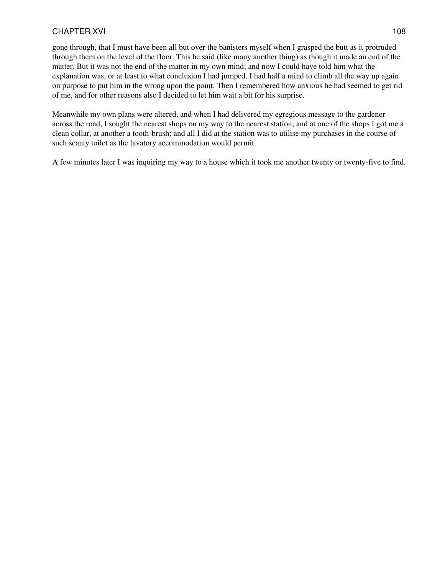gone through, that I must have been all but over the banisters myself when I grasped the butt as it protruded through them on the level of the floor. This he said (like many another thing) as though it made an end of the matter. But it was not the end of the matter in my own mind; and now I could have told him what the explanation was, or at least to what conclusion I had jumped. I had half a mind to climb all the way up again on purpose to put him in the wrong upon the point. Then I remembered how anxious he had seemed to get rid of me, and for other reasons also I decided to let him wait a bit for his surprise.

Meanwhile my own plans were altered, and when I had delivered my egregious message to the gardener across the road, I sought the nearest shops on my way to the nearest station; and at one of the shops I got me a clean collar, at another a tooth-brush; and all I did at the station was to utilise my purchases in the course of such scanty toilet as the lavatory accommodation would permit.

A few minutes later I was inquiring my way to a house which it took me another twenty or twenty-five to find.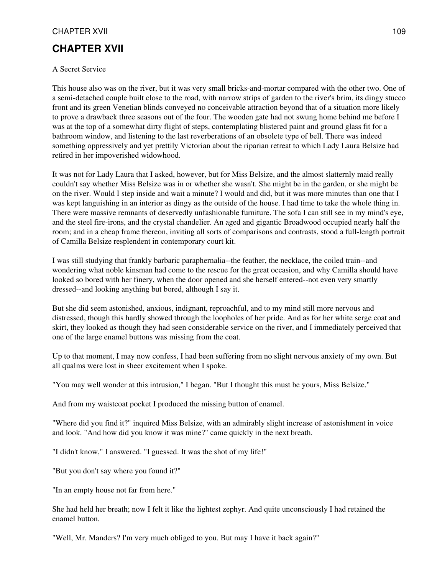# **CHAPTER XVII**

### A Secret Service

This house also was on the river, but it was very small bricks-and-mortar compared with the other two. One of a semi-detached couple built close to the road, with narrow strips of garden to the river's brim, its dingy stucco front and its green Venetian blinds conveyed no conceivable attraction beyond that of a situation more likely to prove a drawback three seasons out of the four. The wooden gate had not swung home behind me before I was at the top of a somewhat dirty flight of steps, contemplating blistered paint and ground glass fit for a bathroom window, and listening to the last reverberations of an obsolete type of bell. There was indeed something oppressively and yet prettily Victorian about the riparian retreat to which Lady Laura Belsize had retired in her impoverished widowhood.

It was not for Lady Laura that I asked, however, but for Miss Belsize, and the almost slatternly maid really couldn't say whether Miss Belsize was in or whether she wasn't. She might be in the garden, or she might be on the river. Would I step inside and wait a minute? I would and did, but it was more minutes than one that I was kept languishing in an interior as dingy as the outside of the house. I had time to take the whole thing in. There were massive remnants of deservedly unfashionable furniture. The sofa I can still see in my mind's eye, and the steel fire-irons, and the crystal chandelier. An aged and gigantic Broadwood occupied nearly half the room; and in a cheap frame thereon, inviting all sorts of comparisons and contrasts, stood a full-length portrait of Camilla Belsize resplendent in contemporary court kit.

I was still studying that frankly barbaric paraphernalia--the feather, the necklace, the coiled train--and wondering what noble kinsman had come to the rescue for the great occasion, and why Camilla should have looked so bored with her finery, when the door opened and she herself entered--not even very smartly dressed--and looking anything but bored, although I say it.

But she did seem astonished, anxious, indignant, reproachful, and to my mind still more nervous and distressed, though this hardly showed through the loopholes of her pride. And as for her white serge coat and skirt, they looked as though they had seen considerable service on the river, and I immediately perceived that one of the large enamel buttons was missing from the coat.

Up to that moment, I may now confess, I had been suffering from no slight nervous anxiety of my own. But all qualms were lost in sheer excitement when I spoke.

"You may well wonder at this intrusion," I began. "But I thought this must be yours, Miss Belsize."

And from my waistcoat pocket I produced the missing button of enamel.

"Where did you find it?" inquired Miss Belsize, with an admirably slight increase of astonishment in voice and look. "And how did you know it was mine?" came quickly in the next breath.

"I didn't know," I answered. "I guessed. It was the shot of my life!"

"But you don't say where you found it?"

"In an empty house not far from here."

She had held her breath; now I felt it like the lightest zephyr. And quite unconsciously I had retained the enamel button.

"Well, Mr. Manders? I'm very much obliged to you. But may I have it back again?"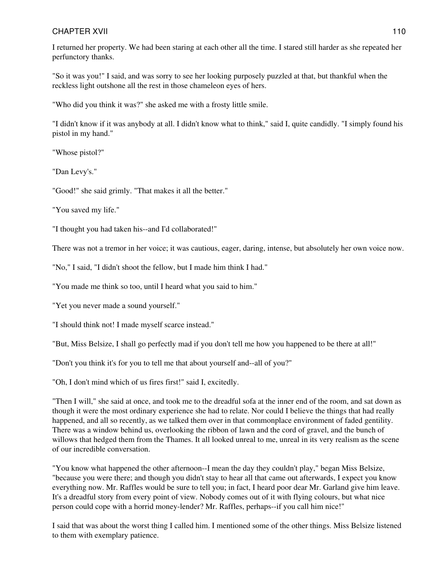I returned her property. We had been staring at each other all the time. I stared still harder as she repeated her perfunctory thanks.

"So it was you!" I said, and was sorry to see her looking purposely puzzled at that, but thankful when the reckless light outshone all the rest in those chameleon eyes of hers.

"Who did you think it was?" she asked me with a frosty little smile.

"I didn't know if it was anybody at all. I didn't know what to think," said I, quite candidly. "I simply found his pistol in my hand."

"Whose pistol?"

"Dan Levy's."

"Good!" she said grimly. "That makes it all the better."

"You saved my life."

"I thought you had taken his--and I'd collaborated!"

There was not a tremor in her voice; it was cautious, eager, daring, intense, but absolutely her own voice now.

"No," I said, "I didn't shoot the fellow, but I made him think I had."

"You made me think so too, until I heard what you said to him."

"Yet you never made a sound yourself."

"I should think not! I made myself scarce instead."

"But, Miss Belsize, I shall go perfectly mad if you don't tell me how you happened to be there at all!"

"Don't you think it's for you to tell me that about yourself and--all of you?"

"Oh, I don't mind which of us fires first!" said I, excitedly.

"Then I will," she said at once, and took me to the dreadful sofa at the inner end of the room, and sat down as though it were the most ordinary experience she had to relate. Nor could I believe the things that had really happened, and all so recently, as we talked them over in that commonplace environment of faded gentility. There was a window behind us, overlooking the ribbon of lawn and the cord of gravel, and the bunch of willows that hedged them from the Thames. It all looked unreal to me, unreal in its very realism as the scene of our incredible conversation.

"You know what happened the other afternoon--I mean the day they couldn't play," began Miss Belsize, "because you were there; and though you didn't stay to hear all that came out afterwards, I expect you know everything now. Mr. Raffles would be sure to tell you; in fact, I heard poor dear Mr. Garland give him leave. It's a dreadful story from every point of view. Nobody comes out of it with flying colours, but what nice person could cope with a horrid money-lender? Mr. Raffles, perhaps--if you call him nice!"

I said that was about the worst thing I called him. I mentioned some of the other things. Miss Belsize listened to them with exemplary patience.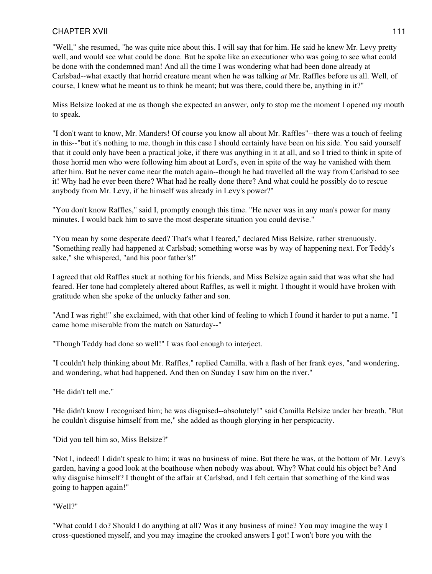"Well," she resumed, "he was quite nice about this. I will say that for him. He said he knew Mr. Levy pretty well, and would see what could be done. But he spoke like an executioner who was going to see what could be done with the condemned man! And all the time I was wondering what had been done already at Carlsbad--what exactly that horrid creature meant when he was talking *at* Mr. Raffles before us all. Well, of course, I knew what he meant us to think he meant; but was there, could there be, anything in it?"

Miss Belsize looked at me as though she expected an answer, only to stop me the moment I opened my mouth to speak.

"I don't want to know, Mr. Manders! Of course you know all about Mr. Raffles"--there was a touch of feeling in this--"but it's nothing to me, though in this case I should certainly have been on his side. You said yourself that it could only have been a practical joke, if there was anything in it at all, and so I tried to think in spite of those horrid men who were following him about at Lord's, even in spite of the way he vanished with them after him. But he never came near the match again--though he had travelled all the way from Carlsbad to see it! Why had he ever been there? What had he really done there? And what could he possibly do to rescue anybody from Mr. Levy, if he himself was already in Levy's power?"

"You don't know Raffles," said I, promptly enough this time. "He never was in any man's power for many minutes. I would back him to save the most desperate situation you could devise."

"You mean by some desperate deed? That's what I feared," declared Miss Belsize, rather strenuously. "Something really had happened at Carlsbad; something worse was by way of happening next. For Teddy's sake," she whispered, "and his poor father's!"

I agreed that old Raffles stuck at nothing for his friends, and Miss Belsize again said that was what she had feared. Her tone had completely altered about Raffles, as well it might. I thought it would have broken with gratitude when she spoke of the unlucky father and son.

"And I was right!" she exclaimed, with that other kind of feeling to which I found it harder to put a name. "I came home miserable from the match on Saturday--"

"Though Teddy had done so well!" I was fool enough to interject.

"I couldn't help thinking about Mr. Raffles," replied Camilla, with a flash of her frank eyes, "and wondering, and wondering, what had happened. And then on Sunday I saw him on the river."

"He didn't tell me."

"He didn't know I recognised him; he was disguised--absolutely!" said Camilla Belsize under her breath. "But he couldn't disguise himself from me," she added as though glorying in her perspicacity.

"Did you tell him so, Miss Belsize?"

"Not I, indeed! I didn't speak to him; it was no business of mine. But there he was, at the bottom of Mr. Levy's garden, having a good look at the boathouse when nobody was about. Why? What could his object be? And why disguise himself? I thought of the affair at Carlsbad, and I felt certain that something of the kind was going to happen again!"

"Well?"

"What could I do? Should I do anything at all? Was it any business of mine? You may imagine the way I cross-questioned myself, and you may imagine the crooked answers I got! I won't bore you with the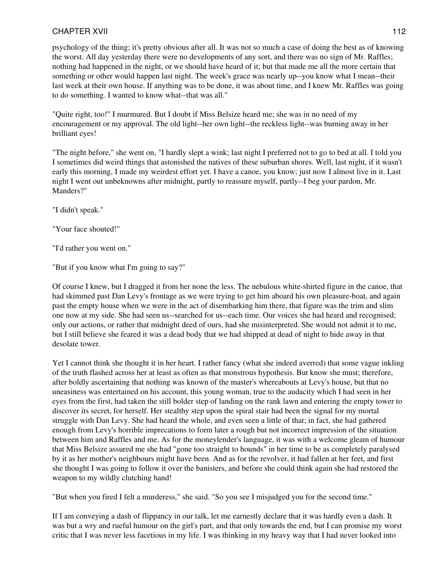## CHAPTER XVII 2002 2003 2004 2004 2005 2006 2007 2007 2008 2009 2007 2008 2009 2009 2007 2008 2009 2009 2009 20

psychology of the thing; it's pretty obvious after all. It was not so much a case of doing the best as of knowing the worst. All day yesterday there were no developments of any sort, and there was no sign of Mr. Raffles; nothing had happened in the night, or we should have heard of it; but that made me all the more certain that something or other would happen last night. The week's grace was nearly up--you know what I mean--their last week at their own house. If anything was to be done, it was about time, and I knew Mr. Raffles was going to do something. I wanted to know what--that was all."

"Quite right, too!" I murmured. But I doubt if Miss Belsize heard me; she was in no need of my encouragement or my approval. The old light--her own light--the reckless light--was burning away in her brilliant eyes!

"The night before," she went on, "I hardly slept a wink; last night I preferred not to go to bed at all. I told you I sometimes did weird things that astonished the natives of these suburban shores. Well, last night, if it wasn't early this morning, I made my weirdest effort yet. I have a canoe, you know; just now I almost live in it. Last night I went out unbeknowns after midnight, partly to reassure myself, partly--I beg your pardon, Mr. Manders?"

"I didn't speak."

"Your face shouted!"

"I'd rather you went on."

"But if you know what I'm going to say?"

Of course I knew, but I dragged it from her none the less. The nebulous white-shirted figure in the canoe, that had skimmed past Dan Levy's frontage as we were trying to get him aboard his own pleasure-boat, and again past the empty house when we were in the act of disembarking him there, that figure was the trim and slim one now at my side. She had seen us--searched for us--each time. Our voices she had heard and recognised; only our actions, or rather that midnight deed of ours, had she misinterpreted. She would not admit it to me, but I still believe she feared it was a dead body that we had shipped at dead of night to hide away in that desolate tower.

Yet I cannot think she thought it in her heart. I rather fancy (what she indeed averred) that some vague inkling of the truth flashed across her at least as often as that monstrous hypothesis. But know she must; therefore, after boldly ascertaining that nothing was known of the master's whereabouts at Levy's house, but that no uneasiness was entertained on his account, this young woman, true to the audacity which I had seen in her eyes from the first, had taken the still bolder step of landing on the rank lawn and entering the empty tower to discover its secret, for herself. Her stealthy step upon the spiral stair had been the signal for my mortal struggle with Dan Levy. She had heard the whole, and even seen a little of that; in fact, she had gathered enough from Levy's horrible imprecations to form later a rough but not incorrect impression of the situation between him and Raffles and me. As for the moneylender's language, it was with a welcome gleam of humour that Miss Belsize assured me she had "gone too straight to hounds" in her time to be as completely paralysed by it as her mother's neighbours might have been. And as for the revolver, it had fallen at her feet, and first she thought I was going to follow it over the banisters, and before she could think again she had restored the weapon to my wildly clutching hand!

"But when you fired I felt a murderess," she said. "So you see I misjudged you for the second time."

If I am conveying a dash of flippancy in our talk, let me earnestly declare that it was hardly even a dash. It was but a wry and rueful humour on the girl's part, and that only towards the end, but I can promise my worst critic that I was never less facetious in my life. I was thinking in my heavy way that I had never looked into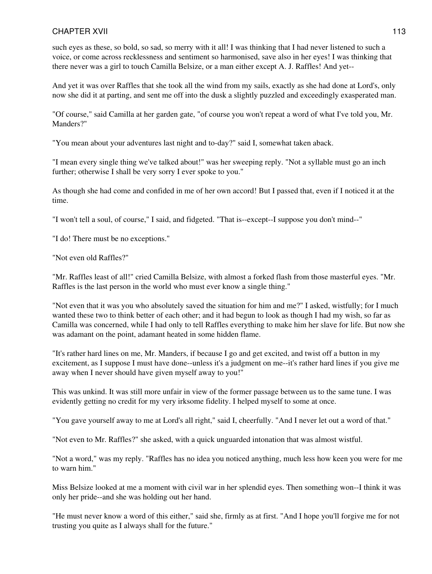such eyes as these, so bold, so sad, so merry with it all! I was thinking that I had never listened to such a voice, or come across recklessness and sentiment so harmonised, save also in her eyes! I was thinking that there never was a girl to touch Camilla Belsize, or a man either except A. J. Raffles! And yet--

And yet it was over Raffles that she took all the wind from my sails, exactly as she had done at Lord's, only now she did it at parting, and sent me off into the dusk a slightly puzzled and exceedingly exasperated man.

"Of course," said Camilla at her garden gate, "of course you won't repeat a word of what I've told you, Mr. Manders?"

"You mean about your adventures last night and to-day?" said I, somewhat taken aback.

"I mean every single thing we've talked about!" was her sweeping reply. "Not a syllable must go an inch further; otherwise I shall be very sorry I ever spoke to you."

As though she had come and confided in me of her own accord! But I passed that, even if I noticed it at the time.

"I won't tell a soul, of course," I said, and fidgeted. "That is--except--I suppose you don't mind--"

"I do! There must be no exceptions."

"Not even old Raffles?"

"Mr. Raffles least of all!" cried Camilla Belsize, with almost a forked flash from those masterful eyes. "Mr. Raffles is the last person in the world who must ever know a single thing."

"Not even that it was you who absolutely saved the situation for him and me?" I asked, wistfully; for I much wanted these two to think better of each other; and it had begun to look as though I had my wish, so far as Camilla was concerned, while I had only to tell Raffles everything to make him her slave for life. But now she was adamant on the point, adamant heated in some hidden flame.

"It's rather hard lines on me, Mr. Manders, if because I go and get excited, and twist off a button in my excitement, as I suppose I must have done--unless it's a judgment on me--it's rather hard lines if you give me away when I never should have given myself away to you!"

This was unkind. It was still more unfair in view of the former passage between us to the same tune. I was evidently getting no credit for my very irksome fidelity. I helped myself to some at once.

"You gave yourself away to me at Lord's all right," said I, cheerfully. "And I never let out a word of that."

"Not even to Mr. Raffles?" she asked, with a quick unguarded intonation that was almost wistful.

"Not a word," was my reply. "Raffles has no idea you noticed anything, much less how keen you were for me to warn him."

Miss Belsize looked at me a moment with civil war in her splendid eyes. Then something won--I think it was only her pride--and she was holding out her hand.

"He must never know a word of this either," said she, firmly as at first. "And I hope you'll forgive me for not trusting you quite as I always shall for the future."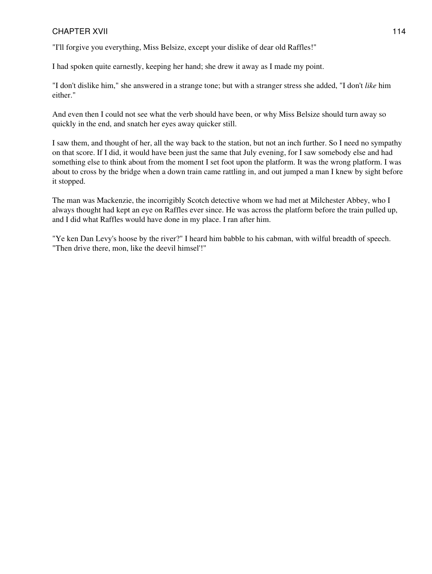"I'll forgive you everything, Miss Belsize, except your dislike of dear old Raffles!"

I had spoken quite earnestly, keeping her hand; she drew it away as I made my point.

"I don't dislike him," she answered in a strange tone; but with a stranger stress she added, "I don't *like* him either."

And even then I could not see what the verb should have been, or why Miss Belsize should turn away so quickly in the end, and snatch her eyes away quicker still.

I saw them, and thought of her, all the way back to the station, but not an inch further. So I need no sympathy on that score. If I did, it would have been just the same that July evening, for I saw somebody else and had something else to think about from the moment I set foot upon the platform. It was the wrong platform. I was about to cross by the bridge when a down train came rattling in, and out jumped a man I knew by sight before it stopped.

The man was Mackenzie, the incorrigibly Scotch detective whom we had met at Milchester Abbey, who I always thought had kept an eye on Raffles ever since. He was across the platform before the train pulled up, and I did what Raffles would have done in my place. I ran after him.

"Ye ken Dan Levy's hoose by the river?" I heard him babble to his cabman, with wilful breadth of speech. "Then drive there, mon, like the deevil himsel'!"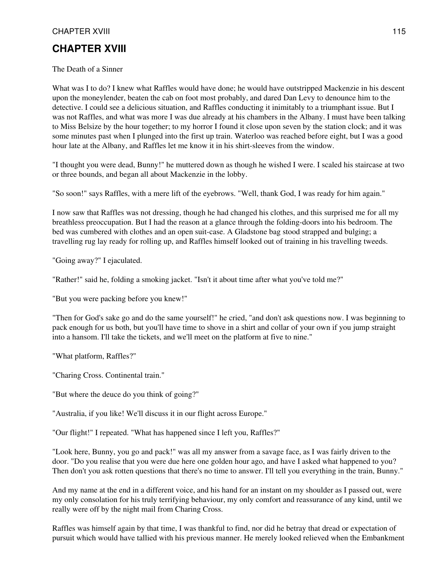## **CHAPTER XVIII**

The Death of a Sinner

What was I to do? I knew what Raffles would have done; he would have outstripped Mackenzie in his descent upon the moneylender, beaten the cab on foot most probably, and dared Dan Levy to denounce him to the detective. I could see a delicious situation, and Raffles conducting it inimitably to a triumphant issue. But I was not Raffles, and what was more I was due already at his chambers in the Albany. I must have been talking to Miss Belsize by the hour together; to my horror I found it close upon seven by the station clock; and it was some minutes past when I plunged into the first up train. Waterloo was reached before eight, but I was a good hour late at the Albany, and Raffles let me know it in his shirt-sleeves from the window.

"I thought you were dead, Bunny!" he muttered down as though he wished I were. I scaled his staircase at two or three bounds, and began all about Mackenzie in the lobby.

"So soon!" says Raffles, with a mere lift of the eyebrows. "Well, thank God, I was ready for him again."

I now saw that Raffles was not dressing, though he had changed his clothes, and this surprised me for all my breathless preoccupation. But I had the reason at a glance through the folding-doors into his bedroom. The bed was cumbered with clothes and an open suit-case. A Gladstone bag stood strapped and bulging; a travelling rug lay ready for rolling up, and Raffles himself looked out of training in his travelling tweeds.

"Going away?" I ejaculated.

"Rather!" said he, folding a smoking jacket. "Isn't it about time after what you've told me?"

"But you were packing before you knew!"

"Then for God's sake go and do the same yourself!" he cried, "and don't ask questions now. I was beginning to pack enough for us both, but you'll have time to shove in a shirt and collar of your own if you jump straight into a hansom. I'll take the tickets, and we'll meet on the platform at five to nine."

"What platform, Raffles?"

"Charing Cross. Continental train."

"But where the deuce do you think of going?"

"Australia, if you like! We'll discuss it in our flight across Europe."

"Our flight!" I repeated. "What has happened since I left you, Raffles?"

"Look here, Bunny, you go and pack!" was all my answer from a savage face, as I was fairly driven to the door. "Do you realise that you were due here one golden hour ago, and have I asked what happened to you? Then don't you ask rotten questions that there's no time to answer. I'll tell you everything in the train, Bunny."

And my name at the end in a different voice, and his hand for an instant on my shoulder as I passed out, were my only consolation for his truly terrifying behaviour, my only comfort and reassurance of any kind, until we really were off by the night mail from Charing Cross.

Raffles was himself again by that time, I was thankful to find, nor did he betray that dread or expectation of pursuit which would have tallied with his previous manner. He merely looked relieved when the Embankment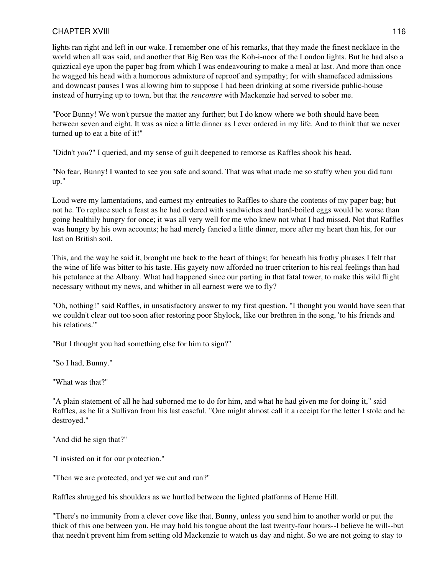lights ran right and left in our wake. I remember one of his remarks, that they made the finest necklace in the world when all was said, and another that Big Ben was the Koh-i-noor of the London lights. But he had also a quizzical eye upon the paper bag from which I was endeavouring to make a meal at last. And more than once he wagged his head with a humorous admixture of reproof and sympathy; for with shamefaced admissions and downcast pauses I was allowing him to suppose I had been drinking at some riverside public-house instead of hurrying up to town, but that the *rencontre* with Mackenzie had served to sober me.

"Poor Bunny! We won't pursue the matter any further; but I do know where we both should have been between seven and eight. It was as nice a little dinner as I ever ordered in my life. And to think that we never turned up to eat a bite of it!"

"Didn't *you*?" I queried, and my sense of guilt deepened to remorse as Raffles shook his head.

"No fear, Bunny! I wanted to see you safe and sound. That was what made me so stuffy when you did turn up."

Loud were my lamentations, and earnest my entreaties to Raffles to share the contents of my paper bag; but not he. To replace such a feast as he had ordered with sandwiches and hard-boiled eggs would be worse than going healthily hungry for once; it was all very well for me who knew not what I had missed. Not that Raffles was hungry by his own accounts; he had merely fancied a little dinner, more after my heart than his, for our last on British soil.

This, and the way he said it, brought me back to the heart of things; for beneath his frothy phrases I felt that the wine of life was bitter to his taste. His gayety now afforded no truer criterion to his real feelings than had his petulance at the Albany. What had happened since our parting in that fatal tower, to make this wild flight necessary without my news, and whither in all earnest were we to fly?

"Oh, nothing!" said Raffles, in unsatisfactory answer to my first question. "I thought you would have seen that we couldn't clear out too soon after restoring poor Shylock, like our brethren in the song, 'to his friends and his relations.'"

"But I thought you had something else for him to sign?"

"So I had, Bunny."

"What was that?"

"A plain statement of all he had suborned me to do for him, and what he had given me for doing it," said Raffles, as he lit a Sullivan from his last easeful. "One might almost call it a receipt for the letter I stole and he destroyed."

"And did he sign that?"

"I insisted on it for our protection."

"Then we are protected, and yet we cut and run?"

Raffles shrugged his shoulders as we hurtled between the lighted platforms of Herne Hill.

"There's no immunity from a clever cove like that, Bunny, unless you send him to another world or put the thick of this one between you. He may hold his tongue about the last twenty-four hours--I believe he will--but that needn't prevent him from setting old Mackenzie to watch us day and night. So we are not going to stay to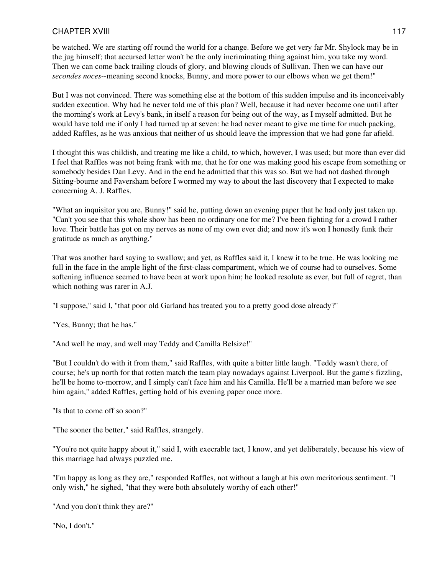be watched. We are starting off round the world for a change. Before we get very far Mr. Shylock may be in the jug himself; that accursed letter won't be the only incriminating thing against him, you take my word. Then we can come back trailing clouds of glory, and blowing clouds of Sullivan. Then we can have our *secondes noces*--meaning second knocks, Bunny, and more power to our elbows when we get them!"

But I was not convinced. There was something else at the bottom of this sudden impulse and its inconceivably sudden execution. Why had he never told me of this plan? Well, because it had never become one until after the morning's work at Levy's bank, in itself a reason for being out of the way, as I myself admitted. But he would have told me if only I had turned up at seven: he had never meant to give me time for much packing, added Raffles, as he was anxious that neither of us should leave the impression that we had gone far afield.

I thought this was childish, and treating me like a child, to which, however, I was used; but more than ever did I feel that Raffles was not being frank with me, that he for one was making good his escape from something or somebody besides Dan Levy. And in the end he admitted that this was so. But we had not dashed through Sitting-bourne and Faversham before I wormed my way to about the last discovery that I expected to make concerning A. J. Raffles.

"What an inquisitor you are, Bunny!" said he, putting down an evening paper that he had only just taken up. "Can't you see that this whole show has been no ordinary one for me? I've been fighting for a crowd I rather love. Their battle has got on my nerves as none of my own ever did; and now it's won I honestly funk their gratitude as much as anything."

That was another hard saying to swallow; and yet, as Raffles said it, I knew it to be true. He was looking me full in the face in the ample light of the first-class compartment, which we of course had to ourselves. Some softening influence seemed to have been at work upon him; he looked resolute as ever, but full of regret, than which nothing was rarer in A.J.

"I suppose," said I, "that poor old Garland has treated you to a pretty good dose already?"

"Yes, Bunny; that he has."

"And well he may, and well may Teddy and Camilla Belsize!"

"But I couldn't do with it from them," said Raffles, with quite a bitter little laugh. "Teddy wasn't there, of course; he's up north for that rotten match the team play nowadays against Liverpool. But the game's fizzling, he'll be home to-morrow, and I simply can't face him and his Camilla. He'll be a married man before we see him again," added Raffles, getting hold of his evening paper once more.

"Is that to come off so soon?"

"The sooner the better," said Raffles, strangely.

"You're not quite happy about it," said I, with execrable tact, I know, and yet deliberately, because his view of this marriage had always puzzled me.

"I'm happy as long as they are," responded Raffles, not without a laugh at his own meritorious sentiment. "I only wish," he sighed, "that they were both absolutely worthy of each other!"

"And you don't think they are?"

"No, I don't."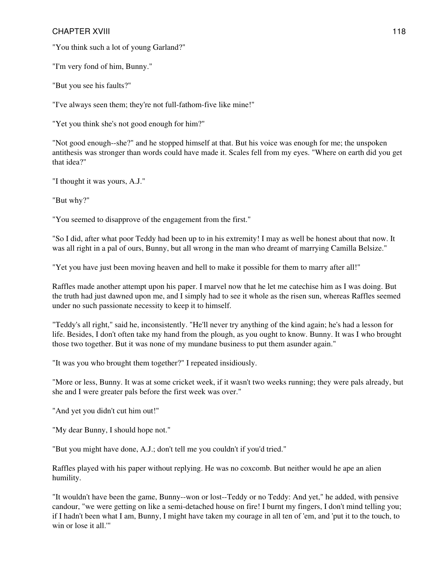"You think such a lot of young Garland?"

"I'm very fond of him, Bunny."

"But you see his faults?"

"I've always seen them; they're not full-fathom-five like mine!"

"Yet you think she's not good enough for him?"

"Not good enough--she?" and he stopped himself at that. But his voice was enough for me; the unspoken antithesis was stronger than words could have made it. Scales fell from my eyes. "Where on earth did you get that idea?"

"I thought it was yours, A.J."

"But why?"

"You seemed to disapprove of the engagement from the first."

"So I did, after what poor Teddy had been up to in his extremity! I may as well be honest about that now. It was all right in a pal of ours, Bunny, but all wrong in the man who dreamt of marrying Camilla Belsize."

"Yet you have just been moving heaven and hell to make it possible for them to marry after all!"

Raffles made another attempt upon his paper. I marvel now that he let me catechise him as I was doing. But the truth had just dawned upon me, and I simply had to see it whole as the risen sun, whereas Raffles seemed under no such passionate necessity to keep it to himself.

"Teddy's all right," said he, inconsistently. "He'll never try anything of the kind again; he's had a lesson for life. Besides, I don't often take my hand from the plough, as you ought to know. Bunny. It was I who brought those two together. But it was none of my mundane business to put them asunder again."

"It was you who brought them together?" I repeated insidiously.

"More or less, Bunny. It was at some cricket week, if it wasn't two weeks running; they were pals already, but she and I were greater pals before the first week was over."

"And yet you didn't cut him out!"

"My dear Bunny, I should hope not."

"But you might have done, A.J.; don't tell me you couldn't if you'd tried."

Raffles played with his paper without replying. He was no coxcomb. But neither would he ape an alien humility.

"It wouldn't have been the game, Bunny--won or lost--Teddy or no Teddy: And yet," he added, with pensive candour, "we were getting on like a semi-detached house on fire! I burnt my fingers, I don't mind telling you; if I hadn't been what I am, Bunny, I might have taken my courage in all ten of 'em, and 'put it to the touch, to win or lose it all.'"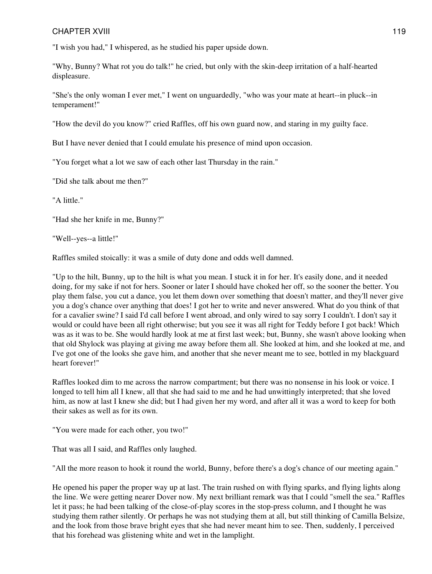"I wish you had," I whispered, as he studied his paper upside down.

"Why, Bunny? What rot you do talk!" he cried, but only with the skin-deep irritation of a half-hearted displeasure.

"She's the only woman I ever met," I went on unguardedly, "who was your mate at heart--in pluck--in temperament!"

"How the devil do you know?" cried Raffles, off his own guard now, and staring in my guilty face.

But I have never denied that I could emulate his presence of mind upon occasion.

"You forget what a lot we saw of each other last Thursday in the rain."

"Did she talk about me then?"

"A little."

"Had she her knife in me, Bunny?"

"Well--yes--a little!"

Raffles smiled stoically: it was a smile of duty done and odds well damned.

"Up to the hilt, Bunny, up to the hilt is what you mean. I stuck it in for her. It's easily done, and it needed doing, for my sake if not for hers. Sooner or later I should have choked her off, so the sooner the better. You play them false, you cut a dance, you let them down over something that doesn't matter, and they'll never give you a dog's chance over anything that does! I got her to write and never answered. What do you think of that for a cavalier swine? I said I'd call before I went abroad, and only wired to say sorry I couldn't. I don't say it would or could have been all right otherwise; but you see it was all right for Teddy before I got back! Which was as it was to be. She would hardly look at me at first last week; but, Bunny, she wasn't above looking when that old Shylock was playing at giving me away before them all. She looked at him, and she looked at me, and I've got one of the looks she gave him, and another that she never meant me to see, bottled in my blackguard heart forever!"

Raffles looked dim to me across the narrow compartment; but there was no nonsense in his look or voice. I longed to tell him all I knew, all that she had said to me and he had unwittingly interpreted; that she loved him, as now at last I knew she did; but I had given her my word, and after all it was a word to keep for both their sakes as well as for its own.

"You were made for each other, you two!"

That was all I said, and Raffles only laughed.

"All the more reason to hook it round the world, Bunny, before there's a dog's chance of our meeting again."

He opened his paper the proper way up at last. The train rushed on with flying sparks, and flying lights along the line. We were getting nearer Dover now. My next brilliant remark was that I could "smell the sea." Raffles let it pass; he had been talking of the close-of-play scores in the stop-press column, and I thought he was studying them rather silently. Or perhaps he was not studying them at all, but still thinking of Camilla Belsize, and the look from those brave bright eyes that she had never meant him to see. Then, suddenly, I perceived that his forehead was glistening white and wet in the lamplight.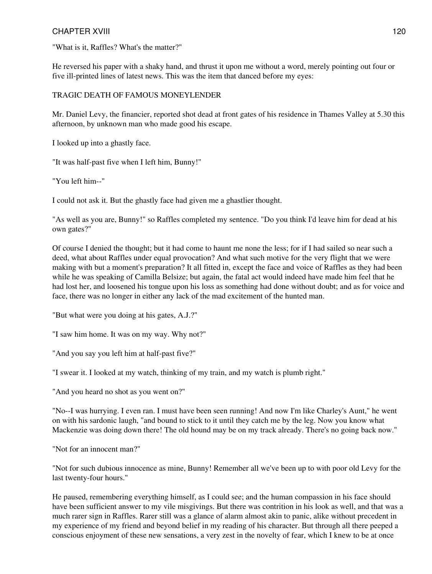"What is it, Raffles? What's the matter?"

He reversed his paper with a shaky hand, and thrust it upon me without a word, merely pointing out four or five ill-printed lines of latest news. This was the item that danced before my eyes:

## TRAGIC DEATH OF FAMOUS MONEYLENDER

Mr. Daniel Levy, the financier, reported shot dead at front gates of his residence in Thames Valley at 5.30 this afternoon, by unknown man who made good his escape.

I looked up into a ghastly face.

"It was half-past five when I left him, Bunny!"

"You left him--"

I could not ask it. But the ghastly face had given me a ghastlier thought.

"As well as you are, Bunny!" so Raffles completed my sentence. "Do you think I'd leave him for dead at his own gates?"

Of course I denied the thought; but it had come to haunt me none the less; for if I had sailed so near such a deed, what about Raffles under equal provocation? And what such motive for the very flight that we were making with but a moment's preparation? It all fitted in, except the face and voice of Raffles as they had been while he was speaking of Camilla Belsize; but again, the fatal act would indeed have made him feel that he had lost her, and loosened his tongue upon his loss as something had done without doubt; and as for voice and face, there was no longer in either any lack of the mad excitement of the hunted man.

"But what were you doing at his gates, A.J.?"

"I saw him home. It was on my way. Why not?"

"And you say you left him at half-past five?"

"I swear it. I looked at my watch, thinking of my train, and my watch is plumb right."

"And you heard no shot as you went on?"

"No--I was hurrying. I even ran. I must have been seen running! And now I'm like Charley's Aunt," he went on with his sardonic laugh, "and bound to stick to it until they catch me by the leg. Now you know what Mackenzie was doing down there! The old hound may be on my track already. There's no going back now."

"Not for an innocent man?"

"Not for such dubious innocence as mine, Bunny! Remember all we've been up to with poor old Levy for the last twenty-four hours."

He paused, remembering everything himself, as I could see; and the human compassion in his face should have been sufficient answer to my vile misgivings. But there was contrition in his look as well, and that was a much rarer sign in Raffles. Rarer still was a glance of alarm almost akin to panic, alike without precedent in my experience of my friend and beyond belief in my reading of his character. But through all there peeped a conscious enjoyment of these new sensations, a very zest in the novelty of fear, which I knew to be at once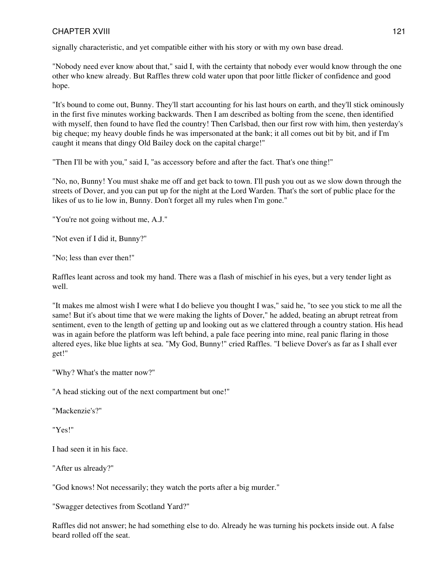signally characteristic, and yet compatible either with his story or with my own base dread.

"Nobody need ever know about that," said I, with the certainty that nobody ever would know through the one other who knew already. But Raffles threw cold water upon that poor little flicker of confidence and good hope.

"It's bound to come out, Bunny. They'll start accounting for his last hours on earth, and they'll stick ominously in the first five minutes working backwards. Then I am described as bolting from the scene, then identified with myself, then found to have fled the country! Then Carlsbad, then our first row with him, then yesterday's big cheque; my heavy double finds he was impersonated at the bank; it all comes out bit by bit, and if I'm caught it means that dingy Old Bailey dock on the capital charge!"

"Then I'll be with you," said I, "as accessory before and after the fact. That's one thing!"

"No, no, Bunny! You must shake me off and get back to town. I'll push you out as we slow down through the streets of Dover, and you can put up for the night at the Lord Warden. That's the sort of public place for the likes of us to lie low in, Bunny. Don't forget all my rules when I'm gone."

"You're not going without me, A.J."

"Not even if I did it, Bunny?"

"No; less than ever then!"

Raffles leant across and took my hand. There was a flash of mischief in his eyes, but a very tender light as well.

"It makes me almost wish I were what I do believe you thought I was," said he, "to see you stick to me all the same! But it's about time that we were making the lights of Dover," he added, beating an abrupt retreat from sentiment, even to the length of getting up and looking out as we clattered through a country station. His head was in again before the platform was left behind, a pale face peering into mine, real panic flaring in those altered eyes, like blue lights at sea. "My God, Bunny!" cried Raffles. "I believe Dover's as far as I shall ever get!"

"Why? What's the matter now?"

"A head sticking out of the next compartment but one!"

"Mackenzie's?"

"Yes!"

I had seen it in his face.

"After us already?"

"God knows! Not necessarily; they watch the ports after a big murder."

"Swagger detectives from Scotland Yard?"

Raffles did not answer; he had something else to do. Already he was turning his pockets inside out. A false beard rolled off the seat.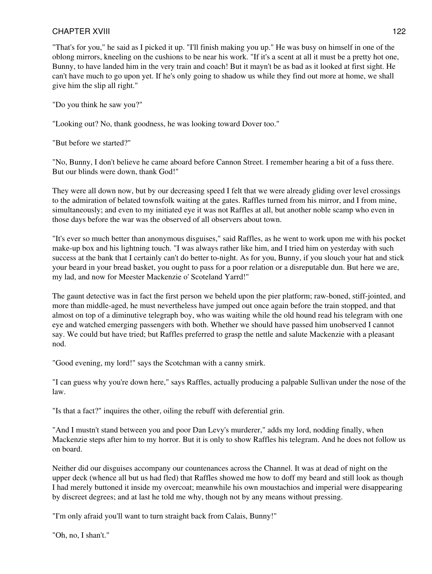"That's for you," he said as I picked it up. "I'll finish making you up." He was busy on himself in one of the oblong mirrors, kneeling on the cushions to be near his work. "If it's a scent at all it must be a pretty hot one, Bunny, to have landed him in the very train and coach! But it mayn't be as bad as it looked at first sight. He can't have much to go upon yet. If he's only going to shadow us while they find out more at home, we shall give him the slip all right."

"Do you think he saw you?"

"Looking out? No, thank goodness, he was looking toward Dover too."

"But before we started?"

"No, Bunny, I don't believe he came aboard before Cannon Street. I remember hearing a bit of a fuss there. But our blinds were down, thank God!"

They were all down now, but by our decreasing speed I felt that we were already gliding over level crossings to the admiration of belated townsfolk waiting at the gates. Raffles turned from his mirror, and I from mine, simultaneously; and even to my initiated eye it was not Raffles at all, but another noble scamp who even in those days before the war was the observed of all observers about town.

"It's ever so much better than anonymous disguises," said Raffles, as he went to work upon me with his pocket make-up box and his lightning touch. "I was always rather like him, and I tried him on yesterday with such success at the bank that I certainly can't do better to-night. As for you, Bunny, if you slouch your hat and stick your beard in your bread basket, you ought to pass for a poor relation or a disreputable dun. But here we are, my lad, and now for Meester Mackenzie o' Scoteland Yarrd!"

The gaunt detective was in fact the first person we beheld upon the pier platform; raw-boned, stiff-jointed, and more than middle-aged, he must nevertheless have jumped out once again before the train stopped, and that almost on top of a diminutive telegraph boy, who was waiting while the old hound read his telegram with one eye and watched emerging passengers with both. Whether we should have passed him unobserved I cannot say. We could but have tried; but Raffles preferred to grasp the nettle and salute Mackenzie with a pleasant nod.

"Good evening, my lord!" says the Scotchman with a canny smirk.

"I can guess why you're down here," says Raffles, actually producing a palpable Sullivan under the nose of the law.

"Is that a fact?" inquires the other, oiling the rebuff with deferential grin.

"And I mustn't stand between you and poor Dan Levy's murderer," adds my lord, nodding finally, when Mackenzie steps after him to my horror. But it is only to show Raffles his telegram. And he does not follow us on board.

Neither did our disguises accompany our countenances across the Channel. It was at dead of night on the upper deck (whence all but us had fled) that Raffles showed me how to doff my beard and still look as though I had merely buttoned it inside my overcoat; meanwhile his own moustachios and imperial were disappearing by discreet degrees; and at last he told me why, though not by any means without pressing.

"I'm only afraid you'll want to turn straight back from Calais, Bunny!"

"Oh, no, I shan't."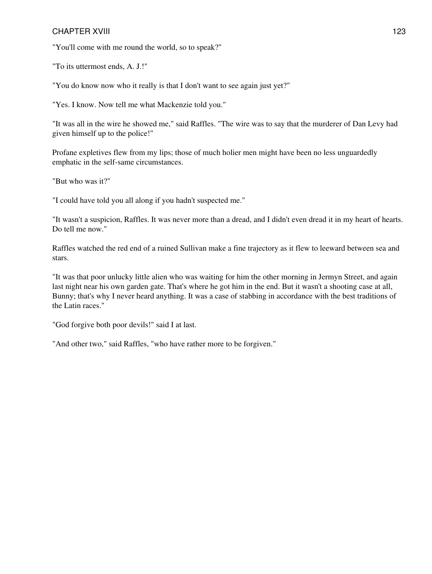"You'll come with me round the world, so to speak?"

"To its uttermost ends, A. J.!"

"You do know now who it really is that I don't want to see again just yet?"

"Yes. I know. Now tell me what Mackenzie told you."

"It was all in the wire he showed me," said Raffles. "The wire was to say that the murderer of Dan Levy had given himself up to the police!"

Profane expletives flew from my lips; those of much holier men might have been no less unguardedly emphatic in the self-same circumstances.

"But who was it?"

"I could have told you all along if you hadn't suspected me."

"It wasn't a suspicion, Raffles. It was never more than a dread, and I didn't even dread it in my heart of hearts. Do tell me now."

Raffles watched the red end of a ruined Sullivan make a fine trajectory as it flew to leeward between sea and stars.

"It was that poor unlucky little alien who was waiting for him the other morning in Jermyn Street, and again last night near his own garden gate. That's where he got him in the end. But it wasn't a shooting case at all, Bunny; that's why I never heard anything. It was a case of stabbing in accordance with the best traditions of the Latin races."

"God forgive both poor devils!" said I at last.

"And other two," said Raffles, "who have rather more to be forgiven."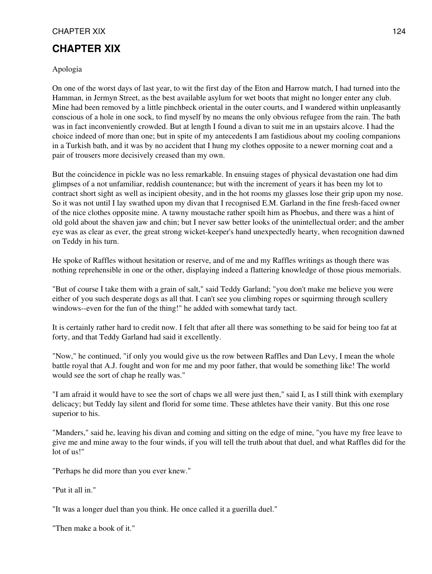## CHAPTER XIX 124

## **CHAPTER XIX**

Apologia

On one of the worst days of last year, to wit the first day of the Eton and Harrow match, I had turned into the Hamman, in Jermyn Street, as the best available asylum for wet boots that might no longer enter any club. Mine had been removed by a little pinchbeck oriental in the outer courts, and I wandered within unpleasantly conscious of a hole in one sock, to find myself by no means the only obvious refugee from the rain. The bath was in fact inconveniently crowded. But at length I found a divan to suit me in an upstairs alcove. I had the choice indeed of more than one; but in spite of my antecedents I am fastidious about my cooling companions in a Turkish bath, and it was by no accident that I hung my clothes opposite to a newer morning coat and a pair of trousers more decisively creased than my own.

But the coincidence in pickle was no less remarkable. In ensuing stages of physical devastation one had dim glimpses of a not unfamiliar, reddish countenance; but with the increment of years it has been my lot to contract short sight as well as incipient obesity, and in the hot rooms my glasses lose their grip upon my nose. So it was not until I lay swathed upon my divan that I recognised E.M. Garland in the fine fresh-faced owner of the nice clothes opposite mine. A tawny moustache rather spoilt him as Phoebus, and there was a hint of old gold about the shaven jaw and chin; but I never saw better looks of the unintellectual order; and the amber eye was as clear as ever, the great strong wicket-keeper's hand unexpectedly hearty, when recognition dawned on Teddy in his turn.

He spoke of Raffles without hesitation or reserve, and of me and my Raffles writings as though there was nothing reprehensible in one or the other, displaying indeed a flattering knowledge of those pious memorials.

"But of course I take them with a grain of salt," said Teddy Garland; "you don't make me believe you were either of you such desperate dogs as all that. I can't see you climbing ropes or squirming through scullery windows--even for the fun of the thing!" he added with somewhat tardy tact.

It is certainly rather hard to credit now. I felt that after all there was something to be said for being too fat at forty, and that Teddy Garland had said it excellently.

"Now," he continued, "if only you would give us the row between Raffles and Dan Levy, I mean the whole battle royal that A.J. fought and won for me and my poor father, that would be something like! The world would see the sort of chap he really was."

"I am afraid it would have to see the sort of chaps we all were just then," said I, as I still think with exemplary delicacy; but Teddy lay silent and florid for some time. These athletes have their vanity. But this one rose superior to his.

"Manders," said he, leaving his divan and coming and sitting on the edge of mine, "you have my free leave to give me and mine away to the four winds, if you will tell the truth about that duel, and what Raffles did for the lot of us!"

"Perhaps he did more than you ever knew."

"Put it all in."

"It was a longer duel than you think. He once called it a guerilla duel."

"Then make a book of it."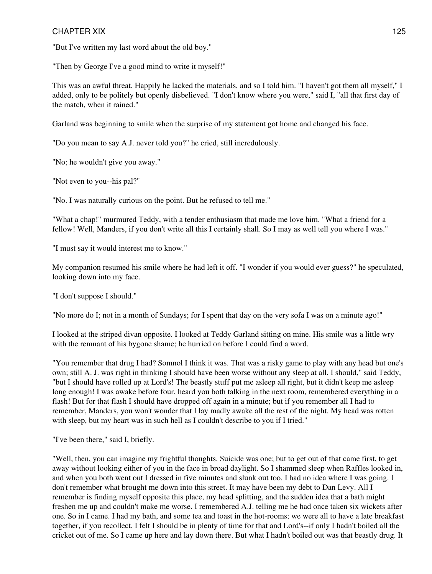## CHAPTER XIX 125

"But I've written my last word about the old boy."

"Then by George I've a good mind to write it myself!"

This was an awful threat. Happily he lacked the materials, and so I told him. "I haven't got them all myself," I added, only to be politely but openly disbelieved. "I don't know where you were," said I, "all that first day of the match, when it rained."

Garland was beginning to smile when the surprise of my statement got home and changed his face.

"Do you mean to say A.J. never told you?" he cried, still incredulously.

"No; he wouldn't give you away."

"Not even to you--his pal?"

"No. I was naturally curious on the point. But he refused to tell me."

"What a chap!" murmured Teddy, with a tender enthusiasm that made me love him. "What a friend for a fellow! Well, Manders, if you don't write all this I certainly shall. So I may as well tell you where I was."

"I must say it would interest me to know."

My companion resumed his smile where he had left it off. "I wonder if you would ever guess?" he speculated, looking down into my face.

"I don't suppose I should."

"No more do I; not in a month of Sundays; for I spent that day on the very sofa I was on a minute ago!"

I looked at the striped divan opposite. I looked at Teddy Garland sitting on mine. His smile was a little wry with the remnant of his bygone shame; he hurried on before I could find a word.

"You remember that drug I had? Somnol I think it was. That was a risky game to play with any head but one's own; still A. J. was right in thinking I should have been worse without any sleep at all. I should," said Teddy, "but I should have rolled up at Lord's! The beastly stuff put me asleep all right, but it didn't keep me asleep long enough! I was awake before four, heard you both talking in the next room, remembered everything in a flash! But for that flash I should have dropped off again in a minute; but if you remember all I had to remember, Manders, you won't wonder that I lay madly awake all the rest of the night. My head was rotten with sleep, but my heart was in such hell as I couldn't describe to you if I tried."

"I've been there," said I, briefly.

"Well, then, you can imagine my frightful thoughts. Suicide was one; but to get out of that came first, to get away without looking either of you in the face in broad daylight. So I shammed sleep when Raffles looked in, and when you both went out I dressed in five minutes and slunk out too. I had no idea where I was going. I don't remember what brought me down into this street. It may have been my debt to Dan Levy. All I remember is finding myself opposite this place, my head splitting, and the sudden idea that a bath might freshen me up and couldn't make me worse. I remembered A.J. telling me he had once taken six wickets after one. So in I came. I had my bath, and some tea and toast in the hot-rooms; we were all to have a late breakfast together, if you recollect. I felt I should be in plenty of time for that and Lord's--if only I hadn't boiled all the cricket out of me. So I came up here and lay down there. But what I hadn't boiled out was that beastly drug. It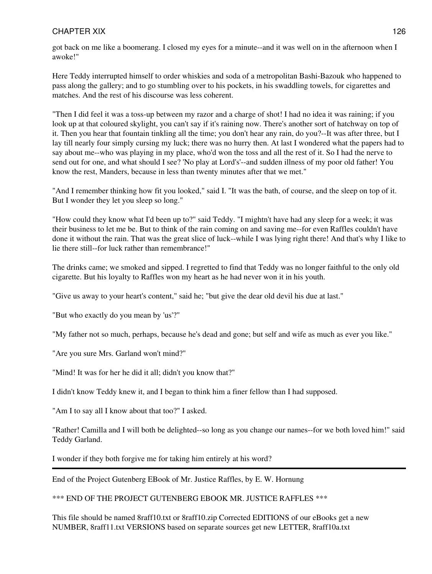## CHAPTER XIX 126

got back on me like a boomerang. I closed my eyes for a minute--and it was well on in the afternoon when I awoke!"

Here Teddy interrupted himself to order whiskies and soda of a metropolitan Bashi-Bazouk who happened to pass along the gallery; and to go stumbling over to his pockets, in his swaddling towels, for cigarettes and matches. And the rest of his discourse was less coherent.

"Then I did feel it was a toss-up between my razor and a charge of shot! I had no idea it was raining; if you look up at that coloured skylight, you can't say if it's raining now. There's another sort of hatchway on top of it. Then you hear that fountain tinkling all the time; you don't hear any rain, do you?--It was after three, but I lay till nearly four simply cursing my luck; there was no hurry then. At last I wondered what the papers had to say about me--who was playing in my place, who'd won the toss and all the rest of it. So I had the nerve to send out for one, and what should I see? 'No play at Lord's'--and sudden illness of my poor old father! You know the rest, Manders, because in less than twenty minutes after that we met."

"And I remember thinking how fit you looked," said I. "It was the bath, of course, and the sleep on top of it. But I wonder they let you sleep so long."

"How could they know what I'd been up to?" said Teddy. "I mightn't have had any sleep for a week; it was their business to let me be. But to think of the rain coming on and saving me--for even Raffles couldn't have done it without the rain. That was the great slice of luck--while I was lying right there! And that's why I like to lie there still--for luck rather than remembrance!"

The drinks came; we smoked and sipped. I regretted to find that Teddy was no longer faithful to the only old cigarette. But his loyalty to Raffles won my heart as he had never won it in his youth.

"Give us away to your heart's content," said he; "but give the dear old devil his due at last."

"But who exactly do you mean by 'us'?"

"My father not so much, perhaps, because he's dead and gone; but self and wife as much as ever you like."

"Are you sure Mrs. Garland won't mind?"

"Mind! It was for her he did it all; didn't you know that?"

I didn't know Teddy knew it, and I began to think him a finer fellow than I had supposed.

"Am I to say all I know about that too?" I asked.

"Rather! Camilla and I will both be delighted--so long as you change our names--for we both loved him!" said Teddy Garland.

I wonder if they both forgive me for taking him entirely at his word?

End of the Project Gutenberg EBook of Mr. Justice Raffles, by E. W. Hornung

\*\*\* END OF THE PROJECT GUTENBERG EBOOK MR. JUSTICE RAFFLES \*\*\*

This file should be named 8raff10.txt or 8raff10.zip Corrected EDITIONS of our eBooks get a new NUMBER, 8raff11.txt VERSIONS based on separate sources get new LETTER, 8raff10a.txt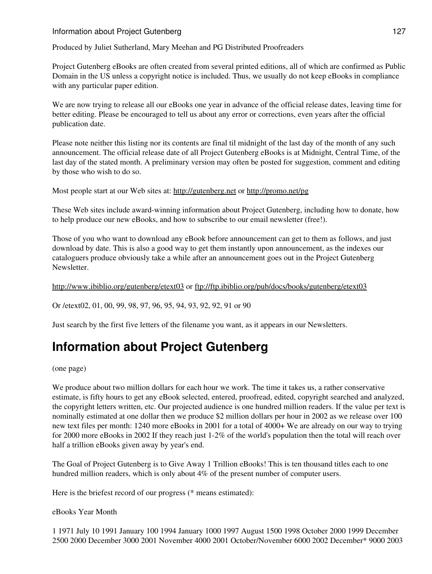## Information about Project Gutenberg 127

Produced by Juliet Sutherland, Mary Meehan and PG Distributed Proofreaders

Project Gutenberg eBooks are often created from several printed editions, all of which are confirmed as Public Domain in the US unless a copyright notice is included. Thus, we usually do not keep eBooks in compliance with any particular paper edition.

We are now trying to release all our eBooks one year in advance of the official release dates, leaving time for better editing. Please be encouraged to tell us about any error or corrections, even years after the official publication date.

Please note neither this listing nor its contents are final til midnight of the last day of the month of any such announcement. The official release date of all Project Gutenberg eBooks is at Midnight, Central Time, of the last day of the stated month. A preliminary version may often be posted for suggestion, comment and editing by those who wish to do so.

Most people start at our Web sites at: <http://gutenberg.net> or <http://promo.net/pg>

These Web sites include award-winning information about Project Gutenberg, including how to donate, how to help produce our new eBooks, and how to subscribe to our email newsletter (free!).

Those of you who want to download any eBook before announcement can get to them as follows, and just download by date. This is also a good way to get them instantly upon announcement, as the indexes our cataloguers produce obviously take a while after an announcement goes out in the Project Gutenberg Newsletter.

<http://www.ibiblio.org/gutenberg/etext03>or<ftp://ftp.ibiblio.org/pub/docs/books/gutenberg/etext03>

Or /etext02, 01, 00, 99, 98, 97, 96, 95, 94, 93, 92, 92, 91 or 90

Just search by the first five letters of the filename you want, as it appears in our Newsletters.

# **Information about Project Gutenberg**

(one page)

We produce about two million dollars for each hour we work. The time it takes us, a rather conservative estimate, is fifty hours to get any eBook selected, entered, proofread, edited, copyright searched and analyzed, the copyright letters written, etc. Our projected audience is one hundred million readers. If the value per text is nominally estimated at one dollar then we produce \$2 million dollars per hour in 2002 as we release over 100 new text files per month: 1240 more eBooks in 2001 for a total of 4000+ We are already on our way to trying for 2000 more eBooks in 2002 If they reach just 1-2% of the world's population then the total will reach over half a trillion eBooks given away by year's end.

The Goal of Project Gutenberg is to Give Away 1 Trillion eBooks! This is ten thousand titles each to one hundred million readers, which is only about 4% of the present number of computer users.

Here is the briefest record of our progress (\* means estimated):

eBooks Year Month

1 1971 July 10 1991 January 100 1994 January 1000 1997 August 1500 1998 October 2000 1999 December 2500 2000 December 3000 2001 November 4000 2001 October/November 6000 2002 December\* 9000 2003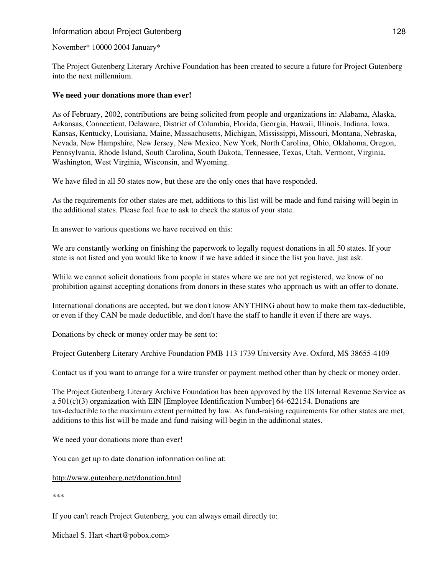## Information about Project Gutenberg 128

November\* 10000 2004 January\*

The Project Gutenberg Literary Archive Foundation has been created to secure a future for Project Gutenberg into the next millennium.

#### **We need your donations more than ever!**

As of February, 2002, contributions are being solicited from people and organizations in: Alabama, Alaska, Arkansas, Connecticut, Delaware, District of Columbia, Florida, Georgia, Hawaii, Illinois, Indiana, Iowa, Kansas, Kentucky, Louisiana, Maine, Massachusetts, Michigan, Mississippi, Missouri, Montana, Nebraska, Nevada, New Hampshire, New Jersey, New Mexico, New York, North Carolina, Ohio, Oklahoma, Oregon, Pennsylvania, Rhode Island, South Carolina, South Dakota, Tennessee, Texas, Utah, Vermont, Virginia, Washington, West Virginia, Wisconsin, and Wyoming.

We have filed in all 50 states now, but these are the only ones that have responded.

As the requirements for other states are met, additions to this list will be made and fund raising will begin in the additional states. Please feel free to ask to check the status of your state.

In answer to various questions we have received on this:

We are constantly working on finishing the paperwork to legally request donations in all 50 states. If your state is not listed and you would like to know if we have added it since the list you have, just ask.

While we cannot solicit donations from people in states where we are not yet registered, we know of no prohibition against accepting donations from donors in these states who approach us with an offer to donate.

International donations are accepted, but we don't know ANYTHING about how to make them tax-deductible, or even if they CAN be made deductible, and don't have the staff to handle it even if there are ways.

Donations by check or money order may be sent to:

Project Gutenberg Literary Archive Foundation PMB 113 1739 University Ave. Oxford, MS 38655-4109

Contact us if you want to arrange for a wire transfer or payment method other than by check or money order.

The Project Gutenberg Literary Archive Foundation has been approved by the US Internal Revenue Service as a 501(c)(3) organization with EIN [Employee Identification Number] 64-622154. Donations are tax-deductible to the maximum extent permitted by law. As fund-raising requirements for other states are met, additions to this list will be made and fund-raising will begin in the additional states.

We need your donations more than ever!

You can get up to date donation information online at:

#### <http://www.gutenberg.net/donation.html>

\*\*\*

If you can't reach Project Gutenberg, you can always email directly to:

Michael S. Hart <hart@pobox.com>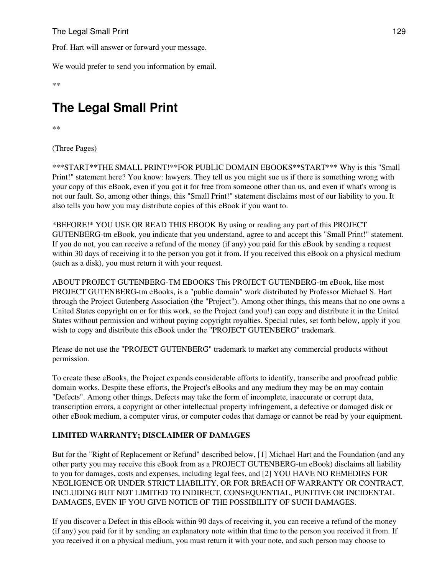The Legal Small Print 129

Prof. Hart will answer or forward your message.

We would prefer to send you information by email.

\*\*

# **The Legal Small Print**

\*\*

(Three Pages)

\*\*\*START\*\*THE SMALL PRINT!\*\*FOR PUBLIC DOMAIN EBOOKS\*\*START\*\*\* Why is this "Small Print!" statement here? You know: lawyers. They tell us you might sue us if there is something wrong with your copy of this eBook, even if you got it for free from someone other than us, and even if what's wrong is not our fault. So, among other things, this "Small Print!" statement disclaims most of our liability to you. It also tells you how you may distribute copies of this eBook if you want to.

\*BEFORE!\* YOU USE OR READ THIS EBOOK By using or reading any part of this PROJECT GUTENBERG-tm eBook, you indicate that you understand, agree to and accept this "Small Print!" statement. If you do not, you can receive a refund of the money (if any) you paid for this eBook by sending a request within 30 days of receiving it to the person you got it from. If you received this eBook on a physical medium (such as a disk), you must return it with your request.

ABOUT PROJECT GUTENBERG-TM EBOOKS This PROJECT GUTENBERG-tm eBook, like most PROJECT GUTENBERG-tm eBooks, is a "public domain" work distributed by Professor Michael S. Hart through the Project Gutenberg Association (the "Project"). Among other things, this means that no one owns a United States copyright on or for this work, so the Project (and you!) can copy and distribute it in the United States without permission and without paying copyright royalties. Special rules, set forth below, apply if you wish to copy and distribute this eBook under the "PROJECT GUTENBERG" trademark.

Please do not use the "PROJECT GUTENBERG" trademark to market any commercial products without permission.

To create these eBooks, the Project expends considerable efforts to identify, transcribe and proofread public domain works. Despite these efforts, the Project's eBooks and any medium they may be on may contain "Defects". Among other things, Defects may take the form of incomplete, inaccurate or corrupt data, transcription errors, a copyright or other intellectual property infringement, a defective or damaged disk or other eBook medium, a computer virus, or computer codes that damage or cannot be read by your equipment.

## **LIMITED WARRANTY; DISCLAIMER OF DAMAGES**

But for the "Right of Replacement or Refund" described below, [1] Michael Hart and the Foundation (and any other party you may receive this eBook from as a PROJECT GUTENBERG-tm eBook) disclaims all liability to you for damages, costs and expenses, including legal fees, and [2] YOU HAVE NO REMEDIES FOR NEGLIGENCE OR UNDER STRICT LIABILITY, OR FOR BREACH OF WARRANTY OR CONTRACT, INCLUDING BUT NOT LIMITED TO INDIRECT, CONSEQUENTIAL, PUNITIVE OR INCIDENTAL DAMAGES, EVEN IF YOU GIVE NOTICE OF THE POSSIBILITY OF SUCH DAMAGES.

If you discover a Defect in this eBook within 90 days of receiving it, you can receive a refund of the money (if any) you paid for it by sending an explanatory note within that time to the person you received it from. If you received it on a physical medium, you must return it with your note, and such person may choose to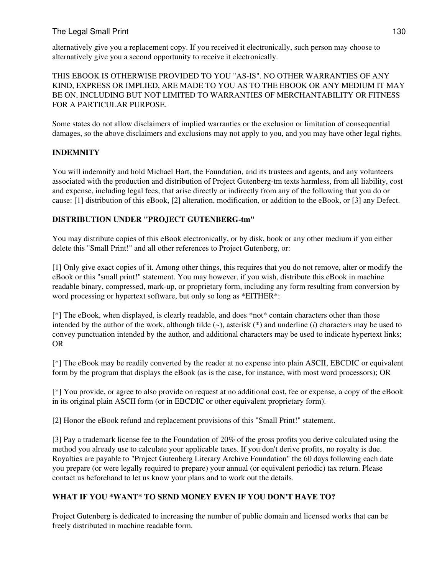## The Legal Small Print 130

alternatively give you a replacement copy. If you received it electronically, such person may choose to alternatively give you a second opportunity to receive it electronically.

THIS EBOOK IS OTHERWISE PROVIDED TO YOU "AS-IS". NO OTHER WARRANTIES OF ANY KIND, EXPRESS OR IMPLIED, ARE MADE TO YOU AS TO THE EBOOK OR ANY MEDIUM IT MAY BE ON, INCLUDING BUT NOT LIMITED TO WARRANTIES OF MERCHANTABILITY OR FITNESS FOR A PARTICULAR PURPOSE.

Some states do not allow disclaimers of implied warranties or the exclusion or limitation of consequential damages, so the above disclaimers and exclusions may not apply to you, and you may have other legal rights.

## **INDEMNITY**

You will indemnify and hold Michael Hart, the Foundation, and its trustees and agents, and any volunteers associated with the production and distribution of Project Gutenberg-tm texts harmless, from all liability, cost and expense, including legal fees, that arise directly or indirectly from any of the following that you do or cause: [1] distribution of this eBook, [2] alteration, modification, or addition to the eBook, or [3] any Defect.

## **DISTRIBUTION UNDER "PROJECT GUTENBERG-tm"**

You may distribute copies of this eBook electronically, or by disk, book or any other medium if you either delete this "Small Print!" and all other references to Project Gutenberg, or:

[1] Only give exact copies of it. Among other things, this requires that you do not remove, alter or modify the eBook or this "small print!" statement. You may however, if you wish, distribute this eBook in machine readable binary, compressed, mark-up, or proprietary form, including any form resulting from conversion by word processing or hypertext software, but only so long as \*EITHER\*:

[\*] The eBook, when displayed, is clearly readable, and does \*not\* contain characters other than those intended by the author of the work, although tilde (~), asterisk (\*) and underline (*i*) characters may be used to convey punctuation intended by the author, and additional characters may be used to indicate hypertext links; OR

[\*] The eBook may be readily converted by the reader at no expense into plain ASCII, EBCDIC or equivalent form by the program that displays the eBook (as is the case, for instance, with most word processors); OR

[\*] You provide, or agree to also provide on request at no additional cost, fee or expense, a copy of the eBook in its original plain ASCII form (or in EBCDIC or other equivalent proprietary form).

[2] Honor the eBook refund and replacement provisions of this "Small Print!" statement.

[3] Pay a trademark license fee to the Foundation of 20% of the gross profits you derive calculated using the method you already use to calculate your applicable taxes. If you don't derive profits, no royalty is due. Royalties are payable to "Project Gutenberg Literary Archive Foundation" the 60 days following each date you prepare (or were legally required to prepare) your annual (or equivalent periodic) tax return. Please contact us beforehand to let us know your plans and to work out the details.

## **WHAT IF YOU \*WANT\* TO SEND MONEY EVEN IF YOU DON'T HAVE TO?**

Project Gutenberg is dedicated to increasing the number of public domain and licensed works that can be freely distributed in machine readable form.